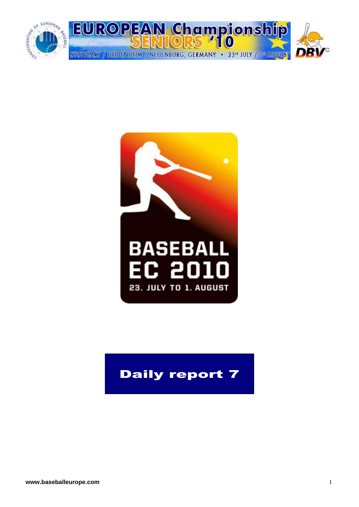



## Daily report 7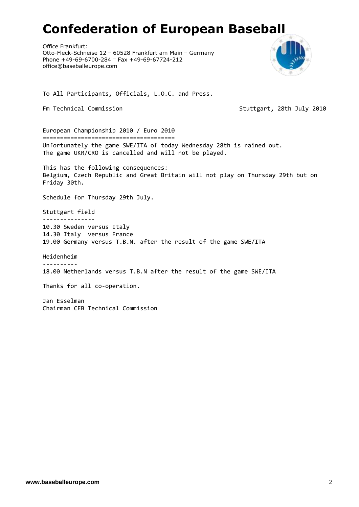# **Confederation of European Baseball**

Office Frankfurt: Otto-Fleck-Schneise 12 … 60528 Frankfurt am Main … Germany Phone +49-69-6700-284 … Fax +49-69-67724-212 office@baseballeurope.com



To All Participants, Officials, L.O.C. and Press.

Fm Technical Commission Stuttgart, 28th July 2010

European Championship 2010 / Euro 2010 ====================================== Unfortunately the game SWE/ITA of today Wednesday 28th is rained out. The game UKR/CRO is cancelled and will not be played.

This has the following consequences: Belgium, Czech Republic and Great Britain will not play on Thursday 29th but on Friday 30th.

Schedule for Thursday 29th July.

Stuttgart field --------------- 10.30 Sweden versus Italy 14.30 Italy versus France 19.00 Germany versus T.B.N. after the result of the game SWE/ITA

Heidenheim ---------- 18.00 Netherlands versus T.B.N after the result of the game SWE/ITA

Thanks for all co-operation.

Jan Esselman Chairman CEB Technical Commission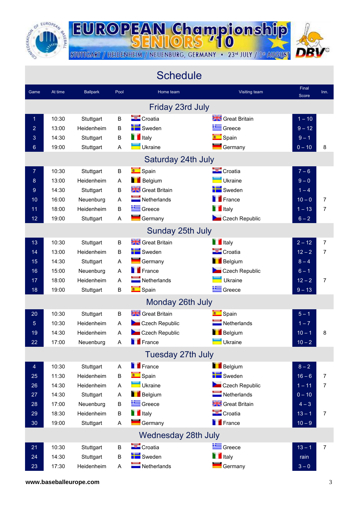

**EUROPEAN Championship** 

STUTTGART / HEIDENHEIM / NEUENBURG, GERMANY • 23<sup>d</sup> JULY / 1<sup>d</sup> AUGUST



|                 |         |                 |             | <b>Schedule</b>            |                            |                |      |
|-----------------|---------|-----------------|-------------|----------------------------|----------------------------|----------------|------|
| Game            | At time | <b>Ballpark</b> | Pool        | Home team                  | Visiting team              | Final<br>Score | Inn. |
|                 |         |                 |             | Friday 23rd July           |                            |                |      |
| $\mathbf 1$     | 10:30   | Stuttgart       | B           | Croatia                    | Great Britain              | $1 - 10$       |      |
| $\overline{2}$  | 13:00   | Heidenheim      | B           | Sweden                     | Greece                     | $9 - 12$       |      |
| 3               | 14:30   | Stuttgart       | B           | <b>T</b> Italy             | Spain                      | $9 - 1$        |      |
| $6\phantom{1}6$ | 19:00   | Stuttgart       | A           | Ukraine                    | Germany                    | $0 - 10$       | 8    |
|                 |         |                 |             | Saturday 24th July         |                            |                |      |
| 7               | 10:30   | Stuttgart       | B           | <b>Company</b> Spain       | Croatia                    | $7 - 6$        |      |
| 8               | 13:00   | Heidenheim      | A           | <b>Belgium</b>             | Ukraine                    | $9 - 0$        |      |
| 9               | 14:30   | Stuttgart       | B           | <b>Steat Britain</b>       | Sweden                     | $1 - 4$        |      |
| 10              | 16:00   | Neuenburg       | A           | Netherlands                | $\blacksquare$ France      | $10 - 0$       | 7    |
| 11              | 18:00   | Heidenheim      | B           | Greece                     | <b>T</b> Italy             | $1 - 13$       | 7    |
| 12 <sub>2</sub> | 19:00   | Stuttgart       | A           | Germany                    | Czech Republic             | $6 - 2$        |      |
|                 |         |                 |             | Sunday 25th July           |                            |                |      |
| 13              | 10:30   | Stuttgart       | B           | <b>Stee Strition</b>       | <b>T</b> Italy             | $2 - 12$       | 7    |
| 14              | 13:00   | Heidenheim      | B           | Sweden                     | Croatia                    | $12 - 2$       | 7    |
| 15              | 14:30   | Stuttgart       | A           | Germany                    | <b>Belgium</b>             | $8 - 4$        |      |
| 16              | 15:00   | Neuenburg       | A           | $\blacksquare$ France      | Czech Republic             | $6 - 1$        |      |
| 17              | 18:00   | Heidenheim      | A           | $\blacksquare$ Netherlands | Ukraine                    | $12 - 2$       | 7    |
| 18              | 19:00   | Stuttgart       | $\sf B$     | Spain                      | Greece                     | $9 - 13$       |      |
|                 |         |                 |             | Monday 26th July           |                            |                |      |
| 20              | 10:30   | Stuttgart       | B           | <b>Streat Britain</b>      | <b>Company</b> Spain       | $5 - 1$        |      |
| 5               | 10:30   | Heidenheim      | A           | Czech Republic             | $\blacksquare$ Netherlands | $1 - 7$        |      |
| 19              | 14:30   | Heidenheim      | A           | Czech Republic             | <b>Belgium</b>             | $10 - 1$       | 8    |
| 22              | 17:00   | Neuenburg       | A           | $\blacksquare$ France      | Ukraine                    | $10 - 2$       |      |
|                 |         |                 |             | Tuesday 27th July          |                            |                |      |
| 4               | 10:30   | Stuttgart       | A           | <b>France</b>              | <b>Belgium</b>             | $8 - 2$        |      |
| 25              | 11:30   | Heidenheim      | B           | <b>Compact Spain</b>       | Sweden                     | $16 - 6$       | 7    |
| 26              | 14:30   | Heidenheim      | A           | Ukraine                    | Czech Republic             | $1 - 11$       | 7    |
| 27              | 14:30   | Stuttgart       | $\mathsf A$ | <b>Belgium</b>             | $\blacksquare$ Netherlands | $0 - 10$       |      |
| 28              | 17:00   | Neuenburg       | B           | Greece                     | <b>State</b> Great Britain | $4 - 3$        |      |
| 29              | 18:30   | Heidenheim      | B           | <b>T</b> Italy             | Croatia                    | $13 - 1$       | 7    |
| 30              | 19:00   | Stuttgart       | A           | Germany                    | <b>France</b>              | $10 - 9$       |      |
|                 |         |                 |             | Wednesday 28th July        |                            |                |      |
| 21              | 10:30   | Stuttgart       | B           | Croatia                    | Greece                     | $13 - 1$       | 7    |
| 24              | 14:30   | Stuttgart       | B           | Sweden                     | <b>T</b> Italy             | rain           |      |
| 23              | 17:30   | Heidenheim      | A           | Netherlands                | $\blacksquare$ Germany     | $3-0$          |      |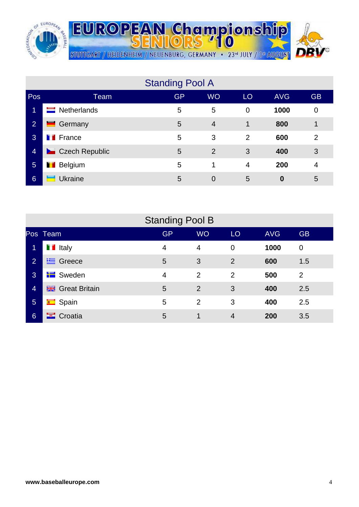

**EUROPEAN Championship** STUTTGART / HEIDENHEIM / NEUENBURG, GERMANY • 23<sup>d</sup> JULY / 1<sup>d</sup> AUGUST

|                 |                         | <b>Standing Pool A</b> |                |                |            |                |
|-----------------|-------------------------|------------------------|----------------|----------------|------------|----------------|
| Pos             | Team                    | <b>GP</b>              | <b>WO</b>      | LO             | <b>AVG</b> | <b>GB</b>      |
| 1               | <b>Netherlands</b><br>═ | 5                      | 5              | $\overline{0}$ | 1000       | 0              |
| $\overline{2}$  | Germany<br>_            | 5                      | $\overline{4}$ | 1              | 800        | 1              |
| 3               | <b>T</b> France         | 5                      | 3              | 2              | 600        | $\overline{2}$ |
| $\overline{4}$  | Czech Republic          | 5                      | $\overline{2}$ | 3              | 400        | 3              |
| $5\phantom{1}$  | <b>Belgium</b><br>ш     | 5                      | 1              | $\overline{4}$ | 200        | 4              |
| $6\phantom{1}6$ | Ukraine                 | 5                      | $\overline{0}$ | 5              | 0          | 5              |

|                 |                      | <b>Standing Pool B</b> |                |                |            |                |
|-----------------|----------------------|------------------------|----------------|----------------|------------|----------------|
|                 | Pos Team             | <b>GP</b>              | <b>WO</b>      | LO             | <b>AVG</b> | <b>GB</b>      |
| $\blacksquare$  | <b>T</b> Italy       | 4                      | $\overline{4}$ | $\overline{0}$ | 1000       | $\mathbf 0$    |
| 2 <sup>1</sup>  | $\equiv$ Greece      | 5                      | 3              | 2              | 600        | 1.5            |
| 3               | <b>Sweden</b>        | $\overline{4}$         | $\overline{2}$ | 2              | 500        | $\overline{2}$ |
| $\overline{4}$  | <b>Great Britain</b> | 5                      | 2              | 3              | 400        | 2.5            |
| $5\phantom{.0}$ | Spain                | 5                      | 2              | 3              | 400        | 2.5            |
| $6\phantom{1}$  | <b>E</b> Croatia     | 5                      | 1              | 4              | 200        | 3.5            |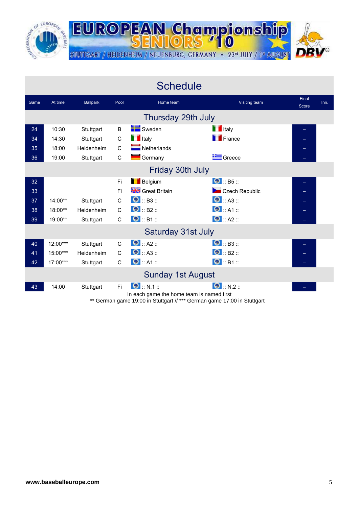

**EUROPEAN Championship** STUTTGART / HEIDENHEIM / NEUENBURG, GERMANY · 23rd JULY / 1ª AUGUST

|      |            |                  |              | <b>Schedule</b>                                                 |                      |                |      |
|------|------------|------------------|--------------|-----------------------------------------------------------------|----------------------|----------------|------|
| Game | At time    | <b>Ballpark</b>  | Pool         | Home team                                                       | <b>Visiting team</b> | Final<br>Score | Inn. |
|      |            |                  |              | Thursday 29th July                                              |                      |                |      |
| 24   | 10:30      | Stuttgart        | B            | Sweden                                                          | <b>T</b> Italy       |                |      |
| 34   | 14:30      | Stuttgart        | $\mathsf C$  | <b>T</b> Italy                                                  | <b>France</b>        |                |      |
| 35   | 18:00      | Heidenheim       | $\mathsf C$  | Netherlands                                                     |                      |                |      |
| 36   | 19:00      | Stuttgart        | $\mathsf C$  | Germany                                                         | Greece               |                |      |
|      |            | Friday 30th July |              |                                                                 |                      |                |      |
| 32   |            |                  | Fi           | <b>Belgium</b>                                                  | $\bullet$ :: B5 ::   |                |      |
| 33   |            |                  | Fi           | Great Britain                                                   | Czech Republic       |                |      |
| 37   | $14:00**$  | Stuttgart        | C            | $\bullet$ :: B3 ::                                              | $\bullet$ :: A3 ::   |                |      |
| 38   | 18:00**    | Heidenheim       | $\mathsf{C}$ | $\bullet$ :: B2 ::                                              | $\bullet$ :: A1 ::   |                |      |
| 39   | 19:00**    | Stuttgart        | $\mathsf C$  | $\bullet$ :: B1 ::                                              | $\bullet$ :: A2 ::   |                |      |
|      |            |                  |              | Saturday 31st July                                              |                      |                |      |
| 40   | 12:00***   | Stuttgart        | $\mathsf{C}$ | $\bullet$ :: A2 ::                                              | $\bullet$ :: B3 ::   |                |      |
| 41   | 15:00***   | Heidenheim       | $\mathsf{C}$ | $\bullet$ :: A3 ::                                              | $\bullet$ : B2 ::    |                |      |
| 42   | $17:00***$ | Stuttgart        | $\mathsf{C}$ | $\bullet$ :: A1 ::                                              | $\bullet$ :: B1 ::   |                |      |
|      |            |                  |              | <b>Sunday 1st August</b>                                        |                      |                |      |
| 43   | 14:00      | Stuttgart        | Fi.          | $\bullet$ : N.1 ::<br>In each game the home team is named first | $\bullet$ :: N.2 ::  |                |      |

\*\* German game 19:00 in Stuttgart // \*\*\* German game 17:00 in Stuttgart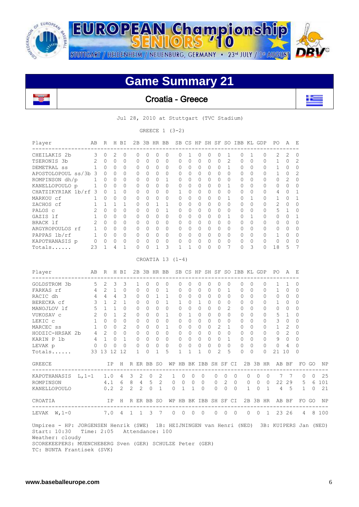

# **Game Summary 21**

![](_page_5_Picture_2.jpeg)

Croatia - Greece

![](_page_5_Picture_4.jpeg)

Jul 28, 2010 at Stuttgart (TVC Stadium)

GREECE  $1 (3-2)$ 

| Player                                                                                                                                                                                                                | AB                          |                     |              | R H BI         |                     |             |                |                |                | 2B 3B HR BB SB CS HP SH SF SO IBB KL GDP           |                |              |              |                |              |                       |              |                |         |              | PO.                                                  | A              | Е              |                |          |
|-----------------------------------------------------------------------------------------------------------------------------------------------------------------------------------------------------------------------|-----------------------------|---------------------|--------------|----------------|---------------------|-------------|----------------|----------------|----------------|----------------------------------------------------|----------------|--------------|--------------|----------------|--------------|-----------------------|--------------|----------------|---------|--------------|------------------------------------------------------|----------------|----------------|----------------|----------|
| CHEILAKIS 2b                                                                                                                                                                                                          | $\overline{3}$ 0            |                     | 2            | 0              | 0                   |             | 0              | 0              | 0              | 0                                                  | 1              | $\mathbf{0}$ | 0            | $\Omega$       | 1            |                       | $\mathbf{0}$ | 1              |         | 0            | 2                                                    | 2              | 0              |                |          |
| TSERONIS 3b                                                                                                                                                                                                           | 2                           | $\overline{0}$      | 0            | 0              | 0                   |             | 0              | 0              | 0              | 0                                                  | 0              | 0            | 0            | 0              | 2            |                       | 0            | $\Omega$       |         | 0            | 1                                                    | 0              | $\overline{2}$ |                |          |
| DEMETRAL SS                                                                                                                                                                                                           |                             | $1 \quad 0$         | 0            | $\circ$        | $\circ$             |             | 0              | 0              | 0              | 0                                                  | 0              | 0            | $\mathbf 0$  | $\circ$        | $\mathbf{1}$ |                       | 0            | $\circ$        |         | 0            | $\mathbf{1}$                                         | $\circ$        | $\mathbf{0}$   |                |          |
| APOSTOLOPOUL ss/3b 3 0                                                                                                                                                                                                |                             |                     | $\mathbf{0}$ | $\mathbf{0}$   | 0                   |             | $\mathbf{0}$   | $\circ$        | $\circ$        | 0                                                  | 0              | $\circ$      | $\Omega$     | $\Omega$       |              | $\Omega$              | $\mathbf{0}$ | $\Omega$       |         | 0            | $\mathbf{1}$                                         | 0              | $\overline{2}$ |                |          |
| ROMPINSON dh/p                                                                                                                                                                                                        | $\mathbf{1}$                | $\overline{0}$      | $\mathbf{0}$ | $\circ$        | $\circ$             |             | $\mathbf{0}$   | $\overline{0}$ | $\mathbf{1}$   | 0                                                  | 0              | $\mathbf{0}$ | $\circ$      | $\circ$        |              | 0                     | $\mathbf{0}$ | 0              |         | 0            | $0\quad 2$                                           |                | 0              |                |          |
| KANELLOPOULO p                                                                                                                                                                                                        | 1                           | $\circ$             | $\mathbf{0}$ | 0              | 0                   |             | 0              | $\circ$        | 0              | 0                                                  | 0              | 0            | 0            | 0              | 1            |                       | 0            | 0              |         | 0            | $\circ$                                              | $\circ$ 0      | 0              |                |          |
| CHATZIKYRIAK 1b/rf 3                                                                                                                                                                                                  |                             | $\overline{0}$      | $\mathbf{1}$ | $\Omega$       | $\Omega$            |             | $\Omega$       | 0              | $\Omega$       | 1                                                  | $\Omega$       | $\Omega$     | $\Omega$     | $\Omega$       | $\Omega$     |                       | $\Omega$     | $\Omega$       |         | $\Omega$     | 4                                                    | $\overline{0}$ | $\mathbf{1}$   |                |          |
| MARKOU cf                                                                                                                                                                                                             | $\mathbf{1}$                | $\Omega$            | $\Omega$     | $\Omega$       | $\Omega$            |             | $\Omega$       | 0              | $\Omega$       | $\Omega$                                           | $\circ$        | $\Omega$     | $\Omega$     | $\Omega$       | 1            |                       | $\Omega$     | $\mathbf{1}$   |         | 0            | 1                                                    | 0              | $\mathbf{1}$   |                |          |
| ZACHOS cf                                                                                                                                                                                                             | $\mathbf{1}$                | $\mathbf{1}$        | $\mathbf{1}$ | 1              | $\Omega$            |             | $\Omega$       | 1              | $\mathbf{1}$   | 0                                                  | $\circ$        | $\mathbf{0}$ | $\Omega$     | $\Omega$       |              | $\Omega$              | $\Omega$     | $\Omega$       |         | 0            | 2                                                    | $\overline{0}$ | $\Omega$       |                |          |
| PALOS c                                                                                                                                                                                                               | $\overline{2}$              | $\overline{0}$      | 0            | 0              | $\circ$             |             | $\circ$        | 0              | $\mathbf{1}$   | 0                                                  | $\mathbf{0}$   | $\mathbf{0}$ | $\circ$      | 0              |              | 0                     | $\circ$      | $\circ$        |         | 0            | 5                                                    | $\overline{1}$ | $\mathbf{0}$   |                |          |
| GAZIS lf                                                                                                                                                                                                              | $\mathbf{1}$                | $\bigcirc$          | $\Omega$     | $\Omega$       | $\Omega$            |             | $\Omega$       | $\Omega$       | $\Omega$       | $\Omega$                                           | $\Omega$       | $\Omega$     | $\Omega$     | $\Omega$       |              | $\mathbf{1}$          | $\Omega$     | $\mathbf{1}$   |         | $\Omega$     | $\Omega$                                             | $\bigcirc$     | $\mathbf{1}$   |                |          |
| BRACK lf                                                                                                                                                                                                              | $\overline{2}$              | $\overline{0}$      | $\circ$      | $\mathbf{0}$   | $\circ$             |             | $\mathbf{0}$   | $\overline{0}$ | $\mathbf 0$    | 0                                                  | $\mathbf{0}$   | $\mathbf{0}$ | $\mathbf 0$  | $\circ$        |              | $\Omega$              | $\circ$      | $\Omega$       |         | 0            | $\circ$                                              | $\overline{0}$ | $\Omega$       |                |          |
| ARGYROPOULOS rf                                                                                                                                                                                                       |                             | 1 0                 | $\mathbf{0}$ | $\circ$        | $\circ$             |             | $\circ$        |                | $0\qquad 0$    | 0                                                  | $\circ$        | $\mathbf{0}$ | 0            | $\circ$        |              | $\circ$               | 0            | $\overline{0}$ |         | $\circ$      | $0\quad 0$                                           |                | 0              |                |          |
| PAPPAS 1b/rf                                                                                                                                                                                                          |                             | 1 0                 | $\circ$      | $\overline{0}$ | $\circ$             |             | $\bigcirc$     |                | $0\quad 0$     | 0                                                  | $\circ$        | 0            | $\mathbf 0$  | $\circ$        |              | $\Omega$              | 0            | $\overline{0}$ |         | $\Omega$     | $\mathbf{1}$                                         | $\overline{0}$ | $\Omega$       |                |          |
| KAPOTHANASIS p 0 0                                                                                                                                                                                                    |                             |                     | $\circ$      | $\circ$        | $\circ$             |             | $\overline{0}$ | 0              | $\circ$        | 0                                                  | $\circ$        | $\circ$      | $\circ$      | $\circ$        |              | 0                     | $\circ$      | $\overline{0}$ |         | $\circ$      | 0                                                    | $\overline{0}$ | $\mathbf{0}$   |                |          |
| Totals                                                                                                                                                                                                                | 23                          | 1                   | 4            | $\mathbf{1}$   | $\circ$             |             | $\circ$        | $\mathbf{1}$   | 3              | $\mathbf 1$                                        | $\mathbf{1}$   | $\mathbf{0}$ | $\circ$      | $\circ$        |              | 7                     | $\circ$      | 3              |         | $\mathbf{0}$ | 18                                                   | 5              | 7              |                |          |
|                                                                                                                                                                                                                       |                             |                     |              |                |                     |             |                |                |                | CROATIA 13 $(1-4)$                                 |                |              |              |                |              |                       |              |                |         |              |                                                      |                |                |                |          |
| Player<br>------------------------                                                                                                                                                                                    |                             |                     |              | ---            |                     |             |                |                |                | AB R H BI 2B 3B HR BB SB CS HP SH SF SO IBB KL GDP |                |              |              |                |              |                       |              |                |         |              | PO A E                                               |                |                |                |          |
| GOLDSTROM 3b                                                                                                                                                                                                          | $5\quad 2$                  |                     | 3            | 3              | 1                   |             | $\circ$        | 0              | $\overline{0}$ | $\Omega$                                           | $\circ$        | $\mathbf 0$  | 0            | $\Omega$       | $\circ$      |                       | $\circ$      | $\Omega$       |         | 0            | 1                                                    | $\overline{1}$ | $\mathbf{0}$   |                |          |
| FARKAS rf                                                                                                                                                                                                             | $4\quad 2$                  |                     | $\mathbf{1}$ | $\overline{0}$ | 0                   |             | $\Omega$       | $\circ$        | 1              | 0                                                  | 0              | $\circ$      | 0            | 0              | 1            |                       | 0            | $\Omega$       |         | 0            | $\mathbf{1}$                                         | $\overline{0}$ | 0              |                |          |
| RACIC dh                                                                                                                                                                                                              | 4 4 4                       |                     |              | 3              | 0                   |             | $\mathbf{0}$   | $\mathbf{1}$   | $\mathbf{1}$   | 0                                                  | $\circ$        | 0            | $\mathbf{0}$ | 0              |              | 0                     | $\circ$      | 0              |         | 0            | $0\quad 0$                                           |                | 0              |                |          |
| BERECKA cf                                                                                                                                                                                                            |                             | $3 \quad 1 \quad 2$ |              | $\mathbf{1}$   | $\Omega$            |             | $\Omega$       | $\Omega$       | $\mathbf{1}$   | $\mathbf{1}$                                       | $\circ$        | $\mathbf{1}$ | $\Omega$     | $\Omega$       |              | $\Omega$              | $\Omega$     | $\overline{0}$ |         | $\Omega$     | $1 \quad 0$                                          |                | $\Omega$       |                |          |
| MANOJLOV lf                                                                                                                                                                                                           |                             | $5 \t1 \t1$         |              | $\overline{0}$ | $\mathbf{0}$        |             | $\Omega$       | $\overline{0}$ | $\circ$        | 0                                                  | $\overline{0}$ | $\mathbf{0}$ | $\mathbf 0$  | $\mathbf{0}$   |              | $\mathbf{2}^{\prime}$ | 0            | $\circ$        |         | 0            | $0\quad 0$                                           |                | $\mathbf{0}$   |                |          |
| VUKOSAV c                                                                                                                                                                                                             | 2                           | $\overline{0}$      | $\mathbf{1}$ | 2              | $\mathbf{0}$        |             | $\overline{0}$ | $\circ$        | $\mathbf{1}$   | 0                                                  | 1              | $\circ$      | $\mathbf{0}$ | $\circ$        |              | $\circ$               | $\mathbf{0}$ | $\overline{0}$ |         | 0            | 5 <sub>1</sub>                                       |                | 0              |                |          |
| LEKIC C                                                                                                                                                                                                               |                             | 1 0 0               |              |                | $0\qquad 0$         |             | $\bigcirc$     |                | $0\quad 0$     | $\Omega$                                           | $\Omega$       | 0            | $\Omega$     | $\bigcirc$     |              | $\Omega$              | $\Omega$     | $\bigcirc$     |         | $\Omega$     | $3 \quad 0$                                          |                | $\Omega$       |                |          |
| MARCEC ss                                                                                                                                                                                                             |                             | $1 \quad 0 \quad 0$ |              | $\overline{2}$ | $\mathbf{0}$        |             | $\overline{0}$ |                | $0\quad 1$     | 0                                                  | $\circ$        | $\circ$      | $\mathbf 0$  | $\overline{2}$ |              | $\mathbf{1}$          | $\circ$      | $\bigcirc$     |         | 0            | $1 \quad 2$                                          |                | $\Omega$       |                |          |
| HODZIC-HRSAK 2b                                                                                                                                                                                                       | 4 2 0 0                     |                     |              |                | $\mathbf 0$         |             | $\overline{0}$ | $0\qquad 0$    |                | 0                                                  | $\circ$        | 0            | $\mathbf{0}$ | $\overline{0}$ | $\circ$      |                       | 0            | $\overline{0}$ |         | $\mathbf{0}$ | $0\quad 2$                                           |                | 0              |                |          |
| KARIN P 1b                                                                                                                                                                                                            | 4                           | $\sim$ 1            | 0            | $\mathbf{1}$   | $\circ$             |             | $\mathbf{0}$   | 0              | 0              | 0                                                  | 0              | 0            | 0            | $\mathbf{0}$   |              | $\mathbf{1}$          | $\mathbf{0}$ | $\overline{0}$ |         | 0            | 9                                                    | $\overline{0}$ | 0              |                |          |
| LEVAK p                                                                                                                                                                                                               | $\overline{0}$              | $\circ$             | 0            | $\overline{0}$ | 0                   |             | 0              | 0              | $\Omega$       | 0                                                  | 0              | 0            | 0            | 0              | $\Omega$     |                       | 0            | $\Omega$       |         | $\Omega$     | 0                                                    | $\overline{4}$ | $\Omega$       |                |          |
| Totals                                                                                                                                                                                                                | 33 13 12 12                 |                     |              |                | $\mathbf{1}$        |             | $\Omega$       | 1              | 5              | $\mathbf{1}$                                       | $\mathbf 1$    | 1            | 0            |                | 2            | 5                     | $\Omega$     | $\Omega$       |         | $\Omega$     | 21 10                                                |                | $\Omega$       |                |          |
| GREECE                                                                                                                                                                                                                |                             |                     |              |                |                     |             |                |                | -------        |                                                    |                |              |              |                |              |                       |              |                |         |              | IP H R ER BB SO WP HB BK IBB SH SF CI 2B 3B HR AB BF |                |                | FO GO          | NP       |
| KAPOTHANASIS $L, 1-1$                                                                                                                                                                                                 |                             |                     |              |                | 1.0 4 3 2 0         |             |                | 2              |                | $1 \quad 0$                                        |                | 0            | 0            | $\circ$        | 0            | $\overline{0}$        |              | $\circ$        | $\circ$ | 0            | 7                                                    | $\overline{7}$ | 0              | $\overline{0}$ | 25       |
| ROMPINSON                                                                                                                                                                                                             |                             |                     |              |                | $4.1\quad 6\quad 8$ |             | $4\quad 5$     | 2              |                | 0<br>0                                             |                | 0            | $\mathbf{0}$ | 0              | 2            | $\overline{0}$        |              | 0              | 0       | 0            |                                                      | 22 29          | 5              |                | 6 101    |
| KANELLOPOULO                                                                                                                                                                                                          |                             |                     | 0.2          | $\mathbf{2}$   | $\mathbf{2}$        | $2^{\circ}$ | $\mathbf 0$    | $\overline{1}$ |                | 0                                                  | $\mathbf{1}$   | $\mathbf{1}$ | $\Omega$     | 0              |              | $0\quad 0$            |              | 1              |         | $0\quad 1$   | 4                                                    | $5^{\circ}$    | $\mathbf{1}$   | 0              | 21       |
| CROATIA                                                                                                                                                                                                               |                             |                     |              |                |                     |             |                |                |                | IP H R ER BB SO WP HB BK IBB SH SF CI              |                |              |              |                |              |                       |              |                |         |              | 2B 3B HR AB BF                                       |                |                |                | FO GO NP |
| LEVAK $W, 1-0$                                                                                                                                                                                                        | 7.0 4 1 1 3 7 0 0 0 0 0 0 0 |                     |              |                |                     |             |                |                |                |                                                    |                |              |              |                |              |                       |              |                |         |              | 0 0 1 23 26                                          |                |                |                | 4 8 100  |
| Umpires - HP: JORGENSEN Henrik (SWE) 1B: HEIJNINGEN van Henri (NED) 3B: KUIPERS Jan (NED)<br>Start: 10:30<br>Weather: cloudy<br>SCOREKEEPERS: MUENCHEBERG Sven (GER) SCHULZE Peter (GER)<br>TC: BUNTA Frantisek (SVK) | Time: 2:05 Attendance: 100  |                     |              |                |                     |             |                |                |                |                                                    |                |              |              |                |              |                       |              |                |         |              |                                                      |                |                |                |          |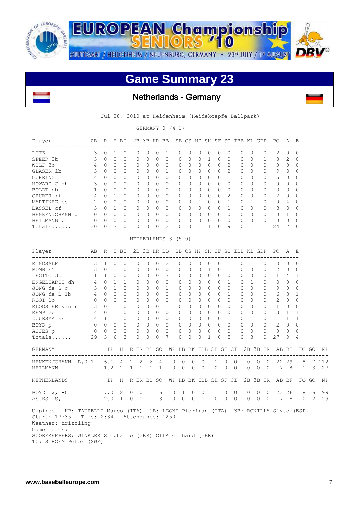![](_page_6_Picture_0.jpeg)

**EUROPEAN Championship** STUTTGART / HEIDENHEIM / NEUENBURG, GERMANY · 23<sup>rd</sup> JULY / 1st AUGUST

L

## **Game Summary 23**

 $710$ 

Netherlands - Germany

Jul 28, 2010 at Heidenheim (Heidekoepfe Ballpark)

GERMANY  $0 (4-1)$ 

| Player         | AB            | R        | Н        | BI        | 2B       | 3B           |          | HR BB          |          | SB CS    | HP        |   | SH SF     | <sub>SO</sub>  | <b>IBB</b>   |           | KL GDP   | PO.           | Α        | E        |
|----------------|---------------|----------|----------|-----------|----------|--------------|----------|----------------|----------|----------|-----------|---|-----------|----------------|--------------|-----------|----------|---------------|----------|----------|
| LUTZ lf        | 3             | O        |          | $\bigcap$ | 0        | $\Omega$     |          |                | 0        | $\Omega$ | $\bigcap$ | 0 | ()        | 0              | O            | $\Omega$  | 0        | 2             | 0        | $\Omega$ |
| SPEER 2b       | $\mathcal{L}$ | $\Omega$ | $\Omega$ | 0         | $\Omega$ | $\Omega$     |          | $\Omega$       | 0        | $\Omega$ | $\Omega$  |   | $\Omega$  | $\Omega$       | $\Omega$     | $\Omega$  |          | 3             | 2        | 0        |
| WULF 3b        | 4             | 0        | $\Omega$ | 0         | $\Omega$ | 0            |          | $\Omega$       | 0        | $\Omega$ | 0         | 0 | $\Omega$  | 2              | $\Omega$     | $\Omega$  | 0        | $\Omega$      | 0        | $\Omega$ |
| GLASER 1b      |               | $\Omega$ | $\Omega$ | $\Omega$  | $\Omega$ | $\Omega$     | $\Omega$ | 1              | $\Omega$ | $\Omega$ | $\Omega$  | 0 | $\Omega$  | $\mathfrak{D}$ | $\Omega$     | $\Omega$  | 0        | 9             | 0        | 0        |
| GUHRING C      | 4             | 0        | $\Omega$ | 0         | $\Omega$ | 0            |          | $\Omega$       | 0        | $\Omega$ | 0         | 0 | $\Omega$  |                | $\Omega$     | $\Omega$  | 0        | 5             | 0        | 0        |
| HOWARD C dh    | २             | $\Omega$ | $\Omega$ | O         | $\Omega$ | $\Omega$     | $\Omega$ | $\Omega$       | 0        | $\Omega$ | U         | 0 | $\Omega$  | $\Omega$       | $\Omega$     | $\Omega$  | 0        | $\Omega$      | $\Omega$ | $\Omega$ |
| BOLDT ph       |               | 0        | $\Omega$ | 0         | $\Omega$ | 0            | $\Omega$ | $\Omega$       | 0        | $\Omega$ | 0         | O | $\Omega$  | O              | $\Omega$     | $\Omega$  | $\Omega$ | $\Omega$      | 0        | 0        |
| GRUBER rf      | 4             | $\Omega$ |          | ∩         | $\Omega$ | $\Omega$     | $\cap$   | $\Omega$       | $\Omega$ | $\Omega$ | $\Omega$  | 0 | $\Omega$  | $\mathcal{L}$  | $\Omega$     | $\Omega$  | 0        | $\mathcal{P}$ | $\Omega$ | $\Omega$ |
| MARTINEZ ss    | $\mathcal{P}$ | $\Omega$ | $\Omega$ | O         | $\Omega$ | 0            | $\Omega$ | $\Omega$       | 0        |          |           | 0 | $\Omega$  |                | $\Omega$     |           | 0        | $\Omega$      | 4        | 0        |
| BASSEL cf      | २             | $\Omega$ |          | ∩         | $\Omega$ | <sup>n</sup> | $\cap$   | $\Omega$       | $\Omega$ | $\cap$   | $\cap$    | U | ∩         |                | $\bigcap$    | $\bigcap$ | 0        | 3             | $\Omega$ | $\Omega$ |
| HENKENJOHANN p |               | $\Omega$ | $\Omega$ | U         | $\Omega$ | $\Omega$     |          | $\Omega$       | U        | $\Omega$ | U         | 0 | $\bigcap$ | O              | <sup>n</sup> | $\Omega$  | $\Omega$ | $\cap$        |          | $\Omega$ |
| HEILMANN p     | 0             | $\Omega$ | $\Omega$ | O         | $\Omega$ | $\Omega$     | ∩        | $\Omega$       | 0        | $\Omega$ | $\Omega$  | 0 | $\Omega$  | $\Omega$       | $\Omega$     | $\Omega$  | 0        | $\Omega$      | O        | $\Omega$ |
| Totals         | 30            | $\Omega$ | 3        | O         | $\Omega$ | 0            |          | $\overline{2}$ | O        |          |           |   | ∩         | 9              | 0            |           |          | 24            |          | $\Omega$ |

| Player<br>-----------------------------                                                                                                                                                                                                                    | AB                                    | R                   |                | H BI           |            |           |                             | 2B 3B HR BB SB CS HP SH SF SO IBB KL GDP |                   |              |                |              |              |                |          |                |                      |                | PO –<br>____________________                         | A E            |              |            |       |
|------------------------------------------------------------------------------------------------------------------------------------------------------------------------------------------------------------------------------------------------------------|---------------------------------------|---------------------|----------------|----------------|------------|-----------|-----------------------------|------------------------------------------|-------------------|--------------|----------------|--------------|--------------|----------------|----------|----------------|----------------------|----------------|------------------------------------------------------|----------------|--------------|------------|-------|
| KINGSALE 1f 3 1                                                                                                                                                                                                                                            |                                       |                     | $\circ$        | $\circ$        | 0          | 0         | 0                           | 2                                        | 0                 | 0            | $\mathbf{0}$   | 0            | $\mathbf{0}$ | 1              |          | 0              | 1                    | $\mathbf{0}$   | 0                                                    | $\Omega$       | $\Omega$     |            |       |
| ROMBLEY cf 3 0                                                                                                                                                                                                                                             |                                       |                     | $\mathbf{1}$   | $\Omega$       | $\Omega$   | $\Omega$  | $\Omega$                    | $\Omega$                                 | $\Omega$          | $\Omega$     | $\Omega$       | $\mathbf{1}$ | $\Omega$     | $\mathbf{1}$   |          | $\Omega$       | $\Omega$             | $\Omega$       | $\overline{2}$                                       | $\overline{0}$ | $\Omega$     |            |       |
| LEGITO 3b                                                                                                                                                                                                                                                  | 1                                     | 1                   | $\bigcap$      | $\Omega$       | $\Omega$   | $\Omega$  | $\Omega$                    | 3                                        | $\bigcap$         | $\Omega$     | $\Omega$       | $\Omega$     | $\Omega$     | $\Omega$       |          | $\bigcap$      | $\Omega$             | $\Omega$       | 1                                                    | $\overline{4}$ | 1            |            |       |
| ENGELHARDT dh                                                                                                                                                                                                                                              |                                       | $4 \quad 0 \quad 1$ |                | 1              | $\Omega$   | $\Omega$  | $\Omega$                    | $\Omega$                                 | $\Omega$          | $\cap$       | $\Omega$       | $\Omega$     | $\bigcap$    | $\mathbf{1}$   |          | $\bigcap$      | $\overline{1}$       | $\Omega$       | $\Omega$                                             | $\bigcirc$     | $\Omega$     |            |       |
| JONG de S c                                                                                                                                                                                                                                                |                                       | $3 \t 0 \t 1$       |                | $\overline{2}$ | $\Omega$   | $\Omega$  | $\Omega$                    | $\mathbf{1}$                             | $\Omega$          | $\Omega$     | $\Omega$       | $\Omega$     | $\Omega$     | $\Omega$       |          | $\Omega$       | $\Omega$             | $\Omega$       | 9                                                    | $\overline{0}$ | $\Omega$     |            |       |
| JONG de B 1b                                                                                                                                                                                                                                               | $4 \quad$                             | $\Omega$            | $\Omega$       | $\Omega$       | $\Omega$   | $\Omega$  | $\Omega$                    | $\Omega$                                 | $\Omega$          | $\Omega$     | $\Omega$       | $\Omega$     | $\Omega$     | $\mathbf{1}$   |          | $\Omega$       | $\Omega$             | $\Omega$       | 6                                                    | 3              | $\mathbf{1}$ |            |       |
| ROOI 1b                                                                                                                                                                                                                                                    | $\Omega$                              | $\bigcap$           | $\Omega$       | $\Omega$       | $\Omega$   | $\Omega$  | $\Omega$                    | $\Omega$                                 | 0                 | $\Omega$     | $\Omega$       | $\Omega$     | $\Omega$     | $\Omega$       |          | $\Omega$       | $\Omega$             | $\Omega$       | $\overline{2}$                                       | $\Omega$       | $\Omega$     |            |       |
| KLOOSTER van rf 30                                                                                                                                                                                                                                         |                                       |                     | $\overline{1}$ | $\Omega$       | $\Omega$   | $\Omega$  | $\Omega$                    | $\overline{1}$                           | $\Omega$          | $\Omega$     | $\Omega$       | $\Omega$     | $\Omega$     | $\Omega$       |          | $\Omega$       | $\Omega$             | $\Omega$       | $\mathbf{1}$                                         | $\Omega$       | $\Omega$     |            |       |
| KEMP 2b                                                                                                                                                                                                                                                    |                                       | 4 0 1               |                | $\Omega$       | $\Omega$   | $\Omega$  | $\Omega$                    | $\bigcirc$                               | $\Omega$          | $\Omega$     | $\Omega$       | $\Omega$     | $\Omega$     | $\Omega$       |          | $\Omega$       | $\Omega$             | $\Omega$       | 3                                                    | 1              | $\mathbf{1}$ |            |       |
| DUURSMA ss 4 1                                                                                                                                                                                                                                             |                                       |                     | $\mathbf{1}$   | $\Omega$       | $\Omega$   | $\Omega$  | $\Omega$                    | $\Omega$                                 | $\Omega$          | $\Omega$     | $\Omega$       | $\Omega$     | $\Omega$     | $\mathbf{1}$   |          | $\Omega$       | $\overline{1}$       | $\Omega$       | $\mathbf{1}$                                         | $\overline{1}$ | $\mathbf{1}$ |            |       |
| BOYD p                                                                                                                                                                                                                                                     |                                       | $0 \quad 0 \quad 0$ |                | $\bigcap$      | $\Omega$   | $\bigcap$ | $\bigcap$                   | $\bigcirc$                               | $\Omega$          | $\Omega$     | $\bigcirc$     | $\Omega$     | $\cap$       | $\Omega$       |          | $\Omega$       | $\Omega$             | $\cap$         | $\overline{2}$                                       | $\bigcirc$     | $\Omega$     |            |       |
| ASJES p                                                                                                                                                                                                                                                    | $0\quad 0\quad 0$                     |                     |                | $\circ$        | $\circ$    | $\circ$   | $\circ$                     | $\overline{0}$                           | 0                 | $\Omega$     | $\circ$        | $\mathbf 0$  | $\circ$      | $\Omega$       |          | $\circ$        | $\bigcirc$           | $\circ$        | $\circ$                                              | $\bigcirc$     | $\Omega$     |            |       |
| Totals                                                                                                                                                                                                                                                     | 29                                    | $\mathcal{E}$       | 6              | 3              | $\Omega$   | $\Omega$  | $\Omega$                    | 7                                        | $\Omega$          | $\Omega$     | $\Omega$       | $\mathbf{1}$ | 0            | 5              |          | $\Omega$       | 3                    | $\Omega$       | 27                                                   | 9              | 4            |            |       |
| <b>GERMANY</b>                                                                                                                                                                                                                                             |                                       |                     |                |                |            |           |                             |                                          |                   |              |                |              |              |                |          |                |                      |                | IP H R ER BB SO WP HB BK IBB SH SF CI 2B 3B HR AB BF |                |              | FO GO      | NP    |
| HENKENJOHANN L, 0-1 6.1 4 2 2                                                                                                                                                                                                                              |                                       |                     |                |                |            | 6         | $\overline{4}$              | $\Omega$                                 | $\circ$           | $\mathbf 0$  | $\Omega$       |              | 1            | $\Omega$       | $\Omega$ |                | $\Omega$<br>$\Omega$ | $\bigcap$      |                                                      | 22 29          | 8            |            | 7 112 |
| HEILMANN                                                                                                                                                                                                                                                   |                                       | 1.2                 |                | 2              |            |           | $1 \quad 1 \quad 1 \quad 1$ | $\circ$                                  | $\mathbf{0}$      | $\mathbf{0}$ | $\circ$        |              | $\circ$      | $\overline{0}$ | $\Omega$ | $\overline{0}$ | $\overline{0}$       | $\bigcirc$     |                                                      | 7 8            | 1            | 3          | 27    |
| NETHERLANDS                                                                                                                                                                                                                                                | IP H R ER BB SO WP HB BK IBB SH SF CI |                     |                |                |            |           |                             |                                          |                   |              |                |              |              |                |          |                |                      | 2B 3B HR       | AB BF                                                |                |              | FO GO      | NP    |
| BOYD W, 1-0 7.0 2 0                                                                                                                                                                                                                                        |                                       |                     |                |                | $\circ$    | 1         | 6                           | $\circ$                                  | 1                 | $\circ$      | $\overline{0}$ |              | $\mathbf{1}$ | $\mathbf{0}$   | $\circ$  | $\circ$        | $\mathbf{0}$         | $\overline{0}$ |                                                      | 23 26          |              | 8 6        | 99    |
| ASJES S, 1                                                                                                                                                                                                                                                 |                                       |                     |                | $2.0 \t1 \t0$  | $\bigcirc$ |           | $1 \quad 3$                 |                                          | $0\quad 0\quad 0$ |              | $\bigcirc$     |              | $0\quad 0$   |                | $\Omega$ |                | $0\quad 0$           |                | $0 \qquad 7 \qquad 8$                                |                |              | $0\quad 2$ | 29    |
| Umpires - HP: TAURELLI Marco (ITA) 1B: LEONE Pierfran (ITA) 3B: BONILLA Sixto (ESP)<br>Start: 17:35 Time: 2:34 Attendance: 1250<br>Weather: drizzling<br>Game notes:<br>SCOREKEEPERS: WINKLER Stephanie (GER) GILK Gerhard (GER)<br>TC: STROEM Peter (SWE) |                                       |                     |                |                |            |           |                             |                                          |                   |              |                |              |              |                |          |                |                      |                |                                                      |                |              |            |       |

NETHERLANDS 3 (5-0)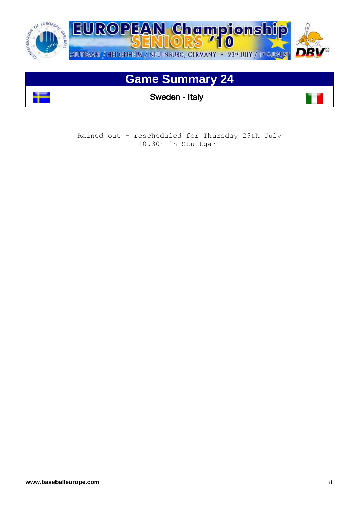![](_page_7_Picture_0.jpeg)

## **Game Summary 24**

Sweden - Italy

Rained out – rescheduled for Thursday 29th July 10.30h in Stuttgart

 $\mathbf{r}$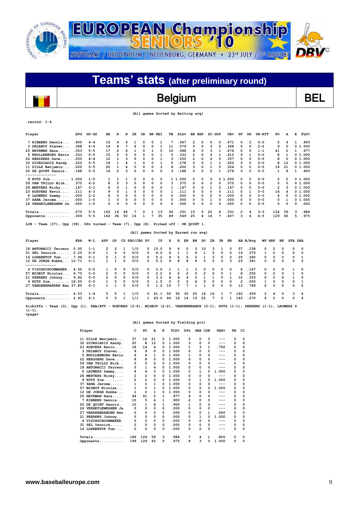![](_page_8_Picture_0.jpeg)

## Belgium BEL

### **(All games Sorted by Batting avg)**

| AVG<br>Player                | $GP - GS$ | AB  | R            | н  | 2B           | 3B | HR | RBI | TВ  | SLG <sup>8</sup> | BB | HBP      | so | GDP            | OB <sub>8</sub> | SF           | SH             | <b>SB-ATT</b> | PO  | А  | Е | FLD <sup>8</sup> |
|------------------------------|-----------|-----|--------------|----|--------------|----|----|-----|-----|------------------|----|----------|----|----------------|-----------------|--------------|----------------|---------------|-----|----|---|------------------|
| 7 RIBBENS Dennis<br>.400     | $4 - 4$   | 15  | 4            | 6  |              | 0  | 0  |     |     | 467              | 2  | 0        | 0  | <sup>0</sup>   | .471            | 0            | $\overline{2}$ | $0 - 0$       | 5   |    |   | .900             |
| .368<br>3 DELANOY Steven     | $4 - 4$   | 19  | 4            | 7  |              | 0  | 0  |     | 11  | .579             | 0  | 0        | 3  |                | .368            | $\Omega$     | $^{\circ}$     | $2 - 2$       | 9   |    |   | 0 1.000          |
| .353<br>25 HEYRMAN Hans      | $5 - 5$   | 17  | 2            | 6  |              | 0  |    | 5   | 10  | 588              | 4  | 0        | ٩  |                | .476            | 0            | 0              | $1 - 1$       | 41  |    |   | . 977            |
| .333<br>5 KNOLLENBURG Kevin  | $5 - 5$   | 15  | 0            | 5  | 0            | 0  | 0  |     | 5   | 333              | 2  | 0        | 4  |                | .412            | 0            |                | $0 - 0$       | 8   |    |   | 0 1.000          |
| 22 HERSSENS Dave<br>.250     | $4 - 4$   | 12  |              | ٩  | $\Omega$     | 0  | 0  |     |     | 250              | 2  | $\Omega$ | 2  |                | .357            | <sup>0</sup> | $\Omega$       | $0 - 0$       | 8   |    |   | 01.000           |
| .222<br>32 GIORGIADIS Randy. | $5 - 5$   | 18  |              |    |              | 0  | 0  |     | 5   | 278              | 0  | 0        |    |                | 222             | 0            | $\Omega$       | $0 - 0$       | 8   | 12 |   | 01.000           |
| 11 DILLE Benjamin<br>.200    | $5 - 5$   | 20  |              | 4  | 0            | 0  | 0  | 3   | 4   | 200              | 3  | 0        |    |                | .304            | 0            | 0              | $0 - 0$       | 16  | 21 |   | 01.000           |
| .188<br>20 DE QUINT Dennis   | $5 - 5$   | 16  |              | 3  | 0            | 0  | 0  | 0   |     | 188              | 2  | 0        | 2  |                | .278            | 0            | O              | $0 - 0$       |     | 8  |   | .900             |
| . - - - - - - - - - - - -    |           |     |              |    |              |    |    |     |     |                  |    |          |    |                |                 |              |                |               |     |    |   |                  |
| 9 RUTS Sim 1.000             | $1 - 0$   |     |              |    | 0            | 0  | 0  | 0   | 1 1 | .000             | 0  | 0        | 0  | 0 <sub>1</sub> | . 000           | 0            | 0              | $0 - 0$       | 2   | 0  |   | 01.000           |
| 59 VAN THILLO Nick<br>.375   | $4 - 2$   | 8   | 0            | 3  | 0            | 0  | 0  | 0   | 3   | 375              | 0  | 0        | 2  |                | . 375           | 0            | 0              | $0 - 0$       | 5   |    |   | 0 1.000          |
| .167<br>28 MERTENS Nicky     | $3 - 1$   | 6   | <sup>0</sup> |    | <sup>0</sup> | 0  | 0  | 0   |     | 167              | O. | O        |    |                | .167            | 0            | $\Omega$       | $0 - 0$       | 2   |    |   | 01.000           |
| 23 ROEVENS Kevin<br>.111     | $4 - 3$   | 9   | 0            |    | 0            | 0  | 0  | 0   |     | .111             | 0  | 0        | 0  |                | . 111           | 0            |                | $0 - 0$       | 14  |    |   | 01.000           |
| .000<br>6 LAUWERS Sammy      | $2 - 2$   | 6   | n            | O  | 0            | 0  | 0  | 0   | 0   | .000             | 0  | 0        | 2  |                | .000            | 0            | 0              | $0 - 0$       | 4   |    |   | 0 1.000          |
| .000<br>37 SANA Jerome       | $1 - 0$   |     | 0            | 0  | $\Omega$     | 0  | 0  | 0   | 0   | .000             | 0  | 0        |    |                | .000            | 0            | $\Omega$       | $0 - 0$       | 0   |    |   | 01.000           |
| .000<br>24 VERHEYLEWEGHEN Ja | $1 - 0$   | 0   | 0            | 0  | 0            | ٥  | 0  | 0   | 0   | 000              | 0  | 0        | 0  |                | .000            | 0            | 0              | $0 - 0$       | 0   |    | 0 | .000             |
| .270                         | $5 - 5$   | 163 | 16           | 44 |              | 0  |    | 13  | 54  | .331             | 15 | 0        | 22 | <b>հ</b>       | . 331           | $\Omega$     | 4              | $3 - 3$       | 124 | 59 | 3 | .984             |
| .309<br>Opponents            | $5 - 5$   | 162 | 36           | 50 | 16           |    |    | 35  | 89  | .549             | 25 | 4        | 16 |                | .407            | 3            |                | $4 - 5$       | 129 | 65 | 5 | .975             |

**LOB - Team (37), Opp (38). DPs turned - Team (7), Opp (8). Picked off - DE QUINT 1.** 

### **(All games Sorted by Earned run avg)**

| Player                     | ERA  | W-L     | APP            | GS         |            | CG SHO/CBO SV |          | IP   | н        | R             | ER             | BB       | so           | 2в             | зв         | HR           |               | AB B/Ava | WP HBP        |          | вĸ         | <b>SFA SHA</b> |                |
|----------------------------|------|---------|----------------|------------|------------|---------------|----------|------|----------|---------------|----------------|----------|--------------|----------------|------------|--------------|---------------|----------|---------------|----------|------------|----------------|----------------|
| 18 ANTONACCI Terrenc       | 0.00 | $1 - 1$ | $\overline{2}$ | 2          |            | 1/0           | 0        | 15.0 | 9        | 6             | $\Omega$       | 3        | 10           | ٩              |            | 0            | 57            | . 158    | $\Omega$      | 2        | $\Omega$   | 0              | - 0            |
| 31 SEL Yannick             | 2.25 | $0 - 0$ |                | $\Omega$   | $\Omega$   | 0/0           | 0        | 4.0  | 6        |               |                | 6        |              | $\overline{2}$ | $^{\circ}$ | 0            | 16            | .375     |               | $\Omega$ | $^{\circ}$ | 0              | $\Omega$       |
| 16 LORRENTOP Tom           | 7.94 | $0 - 1$ | $\mathcal{P}$  |            | $\Omega$   | 0/0           | 0        | 5.2  | ۹        | 5.            | 5.             | 2        |              | 3              | 0          | $\mathbf{2}$ | 25            | .360     | n.            | 0        | $^{\circ}$ | $\Omega$       |                |
| 12 DE JONGH Robbe 12.71    |      | $0 - 1$ |                |            | 0          | 0/0           | 0        | 5.2  | ۹        | 8             | 8              | 4        | <sup>0</sup> | $\mathcal{P}$  | $\Omega$   |              | 23            | .391     | n.            | $\Omega$ | $\Omega$   | $\Omega$       | $\overline{2}$ |
|                            |      |         |                |            |            |               |          |      |          |               |                |          |              |                |            |              |               |          |               |          |            |                |                |
| 4 VISCHSCHOONMAKER.        | 4.50 | $0 - 0$ |                | 0          | $^{\circ}$ | 0/0           | 0        | 2.0  |          |               |                | 3        | <sup>0</sup> | $\Omega$       | 0          | $^{\circ}$   | 6.            | . 167    | n.            | 0        | 0          |                | - 0            |
| 57 MIGEOT Nicolas          | 6.75 | $0 - 0$ | $\mathcal{P}$  | $^{\circ}$ | $\Omega$   | 0/0           | 0        | 2.2  | 2        | 2             | $\overline{2}$ | $\Omega$ | 2            | $^{\circ}$     | $\Omega$   |              | 8             | . 250    | n.            | 2        | n.         |                | $\Omega$       |
| 21 PEERENS Johnny          | 9.82 | $0 - 0$ | $\mathcal{P}$  | $^{\circ}$ | $\Omega$   | 0/0           | $\Omega$ | 3.2  |          | Δ             | 4              | 2        |              |                | $\Omega$   |              | 12            | .333     | $\Omega$      | $\Omega$ | $\Omega$   |                | $\Omega$       |
| 9 RUTS Sim 18.00           |      | $0 - 0$ |                | $\Omega$   | $\Omega$   | 0/0           | $\Omega$ | 1.0  | $\Omega$ | $\mathcal{P}$ | $\mathcal{P}$  | 4        |              | $\Omega$       | $\Omega$   | $\Omega$     | $\mathcal{P}$ | .000     |               | $\Omega$ | $\Omega$   | <sup>0</sup>   |                |
| 27 VANDENBRANDEN Ken 37.80 |      | $0 - 1$ |                |            | 0          | 0/0           | 0        | 1.2  | 10       |               |                |          |              | 5              | $\Omega$   | $\Omega$     | 13            | .769     | n.            | $\Omega$ | $\Omega$   | $\Omega$       | $\Omega$       |
| $Totals$ 6.53              |      | $1 - 4$ | 5.             | 5          |            | 1/0           | n.       | 41.1 | 50       | 36            | 30             | 25       | 16           | 16             |            |              | 162           | .309     | $\mathcal{P}$ | 4        | $\Omega$   | ٩              |                |
| Opponents                  | 2.93 | $4 - 1$ | 5.             | 5          |            | 1/1           |          | 43.0 | 44       | 16            | 14             | 15       | 22           | 7              | $^{\circ}$ |              | 163           | . 270    | 6             | $\Omega$ | $^{\circ}$ | 0              | -4             |

**Pickoffs - Team (0), Opp (1). SBA/ATT - ROEVENS (3-4), MIGEOT (2-2), VANDENBRANDE (0-1), RUTS (1-1), PEERENS (1-1), LAUWERS S (1-1). <page>**

### **(All games Sorted by Fielding pct)**

|                 | Player                   | c   | PO  | A  | Е        | FLD <sup>8</sup> | <b>DPs</b>   | SBA CSB        |   | SBA <sup>8</sup> | PB       | CI       |
|-----------------|--------------------------|-----|-----|----|----------|------------------|--------------|----------------|---|------------------|----------|----------|
|                 | 11 DILLE Benjamin        | 37  | 16  | 21 | 0        | 1.000            | 5            | 0              | 0 | $---$            | 0        | 0        |
|                 | 32 GIORGIADIS Randv.     | 20  | 8   | 12 | 0        | 1.000            | 3            | 0              | 0 | $---$            | 0        | 0        |
|                 | 23 ROEVENS Kevin         | 18  | 14  | 4  | 0        | 1.000            | 1            | 3              | 1 | .750             | 0        | $\Omega$ |
|                 | 3 DELANOY Steven         | 9   | 9   | 0  | 0        | 1.000            | 0            | 0              | 0 | ---              | 0        | $\Omega$ |
|                 | KNOLLENBURG Kevin<br>5.  | 9   | 8   | 1  | 0        | 1.000            | 1            | 0              | 0 | ---              | 0        | 0        |
|                 | 22 HERSSENS Dave         | 8   | 8   | 0  | 0        | 1.000            | O            | 0              | 0 | ---              | 0        | 0        |
|                 | 59 VAN THILLO Nick       | 5   | 5   | 0  | $\Omega$ | 1.000            | 0            | 0              | 0 | ---              | 0        | 0        |
| 18              | <b>ANTONACCI Terrenc</b> | 5   | 1   | 4  | 0        | 1.000            | 0            | 0              | 0 | ---              | 0        | 0        |
|                 | 6 LAUWERS Sammy          | 4   | 4   | 0  | 0        | 1.000            | 0            | 1              | 0 | 1.000            | 0        | $\Omega$ |
|                 | 28 MERTENS Nicky         | 2   | 2   | 0  | 0        | 1.000            | 0            | 0              | 0 |                  | 0        | 0        |
|                 | $9$ RUTS $Sim$           | 2   | 2   | 0  | 0        | 1.000            | 0            | 1              | 0 | 1.000            | 0        | 0        |
| 37              | SANA Jerome              | 1   | 0   | 1  | $\Omega$ | 1.000            | 0            | 0              | 0 | ---              | 0        | 0        |
|                 | 57 MIGEOT Nicolas        | 1   | 0   | 1  | 0        | 1.000            | 0            | $\overline{2}$ | 0 | 1.000            | 0        | $\Omega$ |
| 12 <sup>2</sup> | DE JONGH Robbe           | 1   | 0   | 1  | $\Omega$ | 1.000            | 0            | 0              | 0 | ---              | $\Omega$ | 0        |
|                 | 25 HEYRMAN Hans          | 44  | 41  | 2  | 1        | .977             | 6            | 0              | 0 | ---              | 0        | 0        |
|                 | 7 RIBBENS Dennis         | 10  | 5   | 4  | 1        | .900             | 2            | O              | 0 | ---              | 0        | 0        |
|                 | 20 DE QUINT Dennis       | 10  | 1   | 8  | 1        | .900             | 1            | 0              | 0 | ---              | 0        | 0        |
|                 | 24 VERHEYLEWEGHEN Ja     | 0   | 0   | 0  | 0        | .000             | <sup>0</sup> | 0              | 0 | $---$            | 0        | 0        |
| 27              | VANDENBRANDEN Ken        | 0   | 0   | 0  | 0        | .000             | 0            | 0              | 1 | .000             | 0        | $\Omega$ |
|                 | 21 PEERENS Johnny        | 0   | 0   | 0  | 0        | .000             | 0            | 1              | 0 | 1.000            | 0        | 0        |
|                 | 4 VISCHSCHOONMAKER.      | 0   | 0   | 0  | 0        | .000             | 0            | $\Omega$       | 0 | ---              | 0        | 0        |
|                 | 31 SEL Yannick           | 0   | 0   | 0  | 0        | .000             | 0            | 0              | 0 |                  | 0        | 0        |
|                 | 16 LORRENTOP Tom         | 0   | 0   | 0  | 0        | .000             | 0            | 0              | 0 | ---              | 0        | 0        |
|                 | Totals<br>.              | 186 | 124 | 59 | 3        | .984             | 7            | 4              | 1 | .800             | 0        | 0        |
|                 | Opponents                | 199 | 129 | 65 | 5        | . 975            | 8            | 3              | 0 | 1.000            | 0        | $\Omega$ |

 $\overline{\phantom{a}}$ 

**record: 1-4**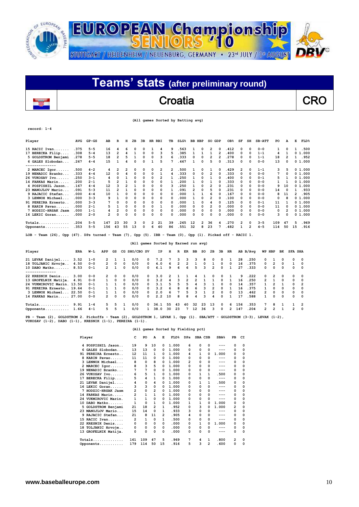![](_page_9_Picture_0.jpeg)

| Teams' stats (after preliminary round) |            |
|----------------------------------------|------------|
| Croatia                                | <b>CRO</b> |
| (All games Sorted by Batting avg)      |            |

### **record: 1-4**

| Player              | AVG  | $GP - GS$ | AB  | R  | н  | 2B       | 3B | <b>HR</b> | RBI | TВ | $SLG$ <sup>8</sup> | BB | HBP            | so             | GDP | OB <sub>8</sub> | SF | SH       | $SB-ATT$ | PO              | A              | Е              | FLD     |
|---------------------|------|-----------|-----|----|----|----------|----|-----------|-----|----|--------------------|----|----------------|----------------|-----|-----------------|----|----------|----------|-----------------|----------------|----------------|---------|
| 15 RACIC Ivan       | .375 | $5 - 5$   | 16  | 4  | 6  | 0        | 0  |           | 4   | 9  | .563               |    | 0              | 2              | 0   | .412            | 0  | $\Omega$ | $0 - 0$  |                 | 0              |                | .500    |
| 17 BERECKA Filip    | .308 | $5 - 4$   | 13  | 2  | 4  |          | 0  | 0         | 3   | 5  | .385               |    |                |                | 2   | .400            | 0  | 0        | $1 - 1$  | 4               |                |                | 0 1.000 |
| 5 GOLDSTROM Benjami | .278 | $5 - 5$   | 18  | 2  | 5  |          | 0  | 0         | 3   | 6  | 333                | 0  | 0              | 2              | 2   | .278            | 0  | 0        | $1 - 1$  | 18              | $\overline{2}$ |                | .952    |
| 6 GALES Slobodan    | .267 | $4 - 4$   | 15  |    | 4  | 0        | 0  |           | 5   |    | .467               |    | $\Omega$       | 5              | O   | .313            | O  | 0        | $0 - 0$  | 13              | $\Omega$       |                | 0 1.000 |
| --------------      |      |           |     |    |    |          |    |           |     |    |                    |    |                |                |     |                 |    |          |          |                 |                |                |         |
| 2 MARCEC Igor       | .500 | $4 - 2$   | 4   | 2  | 2  | 0        | 0  | 0         | 2   | 2  | .500               |    | 0              |                | 0   | . 429           | 2  | $\Omega$ | $1 - 1$  | 3               | 5              |                | 01.000  |
| 19 NENADIC Branko   | .333 | $4 - 4$   | 12  | 0  | 4  | 0        | 0  | 0         |     | 4  | .333               | 0  | $\Omega$       | 2              | o   | . 333           | 0  | $\Omega$ | $0 - 0$  | $7\phantom{.0}$ | 0              |                | 0 1.000 |
| 26 VUKOSAV Ivo      | .250 | $3 - 1$   | 4   | n  |    | 0        | 0  | 0         | 2   |    | .250               |    | 0              |                | O   | .400            | 0  | 0        | $0 - 1$  | 5               |                |                | 01.000  |
| 14 FARKAS Marin     | .200 | $2 - 1$   | 5   |    |    | $\Omega$ | 0  | 0         | 0   |    | 200                |    | 0              |                | O   | . 333           | 0  | 0        | $0 - 0$  |                 |                |                | 0 1.000 |
| 4 POSPISHIL Jason   | .167 | $4 - 4$   | 12  |    | 2  |          | 0  | 0         | 0   | 3  | .250               |    | $\Omega$       | 2              | O   | . 231           | 0  | $\Omega$ | $0 - 0$  | 9               | 10             |                | 0 1.000 |
| 23 MANOJLOV Mario   | .091 | $5 - 3$   | 11  | 2  |    | 0        | 0  | 0         | 0   | 1  | .091               | 2  | 0              | 5              | O   | .231            | 0  | 0        | $0 - 0$  | 14              | 0              |                | . 933   |
| 9 RAJACIC Stefan    | .000 | $4 - 4$   | 10  |    | O  | 0        | 0  | 0         | 0   | 0  | .000               |    |                | 6              | O   | . 167           | 0  | $\Omega$ | $0 - 0$  | 8               | 11             | $\overline{2}$ | .905    |
| 3 LENNOX Michael    | .000 | $3 - 3$   | 9   |    | 0  | 0        | 0  | 0         | 0   | 0  | . 000              |    | 0              | 2              | O   | .100            | O  | $\Omega$ | $0 - 0$  | 0               | 8              |                | 0 1.000 |
| 91 PEREIRA Ernesto  | .000 | $3 - 3$   | 7   | 0  | 0  | 0        | 0  | 0         | 0   | 0  | .000               |    | 0              |                | O   | .125            | O  | $\Omega$ | $0 - 1$  | 11              |                |                | 01.000  |
| 8 KARIN Pavao       | .000 | $2 - 1$   | 5   |    | O  | 0        | 0  | 0         |     | 0  | .000               | 0  | $\Omega$       | $\overline{2}$ | O   | .000            | 0  | $\Omega$ | $0 - 0$  | 11              | 0              |                | 0 1.000 |
| 7 HODZIC-HRSAK Jasm | .000 | $1 - 1$   | 4   | 2  | 0  | 0        | 0  | 0         | 0   | 0  | .000               | 0  | 0              | 0              | 0   | .000            | 0  | 0        | $0 - 0$  | 0               | $\overline{2}$ |                | 01.000  |
| 16 LEKIC Goran      | .000 | $2 - 0$   | 2   | 0  | 0  | 0        | 0  | 0         | 0   | 0  | .000               | 0  | 0              | 0              | O   | .000            | O  | $\Omega$ | $0 - 0$  | 3               | $\Omega$       |                | 01.000  |
| $Totals$            | .204 | $5 - 5$   | 147 | 23 | 30 | 3        | 0  | 2         | 21  | 39 | .265               | 12 | $\overline{2}$ | 36             |     | .270            | 2  | 0        | $3 - 5$  | 109             | 47             | 5              | . 969   |
| Opponents           | .353 | $5 - 5$   | 156 | 43 | 55 | 13       | 0  | 6         | 40  | 86 | .551               | 32 | 8              | 23             |     | .482            |    | 2        | $4 - 5$  | 114             | 50             | 15             | .916    |

**LOB - Team (26), Opp (47). DPs turned - Team (7), Opp (5). IBB - Team (0), Opp (1). Picked off - RACIC 1.** 

|                                 |      |         |                |          |            | (All games Sorted by Earned run avg) |              |      |    |              |               |    |    |                |            |          |     |          |                |                |          |                |                |
|---------------------------------|------|---------|----------------|----------|------------|--------------------------------------|--------------|------|----|--------------|---------------|----|----|----------------|------------|----------|-----|----------|----------------|----------------|----------|----------------|----------------|
| Player                          | ERA  | W-L     | APP            | GS       |            | CG SHO/CBO SV                        |              | IP.  | н  | R            | ER            | ВB | so | 2B             | 3B         | HR       |     | AB B/Avq | WP HBP         |                | вĸ       | <b>SFA SHA</b> |                |
| 21 LEVAK Danijel                | 3.52 | $1 - 0$ | $\overline{2}$ |          |            | 0/0                                  | 0            | 7.2  |    | 3.           | 3             | 3  | 8  | $\Omega$       | $^{\circ}$ |          | 28  | . 250    | 0              |                | 0        | 0              | $\Omega$       |
| 18 TOLJANIC Hrvoje              | 4.50 | $0 - 0$ | $\overline{2}$ | $\Omega$ | $\Omega$   | 0/0                                  | $^{\circ}$   | 4.0  | 6  | $\mathbf{2}$ | $\mathcal{P}$ |    |    |                | $\Omega$   | $\Omega$ | 16  | .375     | $^{\circ}$     | $\overline{2}$ | 0        |                | $\Omega$       |
| $10$ DABO Matko<br>------------ | 8.53 | $0 - 1$ | $\mathbf{2}$   |          | 0          | 0/0                                  | 0            | 6.1  | 9  | 6            | 6             | 5  | ٦  | $\mathbf{2}$   | $^{\circ}$ |          | 27  | .333     | 0              | $\Omega$       | 0        | 0              | $\Omega$       |
| 22 KRESNIK Denis                | 3.00 | $0 - 0$ | $\overline{2}$ | $\Omega$ | $^{\circ}$ | 0/0                                  | 0            | 3.0  |    |              |               |    |    | 0              | $\Omega$   |          | ٩   | .222     | $\Omega$       | $\overline{2}$ | 0        | 0              | - 0            |
| 13 GROFELNIK Matija.            | 4.91 | $0 - 0$ |                | $\Omega$ | $\Omega$   | 0/0                                  | 0            | 3.2  | 4  | ٦            | $\mathcal{P}$ | 2  |    |                | $\Omega$   |          | 16  | .250     | $\mathbf{2}$   |                | $\Omega$ | 0              | $\Omega$       |
| 24 VUKMIROVIC Marin. 13.50      |      | $0 - 1$ |                |          | $\Omega$   | 0/0                                  | 0            | 3.1  | 5  | 5            | 5             |    |    |                | $\Omega$   | 0        | 14  | .357     |                | $\mathcal{P}$  |          | 0              | $\overline{2}$ |
| 91 PEREIRA Ernesto 19.64        |      | $0 - 1$ |                |          | $\Omega$   | 0/0                                  | <sup>o</sup> | 3.2  | 6  | 8            | 8             | 6  |    | $\overline{2}$ | $\Omega$   |          | 16  | .375     | $\mathbf{1}$   | $\Omega$       | $\Omega$ | 0              | $^{\circ}$     |
| 3 LENNOX Michael 22.50          |      | $0 - 1$ |                |          | $\Omega$   | 0/0                                  | $\Omega$     | 2.0  | 6  |              | 5             | 3  |    | $\mathbf{2}$   | $\Omega$   | $\Omega$ | 13  | .462     | $\overline{2}$ | $\Omega$       | $\Omega$ | 0              | - 0            |
| 14 FARKAS Marin 27.00           |      | $0 - 0$ | $\mathbf{2}$   | 0        | 0          | 0/0                                  | 0            | 2.2  | 10 | 8            | 8             | 4  | ٩  | 4              | $\Omega$   |          | 17  | .588     |                | $\Omega$       | 0        | 0              | $\Omega$       |
| $Totals$                        | 9.91 | $1 - 4$ | 5.             | 5.       |            | 0/0                                  | n.           | 36.1 | 55 | 43           | 40            | 32 | 23 | 13             | $\Omega$   | 6        | 156 | .353     | $7^{\circ}$    | 8              |          |                |                |
| Opponents                       | 1.66 | $4 - 1$ | 5.             |          |            | 0/0                                  |              | 38.0 | 30 | 23           |               | 12 | 36 | 3              | $\Omega$   |          | 147 | .204     | 2              | $\mathcal{P}$  |          | 2              | $\Omega$       |

**PB - Team (2), GOLDSTROM 2. Pickoffs - Team (2), GOLDSTROM 1, LEVAK 1, Opp (1). SBA/ATT - GOLDSTROM (3-3), LEVAK (1-2), VUKOSAV (1-2), DABO (1-1), KRESNIK (1-1), PEREIRA (1-1).** 

| Player |                      | c              | PO           | A              | E  | FLD <sup>8</sup> | DPs | SBA CSB  |   | SBA <sup>8</sup> | PB | CI          |
|--------|----------------------|----------------|--------------|----------------|----|------------------|-----|----------|---|------------------|----|-------------|
|        | 4 POSPISHIL Jason    | 19             | 9            | 10             | 0  | 1.000            | 6   | 0        | 0 | ---              | 0  | $\Omega$    |
|        | 6 GALES Slobodan     | 13             | 13           | 0              | 0  | 1.000            | 0   | 0        | 0 | ---              | 0  | 0           |
| 91     | PEREIRA Ernesto      | 12             | 11           | 1              | 0  | 1.000            | 4   | 1        | 0 | 1.000            | 0  | 0           |
|        | 8 KARIN Pavao        | 11             | 11           | 0              | 0  | 1.000            | 0   | 0        | 0 | ---              | 0  | 0           |
|        | 3 LENNOX Michael     | 8              | 0            | 8              | 0  | 1.000            | 2   | 0        | 0 | ---              | 0  | 0           |
|        | 2 MARCEC Igor        | 8              | 3            | 5              | 0  | 1.000            | 0   | 0        | 0 | ---              | 0  | 0           |
|        | 19 NENADIC Branko    | 7              | 7            | 0              | 0  | 1.000            | 0   | 0        | 0 | ---              | 0  | 0           |
|        | 26 VUKOSAV Ivo       | 6              | 5            | 1              | 0  | 1.000            | 0   | 1        | 1 | .500             | 0  | 0           |
|        | 17 BERECKA Filip     | 5              | 4            | 1              | 0  | 1.000            | 0   | 0        | 0 | ---              | 0  | 0           |
|        | 21 LEVAK Danijel     | 4              | 0            | 4              | 0  | 1.000            | 0   | 1        | 1 | .500             | 0  | 0           |
|        | 16 LEKIC Goran       | з              | 3            | 0              | 0  | 1.000            | 0   | 0        | 0 | ---              | 0  | 0           |
|        | HODZIC-HRSAK Jasm    | $\overline{2}$ | $\Omega$     | $\overline{2}$ | 0  | 1.000            | 0   | 0        | 0 | ---              | 0  | 0           |
|        | 14 FARKAS Marin      | 2              | $\mathbf{1}$ | 1              | 0  | 1.000            | 0   | 0        | 0 | ---              | 0  | $\mathbf 0$ |
|        | 24 VUKMIROVIC Marin. | 1              | 1            | 0              | 0  | 1.000            | 0   | 0        | 0 | ---              | 0  | 0           |
|        | 10 DABO Matko        | 1              | $\Omega$     | 1              | 0  | 1.000            | 1   | 1        | 0 | 1.000            | 0  | 0           |
|        | 5 GOLDSTROM Benjami  | 21             | 18           | 2              | 1  | .952             | 0   | з        | 0 | 1.000            | 2  | $\Omega$    |
|        | 23 MANOJLOV Mario    | 15             | 14           | $\Omega$       | 1  | .933             | 3   | 0        | 0 | ---              | 0  | $\Omega$    |
|        | 9 RAJACIC Stefan     | 21             | 8            | 11             | 2  | .905             | 4   | $\Omega$ | 0 | ---              | 0  | 0           |
|        | $15$ RACIC Ivan      | 2              | 1            | 0              | 1  | .500             | 0   | 0        | 0 | ---              | 0  | 0           |
|        | 22 KRESNIK Denis     | 0              | 0            | 0              | 0  | .000             | 0   | 1        | 0 | 1.000            | 0  | $\Omega$    |
|        | 18 TOLJANIC Hrvoje   | 0              | 0            | 0              | 0  | .000             | 0   | 0        | 0 | ---              | 0  | 0           |
|        | 13 GROFELNIK Matija. | 0              | 0            | 0              | 0  | .000             | 0   | 0        | 0 | ---              | 0  | 0           |
|        | $Totals$             | 161            | 109          | 47             | 5  | . 969            | 7   | 4        | 1 | .800             | 2  | 0           |
|        | Opponents            | 179            | 114          | 50             | 15 | . 916            | 5   | 3        | 2 | .600             | 0  | $\Omega$    |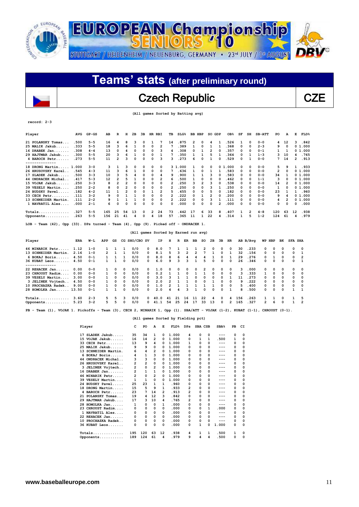![](_page_10_Picture_0.jpeg)

## Czech Republic  $\qquad \qquad$  CZE

 **(All games Sorted by Batting avg)**

| Player                    | AVG   | $GP - GS$ | AВ  | R        | н  | 2в       | 3B | HR       | RBI | TВ | $SLG\$ | BB | HBP      | so             | GDP      | OB <sub>8</sub> | SF           | SH           | $SB-ATT$ | PO  | А        | Е  | <b>FLD%</b> |
|---------------------------|-------|-----------|-----|----------|----|----------|----|----------|-----|----|--------|----|----------|----------------|----------|-----------------|--------------|--------------|----------|-----|----------|----|-------------|
| 21 POLANSKY Tomas         | .500  | $5 - 5$   | 16  | 4        | 8  | 3        | 0  |          |     | 14 | .875   | 2  | 0        | 4              |          | .526            |              | $\mathbf{o}$ | $0 - 0$  | 4   | 12       | 3  | .842        |
| 25 MALIK Jakub            | .333  | $5 - 5$   | 18  | з        | 6  |          | 0  | $\Omega$ | 2   |    | .389   |    | 0        |                |          | . 368           | 0            | $\Omega$     | $2 - 3$  | 9   | $\Omega$ |    | 0 1.000     |
| $16$ DRABEK Jan           | .308  | $4 - 4$   | 13  | 0        |    | $\Omega$ | 0  | 0        | 3   | 4  | 308    | ٥  |          |                |          | .357            | 0            | 0            | $0 - 1$  |     |          |    | 01.000      |
| 29 HAJTMAR Jakub          | .300  | $5 - 5$   | 20  | ٦        | 6  |          | 0  | 0        |     |    | .350   |    |          | 5              |          | .364            | 0            |              | $1 - 3$  | 3   | 10       | 4  | .765        |
| 4 BAROCH Petr             | .273  | $5 - 5$   | 11  | 2        | ٩  | $\Omega$ | 0  | $\Omega$ | 3   |    | .273   | 6  | O        |                | n        | .529            | <sup>0</sup> |              | $0 - 0$  | 7   | 14       | 2  | .913        |
| . - - - - - - - - - - - - |       |           |     |          |    |          |    |          |     |    |        |    |          |                |          |                 |              |              |          |     |          |    |             |
| 18 DRONG Martin 1.000     |       | $3 - 0$   | 3   |          | ٩  | 0        | 0  | $\Omega$ | 0   |    | 31.000 |    | 0        | 0              |          | 01.000          | 0            | 0            | $0 - 0$  | 5   | 9        |    | .933        |
| 26 HRUSOVSKY Karel        | .545  | $4 - 3$   | 11  |          |    |          | 0  | $\Omega$ | 0   |    | . 636  |    | $\Omega$ |                |          | . 583           | 0            | $\Omega$     | $0 - 0$  | 2   | $\Omega$ |    | 01.000      |
| 17 SLADEK Jakub.          | .500  | $3 - 3$   | 10  |          |    |          | 0  | 0        | 4   | 9  | .900   |    |          | ٩              |          | .583            | 0            | 0            | $0 - 0$  | 34  |          |    | 0 1.000     |
| 44 ONDRACEK Michal        | .417  | $5 - 3$   | 12  | 2        | 5  |          | O  | 0        | 2   | 6  | . 500  |    | 0        | 0              | 0        | .462            | 0            | $\Omega$     | $1 - 1$  | 3   | $\Omega$ |    | 0 1.000     |
| 15 VOJAK Jakub            | . 250 | $3 - 3$   | 8   | 2        |    | $\Omega$ | 0  | 0        | 0   |    | .250   | 3  | 2        | 3              | $\Omega$ | .538            | 0            | $\Omega$     | $0 - 0$  | 14  |          |    | 0 1.000     |
| 39 VESELY Martin          | .250  | $2 - 2$   | 8   | 0        |    | 0        | 0  | 0        | 0   | 2  | 250    | O  | 0        | 3              |          | 250             | 0            | 0            | $0 - 0$  |     | O        |    | 0 1.000     |
| 24 BUDSKY Pavel.          | .182  | $4 - 2$   | 11  |          |    | $\Omega$ | 0  |          | 2   | 5  | .455   | 0  | $\Omega$ | 5              | O        | .182            | 0            | 0            | $0 - 0$  | 23  |          |    | .960        |
| 33 CECH Petr.             | .111  | $3 - 2$   | 9   | $\Omega$ |    |          | 0  | 0        | 0   |    | .222   | 0  |          | $\overline{2}$ | n        | .200            | 0            | $\Omega$     | $0 - 0$  | 9   |          |    | 0 1.000     |
| 13 SCHNEIDER Martin.      | . 111 | $2 - 2$   | 9   |          |    |          | 0  | 0        | 0   | 2  | . 222  | 0  | o        | з              |          | 111             | 0            | 0            | $0 - 0$  | 4   |          |    | 01.000      |
| 1 NAVRATIL Ales.          | .000  | $2 - 1$   | 6   | 0        | n  | 0        | O  | 0        | 0   | 0  | .000   | n  | 0        | O              | 2        | .000            | 0            | $\Omega$     | $0 - 0$  | 0   | 0        | 0  | .000        |
| $Totals$                  | .327  | $5 - 5$   | 165 | 25       | 54 | 13       | 0  | 2        | 24  | 73 | .442   | 17 | 6        | 33             | 8        | .407            |              | 2            | $4 - 8$  | 120 | 63       | 12 | . 938       |
| Opponents                 | .263  | $5 - 5$   | 156 | 21       | 41 | 4        | n  | 4        | 18  | 57 | .365   | 11 |          | 22             |          | .314            |              | 5            | $1 - 2$  | 124 | 61       | 4  | .979        |

**LOB - Team (42), Opp (33). DPs turned - Team (4), Opp (9). Picked off - ONDRACEK 1.** 

|  |  | (All games Sorted by Earned run avg) |  |  |
|--|--|--------------------------------------|--|--|
|  |  |                                      |  |  |

| Player               | ERA  | W−L     | APP          | GS       |            | CG SHO/CBO SV |              | ΙP   | н        | R            | ER           | вв           | so           | 2B         | 3B           | HR       |     | AB B/Avq |               | WP HBP       | вĸ           | <b>SFA SHA</b> |                         |
|----------------------|------|---------|--------------|----------|------------|---------------|--------------|------|----------|--------------|--------------|--------------|--------------|------------|--------------|----------|-----|----------|---------------|--------------|--------------|----------------|-------------------------|
| 46 MINARIK Petr      | 1.12 | $1 - 0$ |              |          |            | 0/0           | 0            | 8.0  |          |              |              |              | 2            | $^{\circ}$ | 0            | 0        | 30  | .233     | $\Omega$      | 0            | 0            | $^{\circ}$     | $\overline{\mathbf{0}}$ |
| 13 SCHNEIDER Martin. | 2.16 | $1 - 0$ | $\mathbf{2}$ |          |            | 0/0           | 0            | 8.1  |          | ٩            | 2            | 2            |              |            | 0            |          | 32  | .156     | $\Omega$      | 0            | $\Omega$     | $\Omega$       |                         |
| 6 BOKAJ Boris        | 4.50 | $0 - 1$ |              |          |            | 0/0           | 0            | 8.0  | я        | б.           |              |              |              |            | 0            |          | 29  | .276     | <sup>0</sup>  |              | $\Omega$     | $\Omega$       | $\overline{2}$          |
| 36 KUBAT Leos        | 4.50 | $0 - 1$ |              |          | 0          | 0/0           | 0            | 6.0  | ٩        | ٦            | ٩            |              | 5.           | $^{\circ}$ | 0            | 0        | 26  | .346     | $\Omega$      | 0            | 0            | $^{\circ}$     | $\mathbf{1}$            |
| 22 REHACEK Jan       | 0.00 | $0 - 0$ |              | $\Omega$ | 0          | 0/0           |              | 1.0  | $\Omega$ | <sup>0</sup> | <sup>n</sup> |              | 2            | $^{\circ}$ | 0            | $\Omega$ | 3   | .000     | $\Omega$      | 0            | 0            | 0              | $\overline{0}$          |
| 23 CHROUST Radim     | 0.00 | $0 - 0$ |              | $\Omega$ | $\Omega$   | 0/0           | <sup>0</sup> | 0.2  |          |              | <sup>0</sup> |              |              | $\Omega$   | 0            | $\Omega$ | 3   | . 333    |               | 0            | 0            | $^{\circ}$     | $\overline{\mathbf{0}}$ |
| 39 VESELY Martin     | 3.00 | $0 - 0$ |              | $\Omega$ | $\Omega$   | 0/0           | <sup>0</sup> | 3.0  |          |              |              | $\Omega$     | 0            | $\Omega$   | 0            |          | 11  | .273     | <sup>0</sup>  | 0            | $\Omega$     | $\Omega$       | $\overline{\mathbf{0}}$ |
| 3 JELINEK Vojtech    | 4.50 | $0 - 0$ |              | $\Omega$ | $^{\circ}$ | 0/0           | n.           | 2.0  |          |              |              | <sup>0</sup> | <sup>n</sup> |            | 0            | 0        | 9.  | . 222    | $\Omega$      | 0            | 0            | $\Omega$       | - 0                     |
| 10 PROCHAZKA Radek   | 9.00 | $0 - 0$ | $\mathbf{1}$ | $\Omega$ | $\Omega$   | 0/0           | $\Omega$     | 1.0  |          |              |              |              |              |            | <sup>o</sup> | $\Omega$ | 5.  | .400     | $\Omega$      | $\Omega$     | $\Omega$     | $^{\circ}$     | $\overline{\mathbf{0}}$ |
| 28 HOMOLKA Jan 13.50 |      | $0 - 1$ |              |          | 0          | 0/0           | <sup>o</sup> | 2.0  |          |              |              |              | <sup>o</sup> | $\Omega$   | <sup>o</sup> |          | я   | .500     | $\Omega$      | <sup>o</sup> | <sup>0</sup> |                | $\overline{\mathbf{1}}$ |
| $Totals$             | 3.60 | $2 - 3$ | 5.           | 5        | 3          | 0/0           |              | 40.0 | 41       | 21           | 16           | 11           | 22           | 4          | 0            |          | 156 | . 263    |               |              | $\Omega$     |                | 5                       |
| Opponents            | 5.23 | $3 - 2$ |              |          | $\Omega$   | 0/0           |              |      | 54       | 25           | 24           | 17           | 33           | 13         | n            |          | 165 | .327     | $\mathcal{P}$ | 6            | <sup>0</sup> |                | $\overline{2}$          |

**PB - Team (1), VOJAK 1. Pickoffs - Team (3), CECH 2, MINARIK 1, Opp (1). SBA/ATT - VOJAK (1-2), KUBAT (1-1), CHROUST (0-1).** 

### **(All games Sorted by Fielding pct)**

| Player                  | c   | PO  | A              | Е        | FLD <sup>8</sup> | DPs |          | SBA CSB | SBA <sup>8</sup> | PB       | CI       |
|-------------------------|-----|-----|----------------|----------|------------------|-----|----------|---------|------------------|----------|----------|
| $SLADEK$ $Jakub$<br>17  | 35  | 34  | 1              | 0        | 1.000            | 4   | 0        | 0       | ---              | 0        | $\Omega$ |
| 15 VOJAK Jakub          | 16  | 14  | 2              | 0        | 1.000            | 0   | 1        | 1       | .500             | 1        | 0        |
| 33 CECH Petr            | 13  | 9   | 4              | 0        | 1.000            | 1   | 0        | 0       | ---              | $\Omega$ | 0        |
| 25 MALIK Jakub          | 9   | 9   | 0              | 0        | 1.000            | 0   | 0        | 0       | ---              | 0        | 0        |
| SCHNEIDER Martin.<br>13 | 6   | 4   | 2              | 0        | 1.000            | 0   | 0        | 0       | ---              | 0        | 0        |
| 6 BOKAJ Boris           | 4   | 1   | 3              | 0        | 1.000            | 0   | 0        | 0       | ---              | 0        | 0        |
| 44 ONDRACEK Michal      | з   | з   | 0              | $\Omega$ | 1.000            | 0   | 0        | 0       |                  | 0        | 0        |
| 26 HRUSOVSKY Karel      | 2   | 2   | 0              | 0        | 1.000            | 0   | 0        | 0       |                  | 0        | 0        |
| 3 JELINEK Vojtech       | 2   | 0   | $\overline{2}$ | 0        | 1.000            | 0   | 0        | 0       | $- - -$          | 0        | $\Omega$ |
| 16 DRABEK Jan           | 2   | 1   | $\mathbf{1}$   | $\Omega$ | 1.000            | 0   | $\Omega$ | 0       |                  | 0        | 0        |
| 46 MINARIK Petr         | 2   | 0   | 2              | 0        | 1.000            | 0   | 0        | 0       |                  | 0        | 0        |
| 39 VESELY Martin        | 1   | 1   | 0              | 0        | 1.000            | 0   | 0        | 0       | ---              | 0        | 0        |
| 24 BUDSKY Pavel         | 25  | 23  | 1              | 1        | .960             | 0   | 0        | 0       |                  | 0        | 0        |
| 18 DRONG Martin         | 15  | 5   | 9              | 1        | . 933            | 2   | 0        | 0       | ---              | 0        | 0        |
| 4 BAROCH Petr           | 23  | 7   | 14             | 2        | .913             | 2   | 0        | 0       |                  | 0        | 0        |
| 21 POLANSKY Tomas       | 19  | 4   | 12             | 3        | .842             | 0   | 0        | 0       |                  | 0        | 0        |
| 29 HAJTMAR Jakub        | 17  | 3   | 10             | 4        | .765             | 2   | 0        | 0       | ---              | $\Omega$ | 0        |
| 28 HOMOLKA Jan          | 1   | 0   | 0              | 1        | .000             | 0   | 0        | 0       | ---              | $\Omega$ | 0        |
| 23 CHROUST Radim        | 0   | 0   | 0              | 0        | .000             | 0   | 0        | 1       | .000             | 0        | 0        |
| 1 NAVRATIL Ales         | 0   | 0   | 0              | 0        | .000             | 0   | 0        | 0       | ---              | 0        | 0        |
| 22 REHACEK Jan          | 0   | 0   | 0              | 0        | .000             | 0   | $\Omega$ | 0       | ---              | 0        | 0        |
| PROCHAZKA Radek<br>10   | 0   | 0   | 0              | 0        | .000             | 0   | $\Omega$ | 0       |                  | 0        | 0        |
| 36 KUBAT Leos           | 0   | 0   | 0              | 0        | .000             | 0   | 1        | 0       | 1.000            | 0        | 0        |
| $Totals$                | 195 | 120 | 63             | 12       | . 938            | 4   | 1        | ı       | .500             | 1        | $\Omega$ |
| Opponents               | 189 | 124 | 61             | 4        | .979             | 9   | 4        | 4       | .500             | 0        | 0        |

 $\overline{a}$ 

**record: 2-3**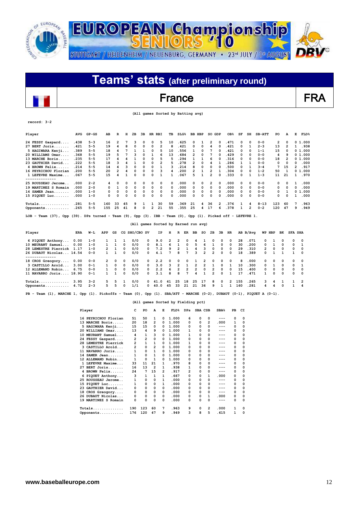![](_page_11_Picture_0.jpeg)

## **Teams' stats (after preliminary round)**  $\overline{\phantom{a}}$ France FRA

 **(All games Sorted by Batting avg)**

| Player                                                                                                      | <b>AVG</b> | $GP-GS$ | AВ           | R              | н            | 2в            | зв | HR RBI       |                | TВ | SLG <sup>8</sup>                     | <b>BB HBP</b>           |                | SO GDP         |              | OB <sub>8</sub> | SF           | SH       | $SB-ATT$ | PO                      | A              |   | $\texttt{FLD\$}$<br>Е |
|-------------------------------------------------------------------------------------------------------------|------------|---------|--------------|----------------|--------------|---------------|----|--------------|----------------|----|--------------------------------------|-------------------------|----------------|----------------|--------------|-----------------|--------------|----------|----------|-------------------------|----------------|---|-----------------------|
| 24 FESSY Gaspard                                                                                            | .438       | $5 - 3$ | 16           | 2              | 7            | з             | 0  | 0            | 5              | 10 | . 625                                | 0                       | 1              | 2              | 0            | .471            | $\Omega$     | 0        | $0 - 0$  | $\overline{\mathbf{2}}$ | 0              |   | 01.000                |
| 27 BERT Joris                                                                                               | .421       | $5 - 5$ | 19           | 4              | 8            | 0             | 0  | 0            | $\overline{2}$ | 8  | .421                                 | 0                       | 0              | 4              | 0            | .421            | 0            | 1        | $2 - 3$  | 13                      | 2              |   | .938<br>1             |
| 5 HAGIWARA Kenji                                                                                            | .389       | $5 - 5$ | 18           | 4              | 7            | 1             | 1  | 0            | 5              | 10 | .556                                 | 1                       | 0              | 7              | 0            | .421            | 0            | 0        | $1 - 1$  | 15                      | 0              |   | 0 1.000               |
| 20 WILLIAMS Omar                                                                                            | .368       | $5 - 5$ | 19           | 5              | 7            | 3             | 0  | $\mathbf{1}$ | 6              | 13 | .684                                 | 2                       | 0              | 7              | $\Omega$     | . 429           | 0            | 0        | $0 - 0$  | 4                       | q              |   | 0 1.000               |
| 13 MARCHE Boris                                                                                             | .235       | $5 - 5$ | 17           | 4              | 4            | 1             | 0  | 0            | 5              | 5  | .294                                 | 1                       | 1              | 6              | 0            | .316            | 0            | 0        | $0 - 0$  | 18                      | $\overline{2}$ |   | 0 1.000               |
| 23 GAUTHIER David                                                                                           | .222       | $5 - 5$ | 18           | 3              | 4            | 1             | 0  | 0            | $\overline{2}$ | 5  | .278                                 | $\overline{2}$          | 0              | 4              | 1            | .286            | 1            | 1        | $0 - 0$  | $\Omega$                | 0              |   | .000<br>0             |
| 4 BROWN Felix                                                                                               | .214       | $5 - 5$ | 14           | 4              | 3            | 0             | 0  | 0            | 1              | 3  | . 214                                | 8                       | 0              | 0              | 0            | .500            | 0            | 1        | $3 - 4$  | 7                       | 15             |   | .917<br>2             |
| 16 PEYRICHOU Florian                                                                                        | .200       | $5 - 5$ | 20           | $\overline{2}$ | 4            | 0             | 0  | 0            | 3              | 4  | .200                                 | $\overline{2}$          | $\mathbf{1}$   | 2              | $\mathbf{1}$ | .304            | 0            | 0        | $1 - 2$  | 50                      | 1              |   | 0, 1, 000             |
| 1 LEFEVRE Maxime<br>--------------                                                                          | .067       | $5 - 5$ | 15           | 4              | $\mathbf{1}$ | 0             | 0  | 0            | $\mathbf{1}$   | 1  | .067                                 | 5                       | $\mathbf{1}$   | 2              | $\Omega$     | . 333           | 0            | 1        | $1 - 3$  | 11                      | 21             |   | .970<br>$\mathbf{1}$  |
| 25 ROUSSEAU Jerome                                                                                          | .000       | $2 - 2$ | 4            | 0              | 0            | 0             | 0  | 0            | 0              | n  | .000                                 | 0                       | 0              | 2              | 0            | .000            | 0            | 0        | $0 - 0$  | 0                       | 0              |   | .000<br>1             |
| 19 MARTINEZ S Romain                                                                                        | .000       | $2 - 0$ | 0            | $\mathbf{1}$   | 0            | 0             | 0  | 0            | 0              | O  | .000                                 | 0                       | 0              | 0              | 0            | .000            | 0            | 0        | $0 - 0$  | 0                       | 0              |   | 0<br>.000             |
| $14$ SAMER Jean                                                                                             | .000       | $1 - 0$ | 0            | 0              | 0            | 0             | 0  | 0            | 0              | n  | .000                                 | 0                       | 0              | 0              | 0            | .000            | 0            | 0        | $0 - 0$  | 0                       | 1              |   | 1.000<br>0            |
| 15 PIQUET Luc                                                                                               | .000       | $1 - 0$ | 0            | 0              | 0            | 0             | 0  | 0            | 0              | O  | .000                                 | 0                       | 0              | 0              | $\Omega$     | . 000           | 0            | 0        | $0 - 0$  | 0                       | 0              |   | 1<br>.000             |
| $Totals$                                                                                                    | .281       | $5 - 5$ | 160          | 33             | 45           | 9             | 1  | 1            | 30             | 59 | .369                                 | 21                      | 4              | 36             | 2            | .376            | 1            | 4        | $8 - 13$ | 123                     | 60             |   | 7<br>.963             |
| Opponents                                                                                                   | .265       | $5 - 5$ | 155          | 25             | 41           | 8             | 0  | 2            | 21             | 55 | .355                                 | 25                      | 4              | 17             | 6            | .378            | $\mathbf{1}$ | 2        | $0 - 2$  | 120                     | 47             |   | 9<br>.949             |
| LOB - Team (37), Opp (39). DPs turned - Team (9), Opp (3). IBB - Team (0), Opp (1). Picked off - LEFEVRE 1. |            |         |              |                |              |               |    |              |                |    |                                      |                         |                |                |              |                 |              |          |          |                         |                |   |                       |
|                                                                                                             |            |         |              |                |              |               |    |              |                |    |                                      |                         |                |                |              |                 |              |          |          |                         |                |   |                       |
|                                                                                                             |            |         |              |                |              |               |    |              |                |    | (All games Sorted by Earned run avg) |                         |                |                |              |                 |              |          |          |                         |                |   |                       |
|                                                                                                             | <b>ERA</b> | W−L     | APP          | GS             |              | CG SHO/CBO SV |    |              | ΙP             | н  | ER<br>$\mathbb{R}$                   | ВB                      | so             | 2в             | 3B           | HR.             |              | AB B/Avq | WP HBP   |                         | BK             |   | <b>SFA SHA</b>        |
| 6 PIQUET Anthony                                                                                            | 0.00       | $1 - 0$ | 1            | 1              | 1            | 0/0           |    | 0            | 9.0            | 2  | 2<br>0                               | 4                       | 1              | 0              | 0            | 0               | 28           | .071     | 0        | 1                       | 0              | 0 | 0                     |
|                                                                                                             | 0.00       | $1 - 0$ | 1            | 1              | $\Omega$     | 0/0           |    | 0            | 8.1            | 6  | 0<br>1                               | 5                       | 6              | 1              | O            | $\Omega$        | 30           | .200     | 0        | 1                       | 0              | 0 | 1                     |
| 28 LEMESTRE Pierrick                                                                                        | 1.17       | $1 - 0$ | 2            | 1              | 0            | 0/0           |    | 0            | 7.2            | 9  | 2<br>1                               | 4                       | 3              | 0              | 0            | 0               | 29           | .310     | 2        | 0                       | 0              | 0 | 0                     |
| 26 DUBAUT Nicolas 14.54                                                                                     |            | $0 - 0$ | $\mathbf{1}$ | 1              | $\Omega$     | 0/0           |    | 0            | 4.1            | 7  | 7<br>8                               | 3                       | $\overline{2}$ | $\overline{2}$ | $\Omega$     | 0               | 18           | .389     | 0        | $\mathbf{1}$            | $\mathbf{1}$   | 1 | 0                     |
| --------------                                                                                              | 0.00       | $0 - 0$ | 2            | 0              | $\Omega$     | 0/0           |    | 0            | 2.2            | 0  | 0<br>0                               | 1                       | 2              | 0              | 0            | 0               | 8            | .000     | 0        | 0                       | 0              | 0 | 0                     |
| 3 CASTILLO Arold                                                                                            | 3.00       | $0 - 1$ | $\mathbf{1}$ | 0              | $\Omega$     | 0/0           |    | 0            | 3.0            | 3  | 2<br>$\mathbf{1}$                    | $\overline{\mathbf{2}}$ | $\overline{2}$ | 1              | $\Omega$     | $\mathbf{1}$    | 10           | .300     | 0        | 1                       | 0              | 0 | $\mathbf{1}$          |
|                                                                                                             | 6.75       | $0 - 0$ | 1            | 0              | 0            | 0/0           |    | 0            | 2.2            | 6  | 2<br>$\overline{2}$                  | 2                       | 0              | 2              | $\Omega$     | 0               | 15           | .400     | 0        | 0                       | 0              | 0 | 0                     |
|                                                                                                             |            | $0 - 1$ | $\mathbf{1}$ | $\mathbf{1}$   | $\Omega$     | 0/0           |    | 0            | 3.1            | 8  | $\overline{7}$<br>8                  | 4                       | $\mathbf{1}$   | $\overline{2}$ | $\Omega$     | $\mathbf{1}$    | 17           | . 471    | 1        | $\Omega$                | 0              | 0 | 0                     |
| Player<br>10 MEURANT Samuel<br>18 CROS Greogory<br>12 ALLEMAND Robin<br>11 NAVARRO Joris 18.90<br>$Totals$  | 3.95       | $3 - 2$ | 5            | 5              | 1            | 0/0           |    | 0            | 41.0           | 41 | 25<br>18                             | 25                      | 17             | 8              | 0            | 2               | 155          | .265     | з        | 4                       | 1              | 1 | 2                     |

### **(All games Sorted by Fielding pct)**

| Player               | c   | PO             | А  | Е        | FLD <sup>8</sup> | <b>DPs</b> | SBA CSB |                | SBA <sub>8</sub> | PB       | CI       |
|----------------------|-----|----------------|----|----------|------------------|------------|---------|----------------|------------------|----------|----------|
| 16 PEYRICHOU Florian | 51  | 50             | 1  | 0        | 1.000            | 6          | 0       | 0              | $---$            | 0        | 0        |
| 13 MARCHE Boris      | 20  | 18             | 2  | 0        | 1.000            | 0          | 0       | $\overline{2}$ | .000             | 1        | 0        |
| 5 HAGIWARA Kenji     | 15  | 15             | 0  | 0        | 1.000            | 0          | 0       | 0              | ---              | 0        | 0        |
| 20 WILLIAMS Omar     | 13  | 4              | 9  | 0        | 1.000            | 1          | 0       | 0              | ---              | 0        | $\Omega$ |
| 10 MEURANT Samuel    | 4   | $\mathbf{1}$   | 3  | 0        | 1.000            | 1          | 0       | 0              | ---              | $\Omega$ | $\Omega$ |
| 24 FESSY Gaspard     | 2   | $\overline{2}$ | 0  | 0        | 1.000            | 0          | 0       | 0              | ---              | $\Omega$ | 0        |
| 28 LEMESTRE Pierrick | 2   | 1              | 1  | 0        | 1.000            | 1          | 0       | 0              | ---              | 0        | 0        |
| 3 CASTILLO Arold     | 2   | 0              | 2  | $\Omega$ | 1.000            | 0          | 0       | 0              | ---              | 0        | 0        |
| 11 NAVARRO Joris     |     | 0              | 1  | 0        | 1.000            | 0          | 0       | 0              | ---              | $\Omega$ | 0        |
| 14 SAMER Jean        | 1   | 0              | 1  | 0        | 1.000            | 0          | 0       | 0              | ---              | 0        | $\Omega$ |
| 12 ALLEMAND Robin    | 1   | 0              | 1  | $\Omega$ | 1.000            | 0          | 0       | 0              | ---              | $\Omega$ | $\Omega$ |
| 1 LEFEVRE Maxime     | 33  | 11             | 21 | 1        | .970             | 8          | 0       | 0              | ---              | 0        | 0        |
| $27$ BERT Joris      | 16  | 13             | 2  | 1        | .938             | 1          | 0       | 0              | ---              | 0        | 0        |
| 4 BROWN Felix        | 24  | 7              | 15 | 2        | .917             | 2          | 0       | 0              | ---              | 0        | 0        |
| 6 PIQUET Anthony     | 3   | 1              | 1  | 1        | .667             | 0          | 0       | 1              | .000             | 0        | 0        |
| 25 ROUSSEAU Jerome   | 1   | 0              | 0  | 1        | .000             | 0          | 0       | 0              | ---              | $\Omega$ | 0        |
| 15 PIQUET Luc        | 1   | 0              | 0  | 1        | .000             | 0          | 0       | 0              | ---              | 0        | $\Omega$ |
| 23 GAUTHIER David    | 0   | 0              | 0  | 0        | .000             | 0          | 0       | 0              | ---              | 0        | 0        |
| 18 CROS Greogory     | 0   | 0              | 0  | $\Omega$ | .000             | 0          | 0       | 0              | ---              | 0        | 0        |
| 26 DUBAUT Nicolas    | 0   | 0              | 0  | 0        | .000             | 0          | 0       | 1              | .000             | 0        | 0        |
| 19 MARTINEZ S Romain | 0   | 0              | 0  | 0        | .000             | 0          | 0       | 0              | ---              | $\Omega$ | 0        |
| Totals.<br>.         | 190 | 123            | 60 | 7        | .963             | 9          | 0       | $\overline{2}$ | .000             | 1        | 0        |
| $Opponents$          | 176 | 120            | 47 | 9        | .949             | 3          | 8       | 5              | .615             | 1        | 0        |

**record: 3-2**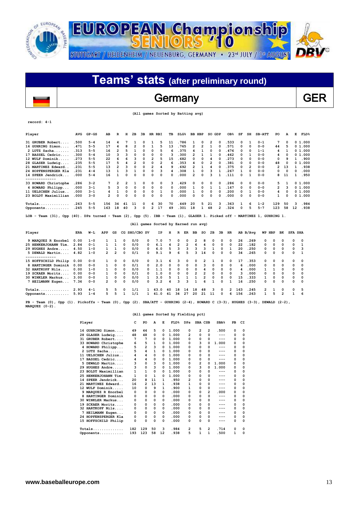![](_page_12_Picture_0.jpeg)

## Germany GER

| (All games Sorted by Batting avg) |  |  |  |
|-----------------------------------|--|--|--|
|-----------------------------------|--|--|--|

| Player                                                                                                                                               | AVG  | $GP - GS$ | AВ                      | $\mathbb{R}$   | н              | 2в             | 3B | HR RBI         |                | TВ                                   |    | SLG <sup>8</sup> | <b>BB HBP</b>           |                         | SO GDP         |                | OB <sub>8</sub> | SF       | SH             | $SB-ATT$     | PO             | A              |              | Е<br><b>FLD%</b>     |  |
|------------------------------------------------------------------------------------------------------------------------------------------------------|------|-----------|-------------------------|----------------|----------------|----------------|----|----------------|----------------|--------------------------------------|----|------------------|-------------------------|-------------------------|----------------|----------------|-----------------|----------|----------------|--------------|----------------|----------------|--------------|----------------------|--|
|                                                                                                                                                      |      |           |                         |                |                |                |    |                |                |                                      |    |                  |                         |                         |                |                |                 |          |                |              |                |                |              |                      |  |
| 31 GRUBER Robert                                                                                                                                     | .500 | $5 - 4$   | 14                      | 4              | 7              | 1              | 0  | 1              | 5              | 11                                   |    | .786             | 1                       | 0                       | 2              | 0              | .533            | 0        | 1              | $0 - 1$      | 7              | 0              |              | 0 1.000              |  |
| 16 GUHRING Simon                                                                                                                                     | .471 | $5 - 5$   | 17                      | 4              | 8              | $\overline{2}$ | 0  | $\mathbf{1}$   | 5              | 13                                   |    | .765             | 2                       | $\overline{2}$          | $\mathbf{1}$   | 0              | .571            | 0        | $\Omega$       | $0 - 0$      | 44             | 5              |              | 01.000               |  |
| 2 LUTZ Sacha                                                                                                                                         | .313 | $5 - 5$   | 16                      | 2              | 5              | 1              | 0  | 0              | 5              | 6                                    |    | .375             | 4                       | $\mathbf{1}$            | 0              | 0              | .476            | 0        | 0              | $1 - 1$      | 4              | 1              |              | 01.000               |  |
| 17 BASSEL Cedric                                                                                                                                     | .300 | $5 - 4$   | 10                      | 3              | 3              | 0              | 0  | 0              | 0              | 3                                    |    | .300             | $\overline{2}$          | $\mathbf{1}$            | $\mathbf{1}$   | 0              | .462            | 0        | $\mathbf{1}$   | $0 - 0$      | 4              | 0              |              | 0, 1, 000            |  |
| 12 WULF Dominik                                                                                                                                      | .273 | 5-5       | 22                      | 6              | 6              | 3              | 0  | 2              | 5              | 15                                   |    | .682             | O                       | 0                       | 4              | O              | .273            | 0        | $\Omega$       | $0 - 0$      | 0              |                | 9            | .900<br>1            |  |
| 28 GLASER Ludwig                                                                                                                                     | .235 | $5 - 5$   | 17                      | 5              | 4              | $\overline{2}$ | 0  | 0              | $\overline{2}$ | 6                                    |    | .353             | 4                       | 0                       | $\overline{2}$ | 0              | .381            | 0        | $\Omega$       | $0 - 0$      | 48             | $\Omega$       |              | 0, 1, 000            |  |
| 21 MARTINEZ Edward                                                                                                                                   | .231 | $5 - 5$   | 13                      | $\overline{2}$ | 3              | 0              | 0  | $\overline{2}$ | 4              | 9                                    |    | .692             | $\overline{2}$          | $\mathbf{1}$            | 4              | 0              | .375            | 0        | $\overline{2}$ | $0 - 0$      | $\overline{2}$ | 13             |              | $\mathbf{1}$<br>.938 |  |
| 24 HOPFENSPERGER Kla                                                                                                                                 | .231 | $4 - 4$   | 13                      | $\mathbf{1}$   | 3              | $\mathbf{1}$   | 0  | 0              | 3              | 4                                    |    | .308             | 1                       | 0                       | 3              | $\mathbf{1}$   | .267            | 1        | $\Omega$       | $0 - 0$      | $\Omega$       | 0              |              | .000<br>0            |  |
| 14 SPEER Jendrick<br>--------------                                                                                                                  | .000 | $5 - 4$   | 16                      | $\mathbf{1}$   | 0              | 0              | 0  | 0              | 0              | 0                                    |    | .000             | $\overline{a}$          | 0                       | 3              | 1              | . 111           | $\Omega$ | 1              | $0 - 0$      | 8              | 11             |              | .950<br>1            |  |
| 33 HOWARD Christophe                                                                                                                                 | .286 | $3 - 2$   | 7                       | $\overline{2}$ | $\overline{2}$ | 1              | 0  | 0              | 0              | 3                                    |    | 429              | 0                       | 0                       | 0              | O              | .286            | 0        | $\Omega$       | $0 - 0$      | 5              | 1              |              | 01.000               |  |
| 4 HOWARD Philipp                                                                                                                                     | .000 | $3 - 1$   | 5                       | 3              | 0              | 0              | 0  | 0              | 0              | 0                                    |    | .000             | 1                       | 0                       | 1              | 1              | .167            | 0        | 0              | $0 - 0$      | 2              |                | 3            | 01.000               |  |
| 11 UELSCHEN Julius                                                                                                                                   | .000 | $3 - 1$   | 4                       | $\mathbf{1}$   | 0              | 0              | 0  | 0              | $\mathbf{1}$   | 0                                    |    | .000             | 1                       | 0                       | 0              | 0              | .200            | $\Omega$ | 1              | $0 - 0$      | 4              | 0              |              | 01.000               |  |
| 23 BOLDT Maximillian                                                                                                                                 | .000 | $3 - 0$   | 2                       | 0              | 0              | 0              | 0  | 0              | 0              | 0                                    |    | .000             | 0                       | 0                       | 0              | 0              | .000            | 0        | $\Omega$       | $0 - 0$      | 1              | 0              |              | 01.000               |  |
|                                                                                                                                                      |      |           |                         |                |                |                |    |                |                |                                      |    |                  |                         |                         |                |                |                 |          |                |              |                |                |              |                      |  |
|                                                                                                                                                      | .263 | $5 - 5$   | 156                     | 34             | 41             | 11             | 0  | 6              | 30             | 70                                   |    | .449             | 20                      | 5                       | 21             | 3              | . 363           | 1        | 6              | $1 - 2$      | 129            | 50             |              | 3<br>.984            |  |
| Opponents                                                                                                                                            | .245 | $5 - 5$   | 163                     | 18             | 40             | 3              | 0  | 2              | 17             | 49                                   |    | .301             | 18                      | 1                       | 48             | $\overline{2}$ | .324            | 0        | 5              | $5 - 7$      | 123            | 58             | 12           | .938                 |  |
| LOB - Team (31), Opp (40). DPs turned - Team (2), Opp (5). IBB - Team (1), GLASER 1. Picked off - MARTINEZ 1, GUHRING 1.                             |      |           |                         |                |                |                |    |                |                |                                      |    |                  |                         |                         |                |                |                 |          |                |              |                |                |              |                      |  |
|                                                                                                                                                      |      |           |                         |                |                |                |    |                |                | (All games Sorted by Earned run avg) |    |                  |                         |                         |                |                |                 |          |                |              |                |                |              |                      |  |
|                                                                                                                                                      |      |           |                         |                |                |                |    |                |                |                                      |    |                  |                         |                         |                |                |                 |          |                |              |                |                |              |                      |  |
| Player                                                                                                                                               | ERA  | W−L       | APP                     | GS             |                | CG SHO/CBO SV  |    |                | ΙP             | н                                    | R  | ER               | BB                      | so                      | 2в             | 3B             | <b>HR</b>       |          | AB B/Avq       |              | WP HBP         | вĸ             |              | <b>SFA SHA</b>       |  |
| 9 MARQUEZ R Enorbel                                                                                                                                  | 0.00 | $1 - 0$   | 1                       | 1              | 0              | 0/0            |    | 0              | 7.0            | 7                                    | 0  | 0                | $\overline{\mathbf{2}}$ | 8                       | $\Omega$       | $\Omega$       | 0               | 26       | .269           | 0            | 0              | $\Omega$       | 0            | $\Omega$             |  |
| 25 HENKENJOHANN Tim.                                                                                                                                 | 2.84 | $0 - 1$   | 1                       | $\mathbf{1}$   | 0              | 0/0            |    | 0              | 6.1            | 4                                    | 2  | $\overline{2}$   | 6                       | 4                       | $\Omega$       | 0              | $\Omega$        | 22       | .182           | 0            | 0              | $\Omega$       | 0            | $\mathbf{1}$         |  |
| 29 HUGHES Andre                                                                                                                                      | 4.50 | $1 - 0$   | 1                       | 1              | 0              | 0/0            |    | 0              | 6.0            | 5                                    | 3  | 3                | 3                       | 3                       | 1              | 0              | 1               | 20       | .250           | 0            | 0              | $\Omega$       | 0            | з                    |  |
| 5 DEWALD Martin                                                                                                                                      | 4.82 | $1 - 0$   | 2                       | $\overline{2}$ | 0              | 0/1            |    | 0              | 9.1            | 9                                    | 6  | 5                | 3                       | 14                      | $\mathbf 0$    | 0              | $\Omega$        | 34       | .265           | 0            | 0              | 0              | 0            | 1                    |  |
| --------------<br>15 HOFFSCHILD Philip                                                                                                               | 0.00 | $0 - 0$   | 1                       | 0              | $\Omega$       | 0/0            |    | 0              | 3.1            | 6                                    | 3  | 0                | $\Omega$                | 2                       | 1              | 0              | $\Omega$        | 17       | . 353          | 0            | 0              | $\Omega$       | 0            | 0                    |  |
| 8 HARTINGER Dominik                                                                                                                                  | 0.00 | $0 - 0$   | 1                       | 0              | 0              | 0/1            |    | 0              | 2.0            | 0                                    | 0  | 0                | 0                       | 3                       | 0              | 0              | $\mathbf 0$     | 6        | .000           | 0            | 0              | $\Omega$       | 0            | 0                    |  |
| 32 HARTKOPF Nils                                                                                                                                     | 0.00 | $1 - 0$   | 1                       | $\mathbf 0$    | $\Omega$       | 0/0            |    | 0              | 1.1            | 0                                    | 0  | 0                | 0                       | 4                       | $\Omega$       | $\Omega$       | $\Omega$        | 4        | .000           | 1            | 1              | $\Omega$       | 0            | $\Omega$             |  |
| 19 SCKAER Moritz                                                                                                                                     | 0.00 | $0 - 0$   | 1                       | 0              | 0              | 0/1            |    | 0              | 1.0            | 0                                    | 0  | 0                | $\overline{2}$          | $\overline{2}$          | $\Omega$       | 0              | $\Omega$        | 3        | .000           | 0            | 0              | $\Omega$       | 0            | 0                    |  |
| 30 WINKLER Markus                                                                                                                                    | 3.00 | $0 - 0$   | 1                       | $\mathbf 0$    | 0              | 0/0            |    | 1              | 3.0            | 5                                    | 1  | 1                | 1                       | $\overline{\mathbf{c}}$ | $\Omega$       | $\Omega$       | $\mathbf 0$     | 15       | .333           | 1            | $\Omega$       | $\Omega$       | 0            | 0                    |  |
| 7 HEILMANN Eugen                                                                                                                                     | 7.36 | $0 - 0$   | $\overline{\mathbf{c}}$ | $\Omega$       | 0              | 0/0            |    | 0              | 3.2            | 4                                    | ٩  | ٩                | $\mathbf{1}$            | 6                       | 1              | O              | 1               | 16       | .250           | 0            | 0              | $\Omega$       | 0            | 0                    |  |
|                                                                                                                                                      |      |           |                         |                |                |                |    |                |                |                                      |    |                  |                         |                         |                |                |                 |          |                |              |                |                |              |                      |  |
| $Totals$                                                                                                                                             | 2.93 | $4 - 1$   | 5<br>5                  | 5<br>5         | 0              | 1/1            |    | 1              | 43.0           | 40                                   | 18 | 14               | 18                      | 48                      | 3              | 0              | $\overline{2}$  | 163      | .245           | 2            | 1<br>5         | 0              | 0            | 5                    |  |
| Opponents                                                                                                                                            | 5.93 | $1 - 4$   |                         |                | 1              | 1/1            |    | 1              | 41.0           | 41                                   | 34 | 27               | 20                      | 21                      | 11             | 0              | 6               | 156      | .263           | $\mathbf{1}$ |                | $\overline{2}$ | $\mathbf{1}$ | 6                    |  |
| Team (0), Opp (1). Pickoffs - Team (0), Opp (2). SBA/ATT - GUHRING (2-4), HOWARD C (3-3), HUGHES (3-3), DEWALD (2-2),<br>$PB -$<br>$MARQUEZ (0-2)$ . |      |           |                         |                |                |                |    |                |                |                                      |    |                  |                         |                         |                |                |                 |          |                |              |                |                |              |                      |  |

### **(All games Sorted by Fielding pct)**

| Player               | c   | PO           | A  | Е  | FLD <sup>8</sup> | DPs | SBA CSB        |                | SBA <sup>8</sup> | PВ       | CI          |
|----------------------|-----|--------------|----|----|------------------|-----|----------------|----------------|------------------|----------|-------------|
| 16 GUHRING Simon     | 49  | 44           | 5  | 0  | 1.000            | 0   | 2              | 2              | .500             | 0        | 0           |
| 28 GLASER Ludwig     | 48  | 48           | 0  | 0  | 1.000            | 2   | 0              | 0              | $---$            | 0        | 0           |
| 31 GRUBER Robert     | 7   | 7            | 0  | 0  | 1.000            | 0   | 0              | 0              | ---              | 0        | 0           |
| 33 HOWARD Christophe | 6   | 5            | 1  | 0  | 1.000            | 0   | 3              | 0              | 1.000            | 0        | $\Omega$    |
| 4 HOWARD Philipp     | 5   | 2            | 3  | 0  | 1.000            | 0   | 0              | 0              | ---              | 0        | 0           |
| 2 LUTZ Sacha         | 5   | 4            | 1  | 0  | 1.000            | 0   | 0              | 0              | ---              | 0        | 0           |
| 11 UELSCHEN Julius   | 4   | 4            | 0  | 0  | 1.000            | 0   | 0              | 0              | ---              | 0        | 0           |
| 17 BASSEL Cedric     | 4   | 4            | 0  | 0  | 1.000            | 0   | 0              | 0              | ---              | 0        | 0           |
| 5 DEWALD Martin      | 3   | 0            | 3  | 0  | 1.000            | 0   | $\overline{2}$ | 0              | 1.000            | 0        | $\Omega$    |
| 29 HUGHES Andre      | 3   | 0            | 3  | 0  | 1.000            | O   | 3              | O              | 1.000            | 0        | $\Omega$    |
| 23 BOLDT Maximillian | 1   | $\mathbf{1}$ | 0  | 0  | 1.000            | 0   | 0              | 0              | ---              | 0        | 0           |
| 25 HENKENJOHANN Tim. | 1   | 0            | 1  | 0  | 1.000            | 0   | 0              | 0              | ---              | 0        | 0           |
| 14 SPEER Jendrick    | 20  | 8            | 11 | 1  | .950             | 2   | $\Omega$       | 0              |                  | 0        | 0           |
| 21 MARTINEZ Edward   | 16  | 2            | 13 | 1  | .938             | 1   | 0              | 0              | ---              | 0        | 0           |
| 12 WULF Dominik      | 10  | 0            | 9  | 1  | .900             | 1   | 0              | 0              | ---              | 0        | 0           |
| 9 MAROUEZ R Enorbel  | 0   | 0            | 0  | 0  | .000             | 0   | $\Omega$       | 2              | .000             | 0        | $\mathbf 0$ |
| 8 HARTINGER Dominik  | 0   | 0            | 0  | 0  | .000             | 0   | 0              | 0              | ---              | 0        | 0           |
| 30 WINKLER Markus    | 0   | 0            | 0  | 0  | .000             | 0   | 0              | 0              | $---$            | 0        | 0           |
| 19 SCKAER Moritz     | 0   | 0            | 0  | 0  | .000             | 0   | 0              | 0              |                  | 0        | 0           |
| 32 HARTKOPF Nils     | 0   | 0            | 0  | 0  | .000             | 0   | 0              | 0              | ---              | $\Omega$ | 0           |
| 7 HEILMANN Eugen     | 0   | 0            | 0  | 0  | .000             | 0   | 0              | 0              |                  | 0        | 0           |
| 24 HOPFENSPERGER Kla | 0   | 0            | 0  | 0  | .000             | 0   | $\Omega$       | 0              |                  | 0        | 0           |
| 15 HOFFSCHILD Philip | 0   | 0            | 0  | 0  | .000             | 0   | 0              | 0              | ---              | 0        | 0           |
| Totals               | 182 | 129          | 50 | 3  | .984             | 2   | 5              | $\overline{2}$ | .714             | 0        | 0           |
| Opponents            | 193 | 123          | 58 | 12 | . 938            | 5   | 1              | 1              | .500             | 1        | 0           |

 $\overline{\phantom{a}}$ 

**record: 4-1**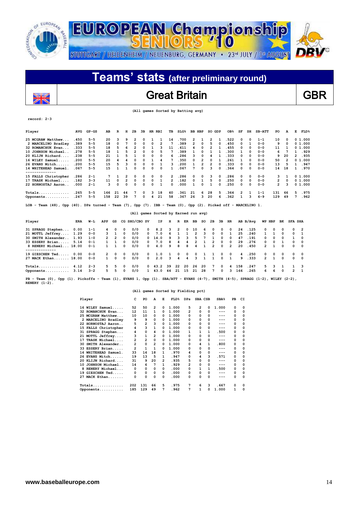![](_page_13_Picture_0.jpeg)

## Great Britain **GBR**

 **(All games Sorted by Batting avg)**

### **record: 2-3**

 $\overline{\phantom{a}}$ 

| Player                                                                                                                                            | <b>AVG</b> | $GP - GS$ | AВ           | R                       | н              | 2B            | ЗВ | HR RBI       |                | TВ                                   | $SLG\$ |    | BB HBP                  |                 | SO GDP         |              | OB%            | SF  | SH       | <b>SB-ATT</b>  | PO             | A              | Е              |                | <b>FLD%</b> |
|---------------------------------------------------------------------------------------------------------------------------------------------------|------------|-----------|--------------|-------------------------|----------------|---------------|----|--------------|----------------|--------------------------------------|--------|----|-------------------------|-----------------|----------------|--------------|----------------|-----|----------|----------------|----------------|----------------|----------------|----------------|-------------|
| 25 MCGRAW Matthew                                                                                                                                 | .450       | $5 - 5$   | 20           | 3                       | 9              | 2             | 0  | 1            | 1              | 14                                   | .700   |    | 2                       | 1               | 2              | 1            | .522           | 0   | $\Omega$ | $1 - 1$        | 10             | 0              |                | 0 1.000        |             |
| 2 MARCELINO Bradley                                                                                                                               | .389       | $5 - 5$   | 18           | 0                       | 7              | 0             | 0  | 0            | $\overline{2}$ | 7                                    | .389   |    | $\overline{2}$          | 0               | 5              | 0            | .450           | 0   | 1        | $0 - 0$        | 9              | 0              |                | 01.000         |             |
| 32 ROMANCHUK Evan                                                                                                                                 | .333       | $5 - 5$   | 18           | 5                       | 6              | 2             | 0  | 1            | 3              | 11                                   | .611   |    | 4                       | 0               | 2              | 1            | .455           | 0   | 0        | $0 - 0$        | 11             | 1              |                | 01.000         |             |
| 10 JOHNSON Michael                                                                                                                                | .278       | $5 - 5$   | 18           | 1                       | 5              | 2             | 0  | 0            | 5              | 7                                    | .389   |    | 1                       | $\Omega$        | 1              | 1            | .300           | 1   | $\Omega$ | $0 - 0$        | 6              | 7              | 1              |                | .929        |
| 20 KLIJN Richard                                                                                                                                  | .238       | $5 - 5$   | 21           | 1                       | 5              | 1             | 0  | 0            | 0              | 6                                    | .286   |    | 3                       | $\Omega$        | 4              |              | .333           | 0   | $\Omega$ | $0 - 0$        | 9              | 20             |                | .935<br>2      |             |
| 16 WILEY Samuel                                                                                                                                   | .200       | $5 - 5$   | 20           | 4                       |                | 0             | 0  | 1            | 4              |                                      | .350   |    | 0                       | 2               | 0              |              | .261           | 1   | $\Omega$ | $0 - 0$        | 50             | $\overline{2}$ |                | 01.000         |             |
| 26 EVANS Mitch                                                                                                                                    | .200       | $5 - 5$   | 15           | 5                       | 3              | $\Omega$      | 0  | 0            | 1              | 3                                    | .200   |    | $\mathbf{1}$            | $\overline{2}$  | $\overline{2}$ |              | .333           | 0   | $\Omega$ | $0 - 0$        | 13             | 5              | 1              |                | .947        |
| 14 WHITEHEAD Samuel.                                                                                                                              | .067       | $5 - 5$   | 15           | $\mathbf{1}$            | 1              | $\Omega$      | 0  | O            | 0              | 1                                    | .067   |    | 7                       | 0               | 3              | O            | .364           | 0   | $\Omega$ | $0 - 0$        | 14             | 18             |                | 1.970          |             |
| 15 FALLS Christopher                                                                                                                              | .286       | $2 - 1$   | 7            | 1                       | 2              | $\Omega$      | 0  | 0            | 0              | $\overline{2}$                       | .286   |    | 0                       | 0               | 3              | $\Omega$     | .286           | 0   | 0        | $0 - 0$        | 3              | 1              |                | 01.000         |             |
| 17 TRASK Michael                                                                                                                                  | .182       | $3 - 3$   | 11           | $\Omega$                | $\overline{2}$ | $\Omega$      | 0  | 0            | 1              | 2                                    | .182   |    | 0                       | 1               | 5              | $\Omega$     | .250           | 0   | $\Omega$ | $0 - 0$        | $\overline{2}$ | 0              |                | 01.000         |             |
| 22 HORNOSTAJ Aaron                                                                                                                                | .000       | $2 - 1$   | 3            | 0                       | 0              | $\Omega$      | 0  | 0            | $\mathbf{1}$   | 0                                    | .000   |    | $\mathbf{1}$            | 0               | 1              | $\Omega$     | .250           | 0   | $\Omega$ | $0 - 0$        | $\overline{2}$ | 3              |                | 01.000         |             |
| $Totals$                                                                                                                                          | .265       | $5 - 5$   | 166          | 21                      | 44             | 7             | 0  | 3            | 18             | 60                                   | .361   |    | 21                      | 6               | 28             | 5            | .364           | 2   | 1        | $1 - 1$        | 131            | 66             | 5              |                | .975        |
| Opponents                                                                                                                                         | .247       | $5 - 5$   | 158          | 22                      | 39             | 7             | 0  | 4            | 21             | 58                                   | .367   |    | 26                      | 3               | 20             | 6            | .362           | 1   | 3        | $6 - 9$        | 129            | 49             |                | 7              | .962        |
| LOB - Team (48), Opp (40). DPs turned - Team (7), Opp (7). IBB - Team (0), Opp (2). Picked off - MARCELINO 1.                                     |            |           |              |                         |                |               |    |              |                |                                      |        |    |                         |                 |                |              |                |     |          |                |                |                |                |                |             |
|                                                                                                                                                   |            |           |              |                         |                |               |    |              |                | (All games Sorted by Earned run avg) |        |    |                         |                 |                |              |                |     |          |                |                |                |                |                |             |
| Player                                                                                                                                            | <b>ERA</b> | W−L       | APP          | GS                      |                | CG SHO/CBO SV |    |              | IP             | н                                    | R      | ER | BB                      | so              | 2в             | ЗВ           | HR             |     | AB B/Avq |                | WP HBP BK      |                | <b>SFA SHA</b> |                |             |
| 31 SPRAGG Stephen                                                                                                                                 | 0.00       | $1 - 1$   | 4            | 0                       | 0              | 0/0           |    | 0            | 8.2            | з                                    | 2      | 0  | 10                      | 6               | 0              | 0            | 0              | 24  | .125     | 0              | 0              | O              | 0              | $\overline{2}$ |             |
| 21 MOTTL Jeffrey                                                                                                                                  | 1.29       | $0 - 0$   | з            | 1                       | 0              | 0/0           |    | 0            | 7.0            | 6                                    | 1      | 1  | $\overline{\mathbf{2}}$ | 3               | 0              | <sup>o</sup> | 1              | 25  | .240     | 1              | 1              | O              | 0              | 1              |             |
| 30 SMITH Alexander                                                                                                                                | 1.93       | $1 - 0$   | 2            | $\overline{\mathbf{2}}$ | 0              | 0/0           |    | 0            | 14.0           | 9                                    | 3      | 3  | 5                       | $7\phantom{.0}$ | 1              | 0            | 0              | 47  | .191     | 0              | 0              | $\Omega$       | 1              | 0              |             |
| 33 ESSERY Brian                                                                                                                                   | 5.14       | $0 - 1$   |              | 1                       | 0              | 0/0           |    | 0            | 7.0            | 8                                    | 4      | 4  | 2                       | 1               | 2              | 0            | 0              | 29  | .276     | 0              | 0              | 1              | 0              | 0              |             |
| 8 RENERY Michael 18.00<br>--------------                                                                                                          |            | $0 - 1$   | 1            | 1                       | 0              | 0/0           |    | 0            | 4.0            | 9                                    | 8      | 8  | 4                       | $\mathbf{1}$    | $\overline{a}$ | 0            | $\overline{2}$ | 20  | .450     | 2              | 1              | $\Omega$       | 0              | 0              |             |
| 19 GIESCHEN Ted                                                                                                                                   | 0.00       | $0 - 0$   | 2            | 0                       | 0              | 0/0           |    | 0            | 1.0            | 1                                    | 0      | 0  | 0                       | 1               | 1              | 0            | 0              | 4   | .250     | 0              | 0              | 0              | 0              | 0              |             |
| 27 MACK Ethan 18.00                                                                                                                               |            | 0-0       | $\mathbf{1}$ | $\Omega$                | 0              | 0/0           |    | 0            | 2.0            | 3                                    | 4      | 4  | 3                       | $\mathbf{1}$    | $\mathbf{1}$   | 0            | $\mathbf{1}$   | 9   | .333     | $\overline{2}$ | $\mathbf{1}$   | $\Omega$       | 0              | $\Omega$       |             |
| $Totals$                                                                                                                                          | 4.12       | 2-3       | 5            | 5                       | 0              | 0/0           |    | 0            | 43.2           | 39                                   | 22     | 20 | 26                      | 20              | 7              | 0            | 4              | 158 | .247     | 5              |                | 1              | 1              | з              |             |
| Opponents 3.14                                                                                                                                    |            | $3 - 2$   | 5            | 5                       | 0              | 0/0           |    | $\mathbf{1}$ | 43.0           | 44                                   | 21     | 15 | 21                      | 28              | 7              | 0            | 3              | 166 | .265     | 6              | 6              | $\Omega$       | $\overline{2}$ | $\mathbf{1}$   |             |
| PB - Team (0), Opp (1). Pickoffs - Team (1), EVANS 1, Opp (1). SBA/ATT - EVANS (4-7), SMITH (4-5), SPRAGG (1-2), WILEY (2-2),<br>RENERY $(1-2)$ . |            |           |              |                         |                |               |    |              |                |                                      |        |    |                         |                 |                |              |                |     |          |                |                |                |                |                |             |

| Player               | c   | PO             | A              | Е            | FLD <sup>8</sup> | <b>DPs</b> | SBA CSB        |          | SBA <sup>8</sup> | PB       | CI |
|----------------------|-----|----------------|----------------|--------------|------------------|------------|----------------|----------|------------------|----------|----|
| 16 WILEY Samuel      | 52  | 50             | 2              | $\Omega$     | 1.000            | 5          | $\overline{2}$ | 0        | 1.000            | 0        | 0  |
| 32 ROMANCHUK Evan    | 12  | 11             | 1              | 0            | 1.000            | 2          | 0              | 0        | ---              | 0        | 0  |
| 25 MCGRAW Matthew    | 10  | 10             | 0              | 0            | 1.000            | 0          | 0              | 0        | ---              | $\Omega$ | 0  |
| 2 MARCELINO Bradley  | 9   | 9              | 0              | 0            | 1.000            | 0          | 0              | 0        | ---              | 0        | 0  |
| 22 HORNOSTAJ Aaron   | 5   | 2              | 3              | 0            | 1.000            | 0          | 0              | 0        | ---              | 0        | 0  |
| 15 FALLS Christopher | 4   | 3              | 1              | 0            | 1.000            | 0          | 0              | 0        | ---              | 0        | 0  |
| 31 SPRAGG Stephen    | 4   | 0              | 4              | 0            | 1.000            | 1          | 1              | 1        | .500             | 0        | 0  |
| 21 MOTTL Jeffrey     | 3   | 1              | $\overline{2}$ | 0            | 1.000            | 0          | 0              | 0        | ---              | 0        | 0  |
| 17 TRASK Michael     | 2   | $\overline{2}$ | 0              | 0            | 1.000            | 0          | 0              | 0        | ---              | 0        | 0  |
| 30 SMITH Alexander   | 2   | 0              | $\overline{2}$ | 0            | 1.000            | 0          | 4              | 1        | .800             | 0        | 0  |
| 33 ESSERY Brian      | 2   | $\mathbf{1}$   | 1              | <sup>0</sup> | 1.000            | 0          | 0              | 0        | ---              | 0        | 0  |
| 14 WHITEHEAD Samuel. | 33  | 14             | 18             | 1            | .970             | 4          | 0              | 0        | ---              | 0        | 0  |
| 26 EVANS Mitch       | 19  | 13             | 5              | 1            | .947             | 0          | 4              | 3        | .571             | 0        | 0  |
| 20 KLIJN Richard     | 31  | 9              | 20             | 2            | .935             | 5          | 0              | 0        | $---$            | 0        | 0  |
| 10 JOHNSON Michael   | 14  | 6              | 7              | 1            | .929             | 2          | 0              | 0        | ---              | $\Omega$ | 0  |
| 8 RENERY Michael     | 0   | 0              | 0              | 0            | .000             | 0          | $\mathbf{1}$   | 1        | .500             | 0        | 0  |
| 19 GIESCHEN Ted      | 0   | 0              | 0              | 0            | .000             | 0          | 0              | $\Omega$ | $---$            | 0        | 0  |
| 27 MACK Ethan        | 0   | 0              | 0              | 0            | .000             | 0          | 0              | 0        | ---              | 0        | 0  |
| Totals<br>.          | 202 | 131            | 66             | 5            | .975             | 7          | 6              | 3        | . 667            | 0        | 0  |
| Opponents            | 185 | 129            | 49             | 7            | . 962            | 7          | 1              | 0        | 1.000            | 1        | 0  |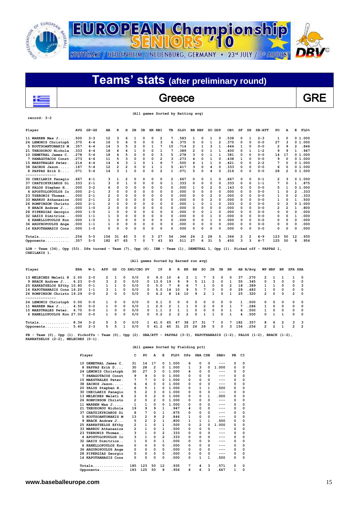![](_page_14_Picture_0.jpeg)

## **Teams' stats (after preliminary round)**  $\overline{\phantom{a}}$ Greece GRE

 **(All games Sorted by Batting avg)**

**record: 3-2**

**CHEILAKIS 1.** 

| Player                                                                                                                    | <b>AVG</b> | $GP - GS$ | AB             | R              | н              | 2в       | 3B | HR       | RBI | TВ | SLG <sup>8</sup> | вв | HBP | SO | GDP | OB <sub>8</sub> | SF       | SH       | $SB-ATT$ | PO  | А              | Е              | <b>FLD%</b> |
|---------------------------------------------------------------------------------------------------------------------------|------------|-----------|----------------|----------------|----------------|----------|----|----------|-----|----|------------------|----|-----|----|-----|-----------------|----------|----------|----------|-----|----------------|----------------|-------------|
| 11 WARREN Max $J$                                                                                                         | .500       | $3 - 3$   | 12             | 3              | 6              | 1        | 0  | 0        | 2   |    | .583             | 1  | 0   | 1  | 0   | .538            | 0        | 1        | $2 - 3$  | 1   | 0              |                | 0 1.000     |
| 24 LEMONIS Christoph                                                                                                      | .375       | $4 - 4$   | 16             | O              | 6              | $\Omega$ | 0  | 0        | з   | 6  | .375             | 0  | 0   | 1  | 2   | .375            | 0        | 0        | $0 - 0$  | 27  | 3              | 0              | 1.000       |
| 5 KOUTSOANTONAKIS M                                                                                                       | . 357      | $4 - 4$   | 14             | ٦              | 5              | 2        | 0  | 1        | 7   | 10 | .714             | 2  | 1   | ٩  | 1   | 444             | 1        | 0        | $0 - 0$  | 2   | ۹              | $\overline{2}$ | .846        |
| 21 THEODOROU Nichola                                                                                                      | . 333      | 4 – 4     | 18             | 6              | 6              | 1        | O  | O        |     |    | .389             | 2  | O   |    |     | 400             | 0        |          | $1 - 2$  | 9   | 9              | 1              | .947        |
| 10 DEMETRAL James C                                                                                                       | .278       | $5 - 4$   | 18             |                |                | $\Omega$ | O  | n        | 3   | 5  | .278             | ٩  | O   |    |     | .381            | 0        | 0        | $0 - 0$  | 14  | 17             |                | 0, 1, 000   |
| 7 PANAGOTACOS Const                                                                                                       | .273       | 4-4       | 11             |                | ٩              | O        | O  | O        | 2   | ٦  | .273             | 4  | O   | 1  | 0   | .438            | 1        | 0        | $0 - 0$  | 9   | 0              |                | 01.000      |
| 15 MAESTRALES Peter                                                                                                       | .214       | 4 – 4     | 14             |                | 3              |          | O  |          | 6   |    | .500             |    |     |    | 0   | 421             | 0        | $\Omega$ | $2 - 2$  |     | 0              |                | 01.000      |
| 38 ZACHOS Jason                                                                                                           | .167       | $5 - 4$   | 12             | $\overline{2}$ | $\overline{a}$ | 0        | 0  |          |     | 5  | .417             | 3  | 0   | 4  | 0   | . 333           | $\Omega$ | 0        | $0 - 0$  | 6   | 0              |                | 01.000      |
| 8 PAPPAS Erik D                                                                                                           | .071       | $5 - 4$   | 14             | 3              | 1              | $\Omega$ | O  | $\Omega$ | 2   |    | .071             | 5  | 0   | 4  | 0   | .316            | O        | 0        | $0 - 0$  | 28  | 2              |                | 01.000      |
|                                                                                                                           |            |           |                |                |                |          |    |          |     |    |                  |    |     |    |     |                 |          |          |          |     |                |                |             |
| 30 CHEILAKIS Panagio                                                                                                      | .667       | $4 - 1$   | 3              | 1              | 2              | $\Omega$ | 0  | 0        | 0   | 2  | . 667            | 0  | 0   | 1  | O   | .667            | 0        | 0        | $0 - 1$  | 2   | 3              | 0              | 1.000       |
| 37 CHATZIKYRIAKOS Di                                                                                                      | .333       | $2 - 1$   |                | 0              |                | 0        | 0  | 0        | 0   |    | . 333            | 0  | 0   | 0  | 0   | . 333           | 0        | 0        | $1 - 1$  |     | 0              |                | .875        |
| 20 PALOS Stephen H                                                                                                        | .000       | $3 - 2$   |                | O              | 0              | $\Omega$ | O  | O        | 0   | 0  | .000             | 1  | O   | 2  | 0   | .143            | 0        | $\Omega$ | $0 - 0$  | 5   | 1              | 0              | .000<br>1   |
| 4 APOSTOLOPOULOS IO                                                                                                       | .000       | $2 - 1$   |                | O              | O              | O        | O  | O        | 0   | O  | .000             | 0  | O   | ŋ  | 0   | .000            | $\Omega$ | 0        | $0 - 0$  |     | O              | 2              | .333        |
| 23 TSERONIS Thomas.                                                                                                       | .000       | $2 - 1$   |                | O              | O              | 0        | O  | 0        | 0   | O  | .000             | 0  | 0   | 2  | 0   | .000            | 0        | 0        | $0 - 0$  | 1   | O              | 2              | .333        |
| 33 MARKOU Athanasios                                                                                                      | .000       | $2 - 1$   | $\overline{2}$ | 0              | 0              | 0        | O  | 0        | 0   | 0  | .000             | o  | 0   | 2  | 0   | .000            | 0        | $\Omega$ | $0 - 0$  | 1   | 0              | 1              | 500         |
| 26 ROMPINSON Christo                                                                                                      | .000       | $2 - 1$   | $\overline{2}$ | O              | O              | O        | O  | 0        | 0   | 0  | .000             | 1  | 0   | 1  | 0   | 333             | $\Omega$ | $\Omega$ | $0 - 0$  | 0   | $\overline{a}$ | 0              | 1.000       |
| 9 BRACK Andrew J                                                                                                          | .000       | $1 - 0$   | 2              | O              | O              | $\Omega$ | O  | O        | 0   | O  | .000             | O  | O   | n  | 0   | .000            | 0        | 0        | $0 - 0$  | 2   | 2              | 1              | . 800       |
| 28 PIPERGIAS Georgio                                                                                                      | .000       | $1 - 0$   |                | O              | 0              | O        | 0  | 0        | 0   | O  | .000             | 0  | 0   | 1  | 0   | .000            | 0        | 0        | $0 - 0$  | ٥   | O              | 0              | .000        |
| 32 GAZIS Dimitrios.                                                                                                       | .000       | $1 - 1$   |                | O              | 0              | $\Omega$ | 0  | 0        | 0   | 0  | .000             | 0  | 0   | 1  | 0   | .000            | 0        | 0        | $0 - 0$  | 0   | 0              | 1              | .000        |
| 6 KANELLOPOULOS Kon                                                                                                       | .000       | $1 - 0$   |                | O              | 0              | O        |    | 0        | 0   | O  | .000             | O  | 0   | 1  | 0   | .000            | 0        | 0        | $0 - 0$  | ٥   | 0              | 0              | .000        |
| 36 ARGYROPOULUS Ange                                                                                                      | .000       | $1 - 1$   |                | O              | O              | 0        | 0  | 0        | 0   | 0  | .000             | 0  | 0   | 0  | 0   | .000            | 0        | $\Omega$ | $0 - 0$  | ٥   | 0              | 0              | .000        |
| 14 KAPOTHANASIS Cons                                                                                                      | .000       | $1 - 0$   | O              | O              | O              | $\Omega$ | O  | 0        | O   | 0  | .000             | O  | 0   | ٥  | 0   | .000            | 0        | 0        | $0 - 0$  | ٥   | 0              | 0              | .000        |
| $Totals$                                                                                                                  | .256       | $5 - 5$   | 156            | 31             | 40             | 5        | 0  | з        | 27  | 54 | .346             | 26 | 2   | 28 | 5   | 366             | 2        | 2        | $6 - 9$  | 123 | 50             | 12             | 935         |
| Opponents                                                                                                                 | .357       | $5 - 5$   | 182            | 47             | 65             | 7        | n  | 7        | 43  | 93 | .511             | 27 | 6   | 31 | 5   | 450             | ٩        | ٩        | $4 - 7$  | 125 | 50             | 8              | .956        |
| Team (34), Opp (53). DPs turned - Team (7), Opp (6). IBB - Team (1), DEMETRAL 1, Opp (1). Picked off - PAPPAS 1,<br>LOB - |            |           |                |                |                |          |    |          |     |    |                  |    |     |    |     |                 |          |          |          |     |                |                |             |

### **(All games Sorted by Earned run avg)**

| Player                     | ERA  | W-L     | APP            | GS             |   | CG SHO/CBO SV |          | IP.  | н             | R             | ER            | BB       | so            | 2B             | 3B           | HR             |     | AB B/Avq |                | WP HBP        | вĸ             | <b>SFA SHA</b> |                |
|----------------------------|------|---------|----------------|----------------|---|---------------|----------|------|---------------|---------------|---------------|----------|---------------|----------------|--------------|----------------|-----|----------|----------------|---------------|----------------|----------------|----------------|
| 13 MELECHES Meleti R       | 2.00 | $2 - 0$ | $\overline{2}$ |                | 0 | 0/0           | 0        | 9.0  | 10            |               | 2             |          |               | 3              | 0            | $^{\circ}$     | 37  | . 270    | 2              |               |                |                | - 0            |
| 9 BRACK Andrew J           | 6.23 | $0 - 0$ | 3              | $\overline{2}$ | 0 | 0/0           | $\Omega$ | 13.0 | 19            | 9             | 9             | 5        | 11            | $\overline{2}$ | $\Omega$     | 1              | 55  | .345     | <sup>o</sup>   | 3             | $\Omega$       | $\Omega$       | 0              |
| 25 KARKATSELOS Efthy 10.80 |      | $0 - 1$ |                |                | 0 | 0/0           | 0        | 5.0  |               | 6             | 6             |          |               | $\Omega$       | 0            | $\overline{2}$ | 18  | .389     |                |               | $\Omega$       | 0              | ٦              |
| 14 KAPOTHANASIS Cons 16.20 |      | $1 - 1$ | ٩              |                | 0 | 0/0           | $\Omega$ | 5.0  | 14            | 10            | 9             | 5.       |               | $\Omega$       | 0            | $\Omega$       | 29  | .483     |                | <sup>0</sup>  | $\Omega$       | $\Omega$       | 0              |
| 26 ROMPINSON Christo 19.29 |      | $0 - 0$ | $\overline{2}$ | $\Omega$       | 0 | 0/0           | $\Omega$ | 4.2  | я             | 14            | 10            | ٩        | $\mathcal{P}$ |                | <sup>0</sup> |                | 25  | .320     | $\overline{2}$ | $\Omega$      | $\Omega$       | $\overline{2}$ | $\Omega$       |
| . - - - - - - - - - - -    |      |         |                |                |   |               |          |      |               |               |               |          |               |                |              |                |     |          |                |               |                |                |                |
| 24 LEMONIS Christoph       | 0.00 | $0 - 0$ |                | $\Omega$       | 0 | 0/0           | $\Omega$ | 0.1  | $\Omega$      | 0             | <sup>n</sup>  | $\Omega$ | <sup>0</sup>  | $\Omega$       | 0            | $\Omega$       |     | . 000    | <sup>o</sup>   | 0             | 0              | $\Omega$       | 0              |
| 11 WARREN Max J            | 4.50 | $0 - 0$ |                | $\Omega$       | 0 | 0/0           |          | 2.0  | $\mathcal{P}$ |               |               | $\Omega$ | 2             | $\Omega$       | $\Omega$     |                |     | .286     |                | 0             | $^{\circ}$     | $\Omega$       | 0              |
| 15 MAESTRALES Peter.       | 6.75 | $0 - 0$ | $\mathbf{1}$   | $\Omega$       | 0 | 0/0           | $\Omega$ | 1.1  | ٦             |               |               | $\Omega$ | <sup>n</sup>  | $\Omega$       | $\Omega$     |                | 6   | .500     | $\mathbf{1}$   | $\Omega$      | $\Omega$       | $\Omega$       | $\Omega$       |
| 6 KANELLOPOULOS Kon 27.00  |      | $0 - 0$ |                | $\Omega$       | 0 | 0/0           | 0        | 0.2  | $\mathcal{P}$ | $\mathcal{P}$ | $\mathcal{P}$ | $\Omega$ |               |                | $\Omega$     |                |     | .500     | <sup>o</sup>   |               |                | $\Omega$       | $\Omega$       |
| $Totals$ 8.34              |      | $3 - 2$ | 5.             | 5              | 0 | 0/0           |          | 41.0 | 65            | 47            | 38            | 27       | 31            | 7              | $^{\circ}$   |                | 182 | .357     | 8              | 6             | $\overline{2}$ | 3              | -3             |
| Opponents                  | 5.40 | $2 - 3$ | 5.             | 5              |   | 0/0           | n.       | 41.2 | 40            | 31            | 25            | 26       | 28            | 5              | 0            | 3              | 156 | .256     | $\mathbf{2}$   | $\mathcal{P}$ |                | $\mathcal{P}$  | $\overline{2}$ |
|                            |      |         |                |                |   |               |          |      |               |               |               |          |               |                |              |                |     |          |                |               |                |                |                |

**PB - Team (0), Opp (1). Pickoffs - Team (0), Opp (2). SBA/ATT - PAPPAS (3-3), KAPOTHANASIS (1-2), PALOS (1-2), BRACK (1-2), KARKATSELOS (2-2), MELECHES (0-1).** 

|    | Player                 | c              | PO           | A              | Е        | FLD <sup>8</sup> | DPs |              | SBA CSB | SBA <sup>8</sup> | PB | CI          |
|----|------------------------|----------------|--------------|----------------|----------|------------------|-----|--------------|---------|------------------|----|-------------|
|    | 10 DEMETRAL James C.   | 31             | 14           | 17             | 0        | 1.000            | 6   | 0            | 0       |                  | 0  | 0           |
| 8  | PAPPAS Erik D          | 30             | 28           | 2              | 0        | 1.000            | 1   | з            | 0       | 1.000            | 0  | 0           |
|    | 24 LEMONIS Christoph   | 30             | 27           | 3              | 0        | 1.000            | 6   | 0            | 0       | ---              | 0  | $\Omega$    |
|    | PANAGOTACOS Const      | 9              | 9            | 0              | 0        | 1.000            | 0   | $\Omega$     | 0       | ---              | 0  | 0           |
|    | 15 MAESTRALES Peter.   | 7              | 7            | 0              | $\Omega$ | 1.000            | O   | $\Omega$     | 0       |                  | 0  | 0           |
| 38 | ZACHOS Jason           | 6              | 6            | 0              | 0        | 1.000            | 0   | 0            | 0       | ---              | 0  | 0           |
| 20 | PALOS Stephen H        | 6              | 5            | 1              | 0        | 1.000            | 0   | 1            | 1       | .500             | 0  | $\mathbf 0$ |
|    | 30 CHEILAKIS Panagio   | 5              | 2            | 3              | 0        | 1.000            | 0   | 0            | 0       | $---$            | 0  | 0           |
|    | 13 MELECHES Meleti R   | 2              | 0            | 2              | 0        | 1.000            | 0   | 0            | 1       | .000             | 0  | $\Omega$    |
|    | 26 ROMPINSON Christo   | $\overline{2}$ | 0            | $\overline{2}$ | 0        | 1.000            | 0   | 0            | 0       | $---$            | 0  | 0           |
|    | 11 WARREN Max $J$      | 1              | 1            | 0              | 0        | 1.000            | 0   | $\Omega$     | 0       | ---              | 0  | 0           |
| 21 | THEODOROU Nichola      | 19             | 9            | 9              | 1        | .947             | 4   | O            | 0       |                  | 0  | 0           |
|    | 37 CHATZIKYRIAKOS Di   | 8              | 7            | 0              | 1        | .875             | 0   | 0            | 0       | ---              | 0  | 0           |
| 5. | KOUTSOANTONAKIS M      | 13             | 2            | 9              | 2        | .846             |     | $\Omega$     | 0       | $---$            | 0  | $\mathbf 0$ |
|    | 9 BRACK Andrew J       | 5              | 2            | 2              | 1        | .800             | 1   | 1            | 1       | .500             | 0  | $\Omega$    |
|    | 25 KARKATSELOS Efthy   | 2              | $\mathbf{1}$ | 0              | 1        | .500             | 0   | 2            | 0       | 1.000            | 0  | 0           |
|    | 33 MARKOU Athanasios   | 2              | $\mathbf{1}$ | 0              | 1        | .500             | 0   | 0            | 0       | ---              | 0  | 0           |
| 23 | <b>TSERONIS Thomas</b> | 3              | 1            | 0              | 2        | .333             | 0   | $\Omega$     | 0       | ---              | 0  | 0           |
|    | 4 APOSTOLOPOULOS IO    | 3              | $\mathbf{1}$ | 0              | 2        | .333             | 0   | O            | 0       |                  | 0  | 0           |
|    | 32 GAZIS Dimitrios     | 1              | 0            | 0              | 1        | .000             | 0   | $\Omega$     | 0       | ---              | 0  | 0           |
|    | 6 KANELLOPOULOS Kon    | 0              | 0            | 0              | 0        | .000             | 0   | $\Omega$     | 0       |                  | 0  | 0           |
|    | 36 ARGYROPOULUS Ange   | 0              | 0            | 0              | 0        | .000             | 0   | 0            | 0       | ---              | 0  | 0           |
|    | 28 PIPERGIAS Georgio   | 0              | 0            | 0              | 0        | .000             | 0   | 0            | 0       | $---$            | 0  | 0           |
|    | 14 KAPOTHANASIS Cons   | 0              | 0            | 0              | $\Omega$ | .000             | 0   | $\mathbf{1}$ | 1       | .500             | 0  | 0           |
|    | Totals<br>.            | 185            | 123          | 50             | 12       | .935             | 7   | 4            | 3       | .571             | 0  | 0           |
|    | Opponents              | 183            | 125          | 50             | 8        | .956             | 6   | 6            | 3       | .667             | 1  | $\Omega$    |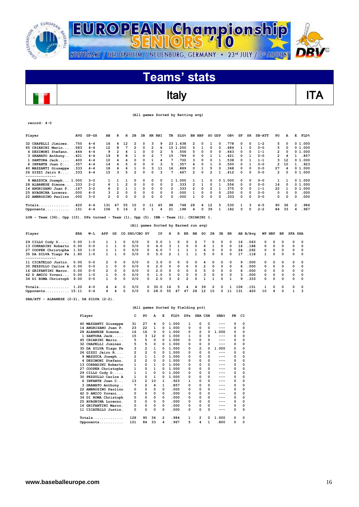![](_page_15_Picture_0.jpeg)

 $\overline{\phantom{a}}$ 

![](_page_15_Picture_1.jpeg)

![](_page_15_Picture_2.jpeg)

# Italy **ITA**

|  |  | (All games Sorted by Batting avg) |  |
|--|--|-----------------------------------|--|
|  |  |                                   |  |

| $record: 4-0$                                                                                         |            |           |                |                |                |               |          |                                      |                |                |                  |                |                         |                |                         |          |                 |     |              |          |                         |             |          |                        |  |
|-------------------------------------------------------------------------------------------------------|------------|-----------|----------------|----------------|----------------|---------------|----------|--------------------------------------|----------------|----------------|------------------|----------------|-------------------------|----------------|-------------------------|----------|-----------------|-----|--------------|----------|-------------------------|-------------|----------|------------------------|--|
| Player                                                                                                | <b>AVG</b> | $GP - GS$ | AB             | R              | н              | 2в            | 3B       | HR RBI                               |                | TВ             | SLG <sup>8</sup> |                | <b>BB HBP</b>           |                | SO GDP                  |          | OB <sub>8</sub> | SF  | SH           | $SB-ATT$ | PO                      |             | А        | Е<br><b>FLD%</b>       |  |
| 32 CHAPELLI Jiminez.                                                                                  | .750       | $4 - 4$   | 16             | 6              | 12             | 2             | O        | 3                                    | 9              |                | 23 1.438         |                | 2                       | 0              | 1                       | $\Omega$ | .778            | 0   | $\Omega$     | $1 - 2$  | 5                       |             | 0        | 0 1.000                |  |
| 45 CHIARINI Mario                                                                                     | .583       | $4 - 4$   | 12             | 8              | 7              | 2             | $\Omega$ | $\overline{\mathbf{2}}$              | 6              |                | 15 1.250         |                | 5                       | 1              | 0                       | $\Omega$ | . 684           | 1   | 0            | $0 - 0$  | 5                       |             | 0        | 01.000                 |  |
| 4 DESIMONI Stefano.                                                                                   | .444       | $4 - 4$   | 9              | $\overline{2}$ | 4              | 1             | 0        | $\mathbf 0$                          | $\overline{2}$ | 5              | .556             |                | 5                       | $\mathbf 0$    | 0                       | $\circ$  | . 643           | 0   | 0            | $1 - 1$  | $\overline{\mathbf{2}}$ |             | 0        | 01.000                 |  |
| 3 GRANATO Anthony                                                                                     | .421       | 4-4       | 19             | 8              | 8              | 1             | 0        | $\overline{\mathbf{2}}$              | 7              | 15             | .789             |                | 0                       | 0              | 1                       | 1        | .421            | 0   | 1            | $0 - 0$  | 2                       |             | 4        | .857<br>1              |  |
| 1 SANTORA Jack                                                                                        | .400       | 4 – 4     | 10             | 4              | 4              | $\Omega$      | 0        | $\mathbf{1}$                         | 4              | 7              | .700             |                | 3                       | 0              | 0                       | 1        | .538            | 0   | $\mathbf{1}$ | $1 - 1$  | 3                       | 12          |          | 0, 1, 000              |  |
| 6 INFANTE Juan C                                                                                      | .357       | $4 - 4$   | 14             | 4              | 5              | 0             | $\Omega$ | $\Omega$                             | 3              | 5              | .357             |                | 4                       | 0              | 1                       | $\Omega$ | .500            | 0   | 1            | $0 - 0$  | $\overline{\mathbf{2}}$ | 10          |          | . 923<br>1             |  |
| 40 MAZZANTI Giuseppe                                                                                  | .333       | $4 - 4$   | 18             | 6              | 6              | 1             | 0        | 3                                    | 11             | 16             | .889             |                | 0                       | 1              | 5                       | $\Omega$ | .368            | 0   | $\Omega$     | $0 - 0$  | 27                      |             | 4        | 01.000                 |  |
| 26 GIZZI Jairo R<br>--------------                                                                    | .333       | 4-4       | 15             | 3              | 5              | 2             | $\Omega$ | $\Omega$                             | 3              | 7              | .467             |                | $\overline{2}$          | $\mathbf 0$    | $\overline{\mathbf{2}}$ | 1        | .412            | 0   | $\mathbf 0$  | $0 - 0$  | 2                       |             | $\Omega$ | 01.000                 |  |
| 9 MAZZUCA Joseph 1.000                                                                                |            | $3 - 0$   | 1              | 1              | 1              | 0             | 0        | 0                                    | 0              |                | 1 1.000          |                | 1                       | 1              | $\Omega$                |          | 01.000          | 0   | $\Omega$     | $0 - 0$  | 1                       |             | 1        | 01.000                 |  |
| 28 ALBANESE Simone                                                                                    | .333       | $2 - 2$   | 6              | $\mathbf{1}$   | $\overline{2}$ | $\Omega$      | $\Omega$ | $\Omega$                             | 0              | $\overline{2}$ | .333             |                | $\overline{2}$          | 1              | 0                       | 1        | .556            | 0   | 0            | $0 - 0$  | 16                      |             | $\Omega$ | 01.000                 |  |
| 14 ANGRISANO Juan P.                                                                                  | .167       | $3 - 2$   | 6              | $\overline{2}$ | 1              | 1             | 0        | $\Omega$                             | 0              | $\overline{2}$ | .333             |                | $\overline{2}$          | 0              | $\overline{\mathbf{2}}$ | 1        | .375            | 0   | $\Omega$     | $1 - 1$  | 22                      |             | 1        | 0, 1, 000              |  |
| 25 AVAGNINA Lorenzo.                                                                                  | .000       | $4 - 0$   | 3              | $\overline{2}$ | 0              | $\Omega$      | 0        | $\mathbf 0$                          | 0              | 0              | .000             |                | 1                       | $\mathbf 0$    | 0                       | $\Omega$ | .250            | 0   | $\mathbf 0$  | $0 - 0$  | 0                       |             | 0        | 0<br>.000              |  |
| 22 AMBROSINO Paolino                                                                                  | .000       | $3 - 0$   | 2              | 0              | $\Omega$       | O             | $\Omega$ | $\Omega$                             | 0              | O              | .000             |                | $\mathbf{1}$            | $\Omega$       | $\Omega$                | $\Omega$ | . 333           | 0   | $\Omega$     | $0 - 0$  | 0                       |             | $\Omega$ | .000<br>0              |  |
| $Totals$                                                                                              | .420       | $4 - 4$   | 131            | 47             | 55             | 10            | 0        | 11                                   | 45             | 98             | .748             |                | 28                      | 4              | 12                      | 5        | .530            | 1   | 3            | $4 - 5$  | 90                      | 36          |          | $\overline{2}$<br>.984 |  |
| Opponents                                                                                             | .151       | $4 - 4$   | 106            | 5              | 16             | 2             | 0        | $\mathbf{1}$                         | 4              | 21             | .198             |                | 4                       | $\mathbf 0$    | 39                      | 1        | .182            | 0   | 0            | $2 - 2$  | 84                      | 33          |          | .967<br>4              |  |
| LOB - Team $(36)$ , Opp $(15)$ . DPs turned - Team $(1)$ , Opp $(5)$ . IBB - Team $(1)$ , CHIARINI 1. |            |           |                |                |                |               |          | (All games Sorted by Earned run avg) |                |                |                  |                |                         |                |                         |          |                 |     |              |          |                         |             |          |                        |  |
| Player                                                                                                | ERA        | W−L       | APP            | GS             |                | CG SHO/CBO SV |          |                                      | IP             | н              | R                | ER             | вв                      | SO             | 2B                      | Зв       | HR              |     | AB B/Avq     |          | WP HBP                  | вĸ          |          | <b>SFA SHA</b>         |  |
| 29 CILLO Cody D                                                                                       | 0.00       | $1 - 0$   | 1              | 1              | 0              | 0/0           |          | 0                                    | 5.0            | 1              | 0                | $\Omega$       | $\overline{\mathbf{2}}$ | 7              | 0                       | 0        | 0               | 16  | .063         | 0        | 0                       | $\Omega$    | $\Omega$ | 0                      |  |
| 13 CORRADINI Roberto                                                                                  | 0.00       | $0 - 0$   | 1              | $\mathbf{1}$   | 0              | 0/0           |          | 0                                    | 4.0            | 3              | 1                | O              | 0                       | 6              | 1                       | 0        | 0               | 16  | .188         | 0        | 0                       | $\Omega$    | 0        | $\Omega$               |  |
| 27 COOPER Christophe                                                                                  | 1.50       | $1 - 0$   | 1              | 1              | 0              | 0/0           |          | 0                                    | 6.0            | 7              | 1                | 1              | 1                       | 6              | 0                       | 0        | 0               | 24  | .292         | 0        | 0                       | $\Omega$    | 0        | $\Omega$               |  |
| 35 DA SILVA Tiago Fe<br>--------------                                                                | 1.80       | $1 - 0$   | 1              | 1              | $\Omega$       | 0/0           |          | 0                                    | 5.0            | $\overline{2}$ | 1                | $\mathbf{1}$   | 1                       | 5              | 0                       | $\Omega$ | 0               | 17  | .118         | 1        | 0                       | 0           | 0        | $\Omega$               |  |
| 11 CICATELLO Justin.                                                                                  | 0.00       | $0 - 0$   | $\overline{2}$ | 0              | $\Omega$       | 0/0           |          | 0                                    | 3.0            | $\Omega$       | 0                | $\Omega$       | 0                       | 4              | 0                       | 0        | 0               | 9   | .000         | 0        | 0                       | $\Omega$    | 0        | $\Omega$               |  |
| 30 PEZZULLO Carlos A                                                                                  | 0.00       | $0 - 0$   | 1              | 0              | $\Omega$       | 0/0           |          | 0                                    | 2.0            | $\Omega$       | 0                | $\Omega$       | 0                       | $\overline{2}$ | 0                       | 0        | 0               | 6   | .000         | 0        | 0                       | $\Omega$    | 0        | $\Omega$               |  |
| 16 GRIFANTINI Marco.                                                                                  | 0.00       | $0 - 0$   | $\overline{2}$ | 0              | $\Omega$       | 0/0           |          | 0                                    | 2.0            | $\mathbf 0$    | 0                | $\Omega$       | 0                       | 5              | 0                       | 0        | 0               | 6   | .000         | 0        | $\mathbf 0$             | $\Omega$    | 0        | $\Omega$               |  |
| 42 D AMICO Yovani                                                                                     | 0.00       | $1 - 0$   | 1              | 0              | 0              | 0/0           |          | 0                                    | 1.0            | 0              | 0                | 0              | 0                       | 3              | 0                       | 0        | 0               | 3   | .000         | 0        | 0                       | 0           | 0        | $\Omega$               |  |
| 34 DI ROMA Christoph                                                                                  | 9.00       | $0 - 0$   | $\mathbf{1}$   | 0              | 0              | 0/0           |          | 0                                    | 2.0            | 3              | $\overline{2}$   | $\overline{2}$ | 0                       | 1              | 1                       | O        | 1               | 9   | .333         | 0        | $\mathbf 0$             | $\mathbf 0$ | 0        | $\mathbf 0$            |  |
| Totals                                                                                                | 1.20       | $4 - 0$   | 4              | 4              | 0              | 0/0           |          | 0<br>30.0                            |                | 16             | 5                | 4              | 4                       | 39             | 2                       | 0        | 1               | 106 | .151         | 1        | 0                       | $\Omega$    | 0        | $\Omega$               |  |
| Opponents $15.11$                                                                                     |            | $0 - 4$   | 4              | 4              | 0              | 0/0           |          | 0<br>28.0                            |                | 55             | 47               | 47             | 28                      | 12             | 10                      | 0        | 11              | 131 | .420         | 10       | 4                       | $\mathbf 0$ | 1        | 3                      |  |
| $SBA/ATT - ALBANESE (2-2)$ , DA SILVA (2-2).                                                          |            |           |                |                |                |               |          |                                      |                |                |                  |                |                         |                |                         |          |                 |     |              |          |                         |             |          |                        |  |
|                                                                                                       |            |           |                |                |                |               |          | (All games Sorted by Fielding pct)   |                |                |                  |                |                         |                |                         |          |                 |     |              |          |                         |             |          |                        |  |

|     | Player               | c        | PO             | A            | Е        | FLD <sup>8</sup> | DPs |                | SBA CSB | SBA <sup>8</sup> | PB | CI |
|-----|----------------------|----------|----------------|--------------|----------|------------------|-----|----------------|---------|------------------|----|----|
|     | 40 MAZZANTI Giuseppe | 31       | 27             | 4            | 0        | 1.000            | 1   | 0              | 0       | ---              | 0  | 0  |
|     | 14 ANGRISANO Juan P. | 23       | 22             | 1            | 0        | 1.000            | 0   | 0              | 0       |                  | 0  | 0  |
|     | 28 ALBANESE Simone   | 16       | 16             | 0            | 0        | 1.000            | 0   | $\overline{2}$ | 0       | 1.000            | 0  | 0  |
|     | $SANTORA$ $Jack$     | 15       | 3              | 12           | 0        | 1.000            | 1   | 0              | O       | ---              | 0  | 0  |
| 45. | CHIARINI Mario       | 5        | 5              | 0            | 0        | 1.000            | 0   | 0              | 0       | ---              | 0  | 0  |
|     | 32 CHAPELLI Jiminez. | 5        | 5              | 0            | 0        | 1.000            | 0   | 0              | 0       | ---              | 0  | 0  |
|     | 35 DA SILVA Tiago Fe | 3        | 2              | 1            | 0        | 1.000            | 0   | 2              | 0       | 1.000            | 0  | 0  |
|     | 26 GIZZI Jairo R     | 2        | $\overline{2}$ | 0            | O        | 1.000            | 0   | 0              | 0       | ---              | 0  | 0  |
|     | 9 MAZZUCA Joseph     | 2        | $\mathbf{1}$   | $\mathbf{1}$ | 0        | 1.000            | 0   | 0              | 0       | ---              | 0  | 0  |
|     | 4 DESIMONI Stefano.  | 2        | $\overline{a}$ | 0            | 0        | 1.000            | 0   | 0              | O       | ---              | 0  | 0  |
|     | 13 CORRADINI Roberto | 1        | 0              | 1            | 0        | 1.000            | 0   | 0              | O       | ---              | 0  | 0  |
|     | 27 COOPER Christophe | 1        | 0              | 1            | 0        | 1.000            | 0   | 0              | 0       | ---              | 0  | 0  |
|     | 29 CILLO Cody D      | 1        | $\mathbf{1}$   | $\Omega$     | 0        | 1.000            | 0   | 0              | 0       | ---              | 0  | 0  |
|     | 30 PEZZULLO Carlos A | 1        | 0              | 1            | 0        | 1.000            | 0   | 0              | 0       | ---              | 0  | 0  |
|     | 6 INFANTE Juan C     | 13       | $\overline{2}$ | 10           | 1        | .923             | 1   | $\Omega$       | 0       | ---              | 0  | 0  |
|     | 3 GRANATO Anthony    | 7        | $\overline{2}$ | 4            | 1        | .857             | 0   | $\Omega$       | 0       | ---              | 0  | 0  |
|     | 22 AMBROSINO Paolino | 0        | 0              | 0            | $\Omega$ | .000             | 0   | 0              | 0       | ---              | 0  | 0  |
|     | 42 D AMICO Yovani    | 0        | 0              | 0            | 0        | .000             | 0   | 0              | O       | ---              | 0  | 0  |
|     | 34 DI ROMA Christoph | 0        | 0              | 0            | 0        | .000             | 0   | 0              | 0       | ---              | 0  | 0  |
|     | 25 AVAGNINA Lorenzo. | 0        | 0              | 0            | 0        | .000             | 0   | 0              | 0       | ---              | 0  | 0  |
|     | 16 GRIFANTINI Marco. | $\Omega$ | 0              | 0            | 0        | .000             | 0   | 0              | 0       | ---              | 0  | 0  |
|     | 11 CICATELLO Justin. | 0        | 0              | 0            | 0        | .000             | 0   | ٥              | 0       | ---              | 0  | 0  |
|     |                      | 128      | 90             | 36           | 2        | .984             | 1   | 2              | 0       | 1.000            | 0  | 0  |
|     | Opponents            | 121      | 84             | 33           | 4        | .967             | 5   | 4              | 1       | .800             | 0  | 0  |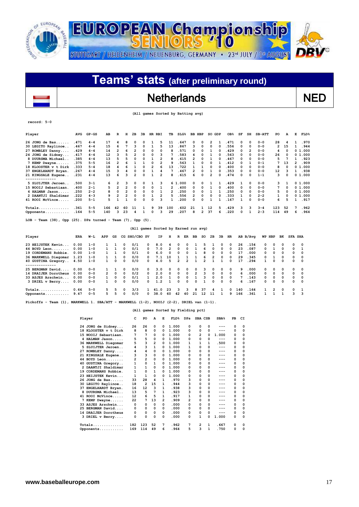![](_page_16_Picture_0.jpeg)

## Netherlands NED

 **(All games Sorted by Batting avg)**

| Player                                                                 | <b>AVG</b> | $GP - GS$ | AB  | R              | н              | 2B             | 3B |          | HR RBI         | TВ             | $SLG\$                               |                | BB HBP   | so             | GDP      | OB <sub>8</sub> | SF | SH           | $SB-ATT$ | PO  | А        | Е            | <b>FLD%</b> |
|------------------------------------------------------------------------|------------|-----------|-----|----------------|----------------|----------------|----|----------|----------------|----------------|--------------------------------------|----------------|----------|----------------|----------|-----------------|----|--------------|----------|-----|----------|--------------|-------------|
| $26$ JONG de Bas                                                       | .471       | $4 - 4$   | 17  | 4              | 8              | 0              | 0  |          | 5              | 11             | .647                                 |                | 0        | $\overline{2}$ |          | . 471           | 0  | 0            | $0 - 0$  | 28  | 4        |              | .970        |
| 30 LEGITO Raylinoe                                                     | .467       | $4 - 4$   | 15  | 6              |                | з              | 0  |          | 5              | 13             | .867                                 | 3              | $\Omega$ | 0              | 0        | .556            | 0  | 0            | $0 - 0$  | 2   | 15       | 1            | .944        |
| 27 ROMBLEY Danny                                                       | .429       | $4 - 4$   | 14  | 2              | 6              | 2              |    | 0        | 0              | 8              | .571                                 | 0              | 0        |                | 0        | . 429           | 0  | 2            | $0 - 0$  | 4   | 0        |              | 0 1.000     |
| 24 JONG de Sidney                                                      | .417       | $4 - 4$   | 12  | 3              |                | 2              | 0  | 0        | з              |                | .583                                 |                | 0        |                | $\Omega$ | . 563           | 0  | 0            | $0 - 0$  | 26  | 0        |              | 0 1.000     |
| 8 DUURSMA Michael                                                      | .385       | $4 - 4$   | 13  | 5              |                | $\Omega$       | 0  |          | 2              | 8              | .615                                 | $\overline{2}$ | 0        |                | $\Omega$ | .467            | 0  | 0            | $0 - 0$  | 5   |          |              | .923        |
| 7 KEMP Dwayne                                                          | .375       | $5 - 5$   | 16  | 2              |                |                |    | 0        | 2              | 9              | .563                                 |                | 0        | 0              |          | .412            | 0  | 1            | $0 - 1$  | 7   | 13       | $\mathbf{2}$ | .909        |
| 18 KLOOSTER v t Dirk                                                   | .333       | $5 - 4$   | 18  | 4              |                |                | 0  | 2        | 6              | 13             | .722                                 |                |          | $\Omega$       | 0        | .400            | 0  | 0            | $0 - 0$  | 8   | 0        |              | 01.000      |
| 37 ENGELHARDT Bryan.                                                   | .267       | $4 - 4$   | 15  | 3              |                | $\Omega$       | 0  |          | 4              | 7              | .467                                 |                | 0        |                | 0        | . 353           | 0  | $\Omega$     | $0 - 0$  | 12  | 3        |              | .938        |
| 21 KINGSALE Eugene                                                     | .231       | $4 - 4$   | 13  | 6              | ٩              | $\overline{2}$ | O  |          |                | 8              | .615                                 | 6              | 0        | 2              | $\Omega$ | .474            | 0  | $\Omega$     | $1 - 1$  | 3   | 0        |              | 01.000      |
|                                                                        |            |           |     |                |                |                |    |          |                |                |                                      |                |          |                |          |                 |    |              |          |     |          |              |             |
| 5 SLUIJTER Jeroen                                                      | .500       | $3 - 1$   | 6   | 2              | 3              | 0              | 0  |          | 3              |                | 61.000                               |                | 0        |                |          | .429            |    | $\Omega$     | $0 - 0$  | 3   |          |              | 01.000      |
| 15 NOOIJ Sebastiaan                                                    | .400       | $2 - 1$   | 5   | $\overline{2}$ | 2              | $\Omega$       | n  | 0        |                | 2              | .400                                 | <sup>o</sup>   | 0        |                | 0        | .400            | 0  | 0            | $0 - 0$  |     | 0        |              | 01.000      |
| 4 HALMAN Jason                                                         | .250       | $2 - 2$   | 8   | 0              | $\overline{2}$ | $\Omega$       | 0  | 0        |                | $\overline{2}$ | .250                                 | <sup>0</sup>   | 0        |                |          | .250            | 0  | 0            | $0 - 0$  | 5   | $\Omega$ |              | 01.000      |
| 2 DAANTJI Shaldimar                                                    | . 222      | $4 - 3$   | 9   | $\overline{2}$ | 2              | 0              | 0  |          | $\overline{2}$ | 5              | .556                                 | $\mathbf{2}$   | 0        | 0              | 0        | .333            | 1  | 0            | $2 - 2$  | 1   | $\Omega$ |              | 0 1.000     |
| 41 ROOI McVince                                                        | .200       | $5 - 1$   | 5   |                |                | O              | O  | $\Omega$ | ٩              |                | .200                                 | <sup>0</sup>   | 0        |                |          | .167            | 1  | 0            | $0 - 0$  | 6   | 5        |              | .917        |
| $Totals$                                                               | .361       | $5 - 5$   | 166 | 42             | 60             | 11             | 1  | 9        | 39             | 100            | .602                                 | 21             | 1        | 12             | 5        | . 429           | 3  | 3            | $3 - 4$  | 123 | 52       | 7            | .962        |
| Opponents                                                              | .164       | $5 - 5$   | 140 | 3              | 23             | 4              |    | 0        | 3              | 29             | .207                                 | 8              | 2        | 37             | 6        | .220            | 0  | $\mathbf{1}$ | $2 - 3$  | 114 | 49       | 6            | .964        |
| LOB - Team $(38)$ , Opp $(25)$ . DPs turned - Team $(7)$ , Opp $(5)$ . |            |           |     |                |                |                |    |          |                |                | (All games Sorted by Earned run avg) |                |          |                |          |                 |    |              |          |     |          |              |             |

|                                               |      |         |               |              |          |               |              |      | $-1$           |              |                |                |                |               |              |          |     |          |              |                |          |          |                |
|-----------------------------------------------|------|---------|---------------|--------------|----------|---------------|--------------|------|----------------|--------------|----------------|----------------|----------------|---------------|--------------|----------|-----|----------|--------------|----------------|----------|----------|----------------|
| Player                                        | ERA  | W−L     | APP           | GS           |          | CG SHO/CBO SV |              | IP   | н              | R            | ER             | вв             | so             | 2B            | 3B           | HR       |     | AB B/Avq |              | WP HBP         | вĸ       |          | <b>SFA SHA</b> |
| 23 HEIJSTEK Kevin                             | 0.00 | $1 - 0$ |               |              | 0        | 0/1           | $^{\circ}$   | 8.0  |                | <sup>0</sup> |                |                |                |               |              | $\Omega$ | 26  | .154     | 0            | 0              | $\Omega$ | 0        | 0              |
| 44 BOYD Leon                                  | 0.00 | $1 - 0$ |               |              | $\Omega$ | 0/1           | $^{\circ}$   | 7.0  | $\overline{2}$ | $\Omega$     | $\Omega$       |                | 6              | 0             | 0            | $\Omega$ | 23  | .087     | 0            |                | $\Omega$ | $\Omega$ |                |
| 19 CORDEMANS Robbie.                          | 0.00 | $1 - 0$ |               |              | $\Omega$ | 0/1           | 0            | 6.0  | $\Omega$       | $\Omega$     | <sup>0</sup>   |                | 8              | 0             | 0            | $\Omega$ | 17  | .000     | $^{\circ}$   | $^{\circ}$     | $\Omega$ | $\Omega$ | $\Omega$       |
| 36 MARKWELL Diegomar                          | 1.23 | $1 - 0$ |               |              | 0        | 0/0           | $^{\circ}$   | 7.1  | 10             |              |                |                | 6              | $\mathcal{P}$ | <sup>n</sup> | $\Omega$ | 29  | .345     | <sup>o</sup> |                | $\Omega$ | $\Omega$ | $\Omega$       |
| 40 GUSTINA Gregory                            | 4.50 | $1 - 0$ |               | 0            | 0        | 0/0           | $^{\circ}$   | 4.0  | 5              | $\mathbf{2}$ | $\overline{2}$ |                | $\overline{2}$ |               |              | $\Omega$ | 17  | .294     |              | $\Omega$       | $\Omega$ | $\Omega$ | $\Omega$       |
| . - - - - - - - - - - - -<br>25 BERGMAN David | 0.00 | $0 - 0$ |               |              | 0        | 0/0           | 0            | 3.0  | $\Omega$       | 0            |                | <sup>0</sup>   |                | 0             | 0            | $\Omega$ | 9   | . 000    | 0            | 0              | $\Omega$ | $\Omega$ | - 0            |
| 14 DRAIJER Dorotheus                          | 0.00 | $0 - 0$ | $\mathcal{P}$ | $\Omega$     | $\Omega$ | 0/2           | $^{\circ}$   | 2.0  | $\Omega$       | $^{\circ}$   | $\Omega$       | $\overline{2}$ |                | 0             | $\Omega$     | $\Omega$ | 6   | .000     | $\Omega$     | $\Omega$       | $\Omega$ | $\Omega$ | $\Omega$       |
| 33 ASJES Arschwin                             | 0.00 | $0 - 0$ |               | <sup>o</sup> | $\Omega$ | 0/1           |              | 2.0  |                | <sup>0</sup> | $\Omega$       |                | ٩              | 0             | <sup>0</sup> | $\Omega$ | 7   | .143     | $\Omega$     | $\Omega$       | $\Omega$ | $\Omega$ | $\Omega$       |
| 3 DRIEL v Berry                               | 0.00 | $0 - 0$ |               | $\Omega$     | $\Omega$ | 0/0           | $^{\circ}$   | 1.2  |                | <sup>o</sup> | $\Omega$       | <sup>o</sup>   |                | <sup>o</sup>  | <sup>o</sup> | $\Omega$ | 6   | .167     | <sup>o</sup> | $\Omega$       | $\Omega$ | $\Omega$ | $\Omega$       |
| $Totals$                                      | 0.66 | $5 - 0$ | 5.            | 5.           | $\Omega$ | 3/3           |              | 41.0 | 23             | 3            | ٦              | 8              | 37             | 4             | 1.           | 0        | 140 | .164     |              | $\overline{2}$ | $\Omega$ | $\Omega$ |                |
| Opponents                                     | 9.47 | $0 - 5$ | 5.            | 5            | $\Omega$ | 0/0           | <sup>n</sup> | 38.0 | 60             | 42           | 40             | 21             | 12             | 11            |              | ۹        | 166 | .361     |              |                |          | ٩        | ્વ             |

**Pickoffs - Team (1), MARKWELL 1. SBA/ATT - MARKWELL (1-2), NOOIJ (2-2), DRIEL van (1-1).** 

### **(All games Sorted by Fielding pct)**

|    | Player               | c   | PO           | A  | Е        | FLD <sup>8</sup> | DPs |                | SBA CSB | SBA <sup>8</sup> | PB | CI |
|----|----------------------|-----|--------------|----|----------|------------------|-----|----------------|---------|------------------|----|----|
|    | 24 JONG de Sidney    | 26  | 26           | 0  | 0        | 1.000            | 0   | 0              | 0       | $---$            | 0  | 0  |
|    | 18 KLOOSTER v t Dirk | 8   | 8            | 0  | 0        | 1.000            | 0   | 0              | 0       | ---              | 0  | 0  |
|    | 15 NOOIJ Sebastiaan. | 7   | 7            | 0  | 0        | 1.000            | 0   | $\overline{2}$ | 0       | 1.000            | 0  | 0  |
|    | 4 HALMAN Jason       | 5   | 5            | 0  | 0        | 1.000            | 0   | 0              | 0       | $---$            | 0  | 0  |
|    | 36 MARKWELL Diegomar | 5   | 3            | 2  | 0        | 1.000            | 1   | 1              | 1       | .500             | 0  | 0  |
|    | 5 SLUIJTER Jeroen    | 4   | 3            | 1  | 0        | 1.000            |     | 0              | 0       | ---              | 0  | 0  |
| 27 | ROMBLEY Danny        | 4   | 4            | 0  | 0        | 1.000            | 0   | 0              | 0       |                  | 0  | 0  |
|    | 21 KINGSALE Eugene   | 3   | 3            | 0  | 0        | 1.000            | 0   | 0              | 0       | ---              | 0  | 0  |
|    | 44 BOYD Leon         | 2   | 2            | 0  | 0        | 1.000            | 0   | 0              | 0       | ---              | 0  | 0  |
|    | 40 GUSTINA Gregory   | 1   | 0            | 1  | 0        | 1.000            | 0   | 0              | 0       | ---              | 0  | 0  |
|    | 2 DAANTJI Shaldimar  | 1   | 1            | 0  | 0        | 1.000            | 0   | 0              | 0       | ---              | 0  | 0  |
| 19 | CORDEMANS Robbie.    | 1   | 0            | 1  | 0        | 1.000            | 0   | 0              | 0       | ---              | 0  | 0  |
| 23 | HEIJSTEK Kevin       | 1   | $\mathbf{1}$ | 0  | $\Omega$ | 1.000            | O   | 0              | 0       |                  | 0  | 0  |
|    | 26 JONG de Bas       | 33  | 28           | 4  | 1        | .970             | 3   | 0              | 0       |                  | 0  | 0  |
|    | 30 LEGITO Raylinoe   | 18  | 2            | 15 | 1        | .944             | 3   | 0              | 0       | ---              | 0  | 0  |
|    | 37 ENGELHARDT Bryan. | 16  | 12           | з  | 1        | .938             | 3   | 0              | 0       |                  | 0  | 0  |
| 8  | DUURSMA Michael      | 13  | 5            | 7  | 1        | .923             | 3   | 0              | 0       | ---              | 0  | 0  |
|    | 41 ROOI McVince      | 12  | 6            | 5  | 1        | .917             | 1   | 0              | 0       |                  | 0  | 0  |
|    | 7 KEMP Dwayne        | 22  | 7            | 13 | 2        | .909             | 2   | 0              | 0       |                  | 0  | 0  |
|    | 33 ASJES Arschwin    | 0   | 0            | 0  | 0        | .000             | 0   | 0              | 0       | ---              | 0  | 0  |
|    | 25 BERGMAN David     | 0   | 0            | 0  | 0        | .000             | 0   | $\Omega$       | 0       |                  | 0  | 0  |
|    | 14 DRAIJER Dorotheus | 0   | 0            | 0  | 0        | .000             | 0   | 0              | 0       |                  | 0  | 0  |
|    | 3 DRIEL v Berry      | 0   | 0            | 0  | 0        | .000             | 0   | 1              | 0       | 1.000            | 0  | 0  |
|    | Totals               | 182 | 123          | 52 | 7        | .962             | 7   | 2              | 1       | .667             | 0  | 0  |
|    | Opponents            | 169 | 114          | 49 | 6        | .964             | 5   | 3              | 1       | .750             | 0  | 0  |

 $\overline{\phantom{a}}$ 

**record: 5-0**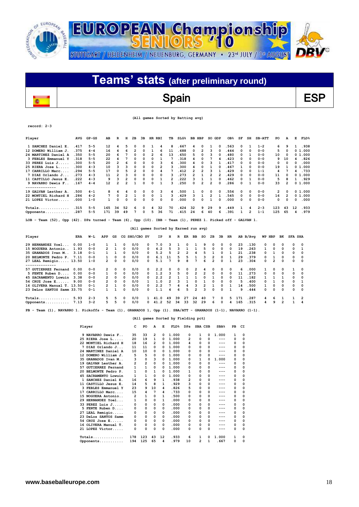![](_page_17_Picture_0.jpeg)

## Spain BSP

 **(All games Sorted by Batting avg)**

**record: 2-3**

 $\overline{\phantom{a}}$ 

| Player                                          | AVG   | $GP - GS$ | AВ  | R  | н  | 2B       | 3B           | HR | RBI | TВ | $SLG$ <sup>8</sup> | BB | HBP          | so | GDP | OB <sub>8</sub> | SF | SH       | $SB-ATT$ | PO  | A  | Е        | FLD <sup>8</sup> |
|-------------------------------------------------|-------|-----------|-----|----|----|----------|--------------|----|-----|----|--------------------|----|--------------|----|-----|-----------------|----|----------|----------|-----|----|----------|------------------|
| 1 SANCHEZ Daniel E.                             | .417  | $5 - 5$   | 12  | 4  | 5  | 0        | 0            |    |     | 8  | . 667              | 4  | $\Omega$     |    | 0   | .563            | 0  |          | $1 - 2$  | 6   | 9  |          | .938             |
| 12 DOMERO William J                             | . 375 | $4 - 4$   | 16  | 4  | 6  |          | 0            |    | 6   | 11 | 688                | 0  | 2            | 3  |     | .444            | 0  | 0        | $0 - 0$  | 5   |    |          | 0 1.000          |
| 24 MARTINEZ Daniel A                            | 350   | $5 - 5$   | 20  | 6  |    | 0        |              |    | 6   | 13 | . 650              | 5  |              | 3  |     | .480            | 0  |          | $0 - 0$  | 10  |    |          | 01.000           |
| 3 FEBLES Emmanuel Y                             | .318  | $5 - 5$   | 22  | 4  |    | $\Omega$ | 0            | 0  |     |    | .318               | 4  | <sup>0</sup> |    | 4   | .423            | 0  | $\Omega$ | $0 - 0$  | 9   | 10 | 4        | .826             |
| 33 PEREZ Luis J.<br>$\sim$ $\sim$ $\sim$ $\sim$ | .300  | $5 - 5$   | 20  | 2  | 6  | 0        | 0            | 0  | 3   | 6  | 300                | 4  | 0            | 3  |     | .417            | 0  | 0        | $0 - 0$  | 0   |    | 0        | .000             |
| $25$ RIERA Jose $L$                             | . 300 | $4 - 3$   | 10  | 3  | ٦  | $\Omega$ | 0            | 0  | 2   | ٩  | 300                |    |              |    |     | .467            |    | $\Omega$ | $0 - 0$  | 19  |    |          | 0 1.000          |
| 17 CARRILLO Marc.                               | .294  | $5 - 5$   | 17  | 0  | 5  | 2        | 0            | 0  | 4   |    | .412               | 2  |              | ٩  |     | . 429           | 0  | 0        | $1 - 1$  | 4   |    |          | . 733            |
| 7 DIAZ Orlando J                                | .273  | $4 - 3$   | 11  | 2  |    | $\Omega$ | 0            | 0  | 0   |    | 273                | 2  |              | 2  |     | . 429           | 0  | 0        | $0 - 0$  | 11  |    |          | 01.000           |
| 11 CASTILLO Jesus E                             | .222  | $4 - 3$   | 9   | ٦  |    | $\Omega$ | 0            | 0  |     |    | 222                | ٩  |              |    | 0   | .462            | 0  |          | $0 - 0$  | 5   |    |          | . 929            |
| 9 NAVARRO Dewis F.                              | .167  | $4 - 4$   | 12  | 2  |    |          | 0            | 0  |     | 3  | 250                | 0  |              | 2  |     | 286             | 0  |          | $0 - 0$  | 33  |    |          | 0 1.000          |
|                                                 |       |           |     |    |    |          |              |    |     |    |                    |    |              |    |     |                 |    |          |          |     |    |          |                  |
| 19 GALVAN Lesther A.                            | .500  | $4 - 1$   |     | 4  | 4  | 0        | 0            | 0  | 3   | 4  | 500                |    | 0            | 0  | 0   | .556            | 0  | 0        | $0 - 0$  | 2   |    |          | 01.000           |
| 22 MONTIEL Richard H                            | .286  | $4 - 2$   |     | 0  |    |          | 0            | 0  |     | 3  | .429               | 3  |              | 2  |     | 545             | 0  | 0        | $0 - 0$  | 16  |    |          | 0 1.000          |
| 21 LOPEZ Victor                                 | .000  | $1 - 0$   |     | 0  | O  | $\Omega$ | O            | 0  | 0   | O  | .000               | O. | $\Omega$     |    | O   | .000            | 0  | $\Omega$ | $0 - 0$  | 0   |    | $\Omega$ | .000             |
| $Totals$                                        | .315  | $5 - 5$   | 165 | 34 | 52 | 6        | 0            | 4  | 32  | 70 | .424               | 32 | 9            | 29 | 9   | .449            |    |          | $2 - 3$  | 123 | 43 | 12       | . 933            |
| Opponents                                       | .287  | $5 - 5$   | 171 | 39 | 49 |          | <sup>0</sup> | 5. | 36  | 71 | .415               | 24 | 6            | 40 | 6   | .391            |    | 2        | $1 - 1$  | 125 | 65 |          | .979             |

**LOB - Team (52), Opp (42). DPs turned - Team (6), Opp (10). IBB - Team (1), PEREZ 1. Picked off - GALVAN 1.** 

 **(All games Sorted by Earned run avg)**

| Player                     | ERA  | W-L     | APP           | GS       |          | CG SHO/CBO SV |              | IP        | н  | R  | ER           | BB | so | 2B       | 3B           | HR       |     | AB B/Avq |              | WP HBP       | вк           | <b>SFA SHA</b> |                |
|----------------------------|------|---------|---------------|----------|----------|---------------|--------------|-----------|----|----|--------------|----|----|----------|--------------|----------|-----|----------|--------------|--------------|--------------|----------------|----------------|
| 29 HERNANDEZ Yoel          | 0.00 | $1 - 0$ |               |          | 0        | 0/0           | <sup>0</sup> | 7.0       |    |    | <sup>n</sup> |    | ۹  | 0        | 0            | $\Omega$ | 23  | .130     | 0            | 0            | 0            | $\Omega$       | $^{\circ}$     |
| 15 NOGUERA Antonio         | 1.93 | $0 - 0$ | $\mathbf{2}$  |          | 0        | 0/0           | <sup>n</sup> | 4.2       | 5  | ٩  |              |    | 5. | $\Omega$ | 0            | $\Omega$ | 19  | . 263    | 1.           | 0            | $^{\circ}$   | $\Omega$       | 1              |
| 35 GRANADOS Ivan M         | 3.18 | $0 - 1$ |               |          | 0        | 0/0           | 0            | 5.2       |    | 2  |              |    |    |          | O            |          | 21  | .238     | <sup>o</sup> |              | $\Omega$     | $\Omega$       | - 0            |
| 20 BELMONTE Pedro P.       | 7.11 | $0 - 0$ |               | $\Omega$ | 0        | 0/0           | <sup>0</sup> | 6.1       | 11 | 5  | 5            |    |    | 2        | O            |          | 29  | . 379    | <sup>o</sup> |              | $\Omega$     | $\Omega$       | $\Omega$       |
| 27 LEAL Remigio 13.50      |      | $1 - 0$ | $\mathbf{2}$  | $\Omega$ | 0        | 0/0           | <sup>o</sup> | 5.1       |    | ۹  | я            |    | б. | 2        | <sup>o</sup> |          | 23  | .304     | 0            | $\mathbf{2}$ | $\Omega$     | $\Omega$       | $\Omega$       |
| ------------               |      |         |               |          |          |               |              |           |    |    |              |    |    |          |              |          |     |          |              |              |              |                |                |
| 57 GUTIERREZ Fernand       | 0.00 | $0 - 0$ | $\mathbf{2}$  | $\Omega$ | 0        | 0/0           | <sup>0</sup> | 2.2       | 0  | 0  | $\Omega$     | 2  |    | 0        | 0            | 0        | 6   | .000     |              | 0            | <sup>0</sup> |                | - 0            |
| 5 FENTE Ruben D            | 0.00 | $0 - 0$ | $\mathbf{1}$  | $\Omega$ | $\Omega$ | 0/0           | $\Omega$     | 1.2       | 3  | 5. | $\Omega$     | 2  | 2  | $\Omega$ | 0            | $\Omega$ | 11  | .273     | <sup>o</sup> | $\Omega$     | $\Omega$     | $\Omega$       | $\Omega$       |
| 45 SACRAMENTO Lowuin       | 3.38 | $0 - 0$ | $\mathcal{P}$ | $\Omega$ | $\Omega$ | 0/0           | <sup>o</sup> | 2.2       | 2  |    |              |    |    |          | O            |          | 11  | .182     |              |              |              | <sup>0</sup>   | 0              |
| $54$ CRUZ Jose E           | 9.00 | $0 - 0$ | $\mathcal{P}$ | $\Omega$ | 0        | 0/0           |              | 1.0       |    |    |              |    |    | 0        | <sup>o</sup> | $\Omega$ | 5.  | .400     | <sup>n</sup> |              | $\Omega$     | $\Omega$       |                |
| 16 OLIVERA Manual T. 13.50 |      | $0 - 1$ | $\mathcal{P}$ |          | 0        | 0/0           | 0            | 2.2       |    |    |              |    |    |          | 0            |          | 14  | .500     |              | 0            | $\Omega$     | $\Omega$       | $\Omega$       |
| 23 DeLos SANTOS Samm 33.75 |      | $0 - 1$ |               |          | O        | 0/0           | n.           | 1.1       | Δ  | 6  | 5            | 2  | ٩  | $\Omega$ | <sup>o</sup> |          | ۹   | .444     | 0            | <sup>o</sup> | $\Omega$     | $\Omega$       | $\Omega$       |
| $Totals$                   | 5.93 | $2 - 3$ | 5.            | 5        | 0        | 0/0           |              | 41<br>- 0 | 49 | 39 | 27           | 24 | 40 | 7        | $\Omega$     | 5.       | 171 | .287     | 4            | 6            |              |                | $\overline{2}$ |
| Opponents                  | 7.13 | $3 - 2$ | 5.            | 5        | $\Omega$ | 0/0           |              | 41.2      | 52 | 34 | 33           | 32 | 29 | 6        | <sup>0</sup> |          | 165 | .315     | 4            | ۹            |              |                | 4              |

**PB - Team (1), NAVARRO 1. Pickoffs - Team (1), GRANADOS 1, Opp (1). SBA/ATT - GRANADOS (1-1), NAVARRO (1-1).** 

|     | Player               | c   | PO  | A  | E            | <b>FLD%</b> | DPs          | SBA CSB        |              | SBA <sub>8</sub> | PB           | CI       |
|-----|----------------------|-----|-----|----|--------------|-------------|--------------|----------------|--------------|------------------|--------------|----------|
|     | 9 NAVARRO Dewis F    | 35  | 33  | 2  | $\Omega$     | 1.000       | 0            | 1              | 0            | 1.000            | 1            | $\Omega$ |
|     | 25 RIERA Jose L      | 20  | 19  | 1  | 0            | 1.000       | 2            | 0              | 0            | $---$            | 0            | 0        |
|     | 22 MONTIEL Richard H | 18  | 16  | 2  | n            | 1.000       | 4            | O              | 0            |                  | 0            | 0        |
|     | 7 DIAZ Orlando J     | 11  | 11  | 0  | 0            | 1.000       | 0            | 0              | 0            | ---              | 0            | 0        |
|     | 24 MARTINEZ Daniel A | 10  | 10  | 0  | 0            | 1.000       | <sup>0</sup> | O              | 0            |                  | 0            | 0        |
|     | 12 DOMERO William J. | 5   | 5   | 0  | 0            | 1.000       | 0            | $\Omega$       | 0            | ---              | 0            | 0        |
|     | 35 GRANADOS Ivan M   | 3   | 0   | 3  | 0            | 1.000       | 0            | 1              | O            | 1.000            | 0            | 0        |
|     | 19 GALVAN Lesther A. | 2   | 2   | 0  | $\Omega$     | 1.000       | 0            | 0              | 0            | ---              | 0            | 0        |
|     | 57 GUTIERREZ Fernand | 1   | 1   | 0  | 0            | 1.000       | <sup>0</sup> | $\Omega$       | 0            | ---              | 0            | 0        |
|     | 20 BELMONTE Pedro P. | 1   | 0   | 1  | 0            | 1.000       | 1            | $\Omega$       | 0            | $---$            | 0            | 0        |
| 45. | SACRAMENTO Lowuin    | 1   | 1   | 0  | 0            | 1.000       | <sup>0</sup> | O              | O            | ---              | 0            | 0        |
|     | 1 SANCHEZ Daniel E.  | 16  | 6   | 9  | 1            | .938        | 2            | 0              | 0            |                  | 0            | 0        |
|     | 11 CASTILLO Jesus E. | 14  | 5   | 8  | 1            | .929        | 3            | 0              | 0            | ---              | 0            | 0        |
|     | 3 FEBLES Emmanuel Y  | 23  | 9   | 10 | 4            | .826        | 5            | 0              | 0            | ---              | 0            | 0        |
|     | 17 CARRILLO Marc     | 15  | 4   | 7  | 4            | .733        | 0            | $\Omega$       | 0            | ---              | 0            | 0        |
|     | 15 NOGUERA Antonio   | 2   | 1   | 0  | 1            | .500        | 0            | $\Omega$       | 0            | ---              | 0            | 0        |
|     | 29 HERNANDEZ Yoel    | 1   | 0   | 0  | 1            | .000        | <sup>0</sup> | 0              | 0            |                  | 0            | 0        |
|     | 33 PEREZ Luis J      | 0   | 0   | 0  | 0            | .000        | 0            | $\Omega$       | 0            | ---              | $\Omega$     | 0        |
|     | 5 FENTE Ruben D      | 0   | 0   | O  | <sup>0</sup> | .000        | <sup>0</sup> | O              | <sup>0</sup> |                  | <sup>0</sup> | 0        |
| 27  | LEAL Remigio         | 0   | 0   | 0  | 0            | .000        | 0            | $\Omega$       | 0            | ---              | 0            | 0        |
|     | 23 DeLos SANTOS Samm | 0   | 0   | 0  | 0            | .000        | 0            | 0              | 0            | ---              | 0            | 0        |
|     | $54$ CRUZ Jose E     | 0   | 0   | 0  | 0            | .000        | 0            | 0              | 0            |                  | 0            | $\Omega$ |
|     | 16 OLIVERA Manual T. | 0   | 0   | 0  | 0            | .000        | 0            | $\Omega$       | 0            | ---              | 0            | 0        |
|     | 21 LOPEZ Victor      | 0   | 0   | 0  | $\Omega$     | .000        | 0            | O              | 0            | ---              | 0            | 0        |
|     | $Totals$             | 178 | 123 | 43 | 12           | . 933       | 6            | 1              | <sup>n</sup> | 1.000            | 1            | $\Omega$ |
|     | Opponents            | 194 | 125 | 65 | 4            | .979        | 10           | $\overline{2}$ | 1            | .667             | 0            | 0        |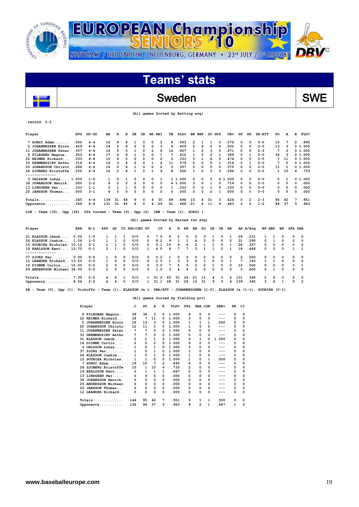![](_page_18_Picture_0.jpeg)

# **Teams' stats**

## Sweden SWE

| (All games Sorted by Batting avg) |  |  |  |
|-----------------------------------|--|--|--|
|-----------------------------------|--|--|--|

| Player                                                                                                                         | <b>AVG</b> | $GP - GS$            | AB             | R              | н                       | 2в                      | Зв              | HR RBI       |                         | TВ    | SLG <sup>8</sup>                     |                         | BB HBP         |    | SO GDP                  |                  | OB <sub>8</sub> | SF             | SH                      | SB-ATT  | PO       | А        | Е              | <b>FLD%</b>    |
|--------------------------------------------------------------------------------------------------------------------------------|------------|----------------------|----------------|----------------|-------------------------|-------------------------|-----------------|--------------|-------------------------|-------|--------------------------------------|-------------------------|----------------|----|-------------------------|------------------|-----------------|----------------|-------------------------|---------|----------|----------|----------------|----------------|
| 7 SORGI Adam                                                                                                                   | .500       | $4 - 4$              | 16             | 4              | 8                       | 1                       | 0               | 0            | $\overline{2}$          | 9     | .563                                 | $\overline{\mathbf{c}}$ |                | 1  | 1                       | 0                | .579            | 0              | 0                       | $0 - 0$ | 10       | 7        | 2              | .895           |
| 5 JOHANNESSEN Bjorn                                                                                                            | . 429      | $4 - 4$              | 14             | 2              | 6                       | $\Omega$                | 0               | 0            | з                       | 6     | .429                                 | 2                       |                | 0  | 2                       | 0                | .500            | 0              | $\Omega$                | $0 - 0$ | 13       | 3        |                | 01.000         |
| 11 JOHANNESSEN Peter                                                                                                           | .357       | $4 - 4$              | 14             | 5              | 5                       | 1                       | 0               | 2            | 6                       | 12    | .857                                 | 1                       |                | 2  | 3                       | 0                | .471            | 0              | 0                       | $2 - 3$ | 7        | 0        |                | 01.000         |
| 8 PILEGARD Magnus                                                                                                              | .353       | $4 - 4$              | 17             | 4              | 6                       | 1                       | 0               | 0            | 1                       | 7     | .412                                 | 1                       |                | 0  | 2                       | 1                | .389            | 0              | 1                       | $0 - 0$ | 36       | 3        |                | 01.000         |
| 22 REIMER Rickard                                                                                                              | .333       | $4 - 4$              | 15             | 6              | 5                       | 0                       | 0               | 0            | $\overline{2}$          | 5     | .333                                 | 3                       |                | 1  | 6                       | 0                | .474            | 0              | 0                       | $0 - 0$ | 7        | 11       |                | 01.000         |
| 33 DERMENDZIEV Antho                                                                                                           | .316       | $4 - 4$              | 19             | 3              | 6                       | $\overline{\mathbf{2}}$ | 0               | 1            | 4                       | 11    | .579                                 | 0                       |                | 0  | 5                       | 1                | .316            | 0              | 1                       | $0 - 0$ | 7        | 0        |                | 01.000         |
| 20 JOHANSSON Christo                                                                                                           | .286       | $4 - 4$              | 14             | $\overline{2}$ | 4                       | 1                       | 0               | 0            | $\overline{\mathbf{c}}$ | 5     | .357                                 | $\overline{\mathbf{c}}$ |                | 0  | 5                       | 0                | .375            | 0              | $\mathbf 0$             | $0 - 0$ | 11       | 1        |                | 01.000         |
| 24 SJOBERG Kristoffe                                                                                                           | .250       | $4 - 4$              | 16             | $\overline{2}$ | 4                       | 1                       | 0               | 1            | 9                       | 8     | .500                                 | 1                       |                | 0  | 3                       | 0                | .294            | 0              | 0                       | $0 - 0$ | 1        | 10       | 4              | . 733          |
| 3 OHLSSON Lukas 1.000                                                                                                          |            | $1 - 0$              | 1              | 0              | 1                       | 0                       | 0               | 0            | 1                       |       | 1 1.000                              | 0                       |                | 0  | 0                       |                  | 01.000          | 0              | 0                       | $0 - 0$ | 0        | 1        |                | 01.000         |
| 34 JOHANSSON Henrik.                                                                                                           | .500       | $3 - 2$              | 4              | $\overline{2}$ | $\overline{\mathbf{2}}$ | $\overline{\mathbf{2}}$ | 0               | 0            | 0                       |       | 4 1.000                              | 3                       |                | 0  | 1                       | 0                | .714            | 0              | 0                       | $0 - 0$ | 0        | 0        | 0              | .000           |
| 13 LINDGREN Per                                                                                                                | .333       | $1 - 1$              | 3              | 1              | 1                       | 0                       | 0               | 0            | 0                       | 1     | .333                                 | 0                       |                | 0  | 1                       | 0                | . 333           | 0              | 0                       | $0 - 0$ | 0        | 0        | 0              | .000           |
| 25 JANSSON Thomas                                                                                                              | .000       | 3-1                  | 6              | $\Omega$       | 0                       | 0                       | 0               | 0            | 0                       | 0     | .000                                 | 0                       |                | 0  | $\overline{\mathbf{2}}$ | 1                | .000            | 0              | $\mathbf 0$             | $0 - 0$ | 0        | 0        | 0              | .000           |
| $Totals$                                                                                                                       | .345       | $4 - 4$              | 139            | 31             | 48                      | 9                       | 0               | 4            | 30                      | 69    | .496                                 | 15                      |                | 4  | 31                      | з                | .424            | 0              | $\overline{2}$          | $2 - 3$ | 95       | 42       | 7              | .951           |
| Opponents                                                                                                                      | .344       | $4 - 4$              | 131            | 31             | 45                      | 4                       | 0               | 4            | 29                      | 61    | .466                                 | 21                      |                | 4  | 11                      | 6                | .443            | 2              | $\overline{\mathbf{2}}$ | $1 - 2$ | 94       | 37       | 5              | .963           |
| LOB - Team (35), Opp (34). DPs turned - Team (9), Opp (4). IBB - Team (1), SORGI 1.                                            |            |                      |                |                |                         |                         |                 |              |                         |       |                                      |                         |                |    |                         |                  |                 |                |                         |         |          |          |                |                |
|                                                                                                                                |            |                      |                |                |                         |                         |                 |              |                         |       | (All games Sorted by Earned run avg) |                         |                |    |                         |                  |                 |                |                         |         |          |          |                |                |
| Player                                                                                                                         | ERA        | W−L                  | APP            | GS             |                         | CG SHO/CBO SV           |                 |              | ΙP                      | н     | R                                    | ER                      | ВB             | so | 2в                      | зв               | HR.             |                | AB B/Avg                |         | WP HBP   | вĸ       | <b>SFA SHA</b> |                |
| 31 KLASSON Jakob                                                                                                               | 0.00       | $1 - 0$              | 1              | 1              | 1                       | 0/0                     |                 | 0            | 7.0                     | 6     | 2                                    | 0                       | 2              | з  | 1                       | 0                | 1               | 26             | .231                    | 1       | 1        | 0        | 0              | 0              |
| 26 KLASSON Joakim                                                                                                              | 1.04       | $1 - 0$              | 1              | 1              | 0                       | 0/0                     |                 | 0            | 8.2                     | 9     | 1                                    | 1                       | 4              | 3  | 0                       | 0                | 0               | 31             | .290                    | 0       | 1        | O        | 0              | 0              |
| 15 SOUBIEA Nicholas. 10.12                                                                                                     |            | $0 - 1$              | 1              | 1              | 0                       | 0/0                     |                 | 0            | 5.1                     | 10    | 9                                    | 6                       | 2              | 1  | 1                       | 0                | 1               | 28             | .357                    | 0       | 0        | 0        | 0              | 0              |
| 19 KARLSSON Kent 15.75<br>---------                                                                                            |            | 0-1                  | $\overline{2}$ | 1              | 0                       | 0/0                     |                 | 1            | 4.0                     | 8     | 7                                    | 7                       | 3              | 1  | 1                       | 0                | 1               | 18             | .444                    | 0       | $\Omega$ | $\Omega$ | 1              | 1              |
| 37 SJORS Per 0.00                                                                                                              |            | $0 - 0$              | 1              | 0              | 0                       | 0/0                     |                 | 0            | 0.2                     | 1     | 0                                    | 0                       | 0              | 0  | 0                       | 0                | 0               | $\overline{2}$ | .500                    | 0       | 0        | 0        | 0              | 0              |
| 12 LEANDER Rickard 13.50                                                                                                       |            | $0 - 0$              | 1              | 0              | 0                       | 0/0                     |                 | 0            | 2.0                     | 1     | 3                                    | 3                       | 6              | 1  | 0                       | 0                | 1               | 7              | .143                    | 1       | 1        | 0        | 0              | 0              |
| 16 DIONNE Curtis 15.00                                                                                                         |            | $0 - 0$              | 2              | $\mathbf 0$    | 0                       | 0/0                     |                 | 0            | 3.0                     | 7     | 5                                    | 5                       | 2              | 2  | 1                       | 0                | $\Omega$        | 14             | .500                    | 0       | 0        | 0        | 1              | 1              |
| 29 ANDERSSON Michael 36.00                                                                                                     |            | $0 - 0$              | $\overline{2}$ | 0              | 0                       | 0/0                     |                 | $\Omega$     | 1.0                     | 3     | 4                                    | 4                       | $\overline{2}$ | 0  | 0                       | 0                | $\mathbf 0$     | 5              | .600                    | 0       | 1        | 0        | 0              | 0              |
| $Totals$                                                                                                                       | 7.39       | $2 - 2$              | 4              | 4              | 1                       | 0/0                     |                 | 1            | 31.2                    | 45    | 31                                   | 26                      | 21             | 11 | 4                       | 0                | 4               | 131            | .344                    | 2       | 4        | 0        | 2              | $\overline{2}$ |
| Opponents                                                                                                                      | 8.04       | 2-2                  | 4              | 4              | 0                       | 0/0                     |                 | 1            | 31.1                    | 48    | 31                                   | 28                      | 15             | 31 | 9                       | 0                | 4               | 139            | .345                    | 3       | 4        | 1        | 0              | $\overline{2}$ |
| Team (0), Opp (1). Pickoffs - Team (1), KLASSON Ja 1. SBA/ATT - JOHANNESSENB (1-2), KLASSON Ja (1-1), SOUBIEA (0-1).<br>$PB -$ |            |                      |                |                |                         |                         |                 |              |                         |       |                                      |                         |                |    |                         |                  |                 |                |                         |         |          |          |                |                |
|                                                                                                                                |            |                      |                |                |                         |                         |                 |              |                         |       | (All games Sorted by Fielding pct)   |                         |                |    |                         |                  |                 |                |                         |         |          |          |                |                |
|                                                                                                                                |            | Player               |                |                |                         | c                       | PO              | A            | Е                       |       | FLD%                                 | DPs                     | SBA CSB        |    |                         | SBA <sup>8</sup> | PB              | CI             |                         |         |          |          |                |                |
|                                                                                                                                |            | 8 PILEGARD Magnus    |                |                |                         | 39                      | 36              | з            | 0                       | 1.000 |                                      | 9                       | 0              |    | 0                       | $---$            | 0               | 0              |                         |         |          |          |                |                |
|                                                                                                                                |            | 22 REIMER Rickard    |                |                |                         | 18                      | $7\phantom{.0}$ | 11           | 0                       | 1.000 |                                      | з                       | $\mathbf 0$    |    | 0                       | $---$            | 0               | $\mathbf 0$    |                         |         |          |          |                |                |
|                                                                                                                                |            | 5 JOHANNESSEN Bjorn  |                |                |                         | 16                      | 13              | 3            | 0                       | 1.000 |                                      | 1                       | 1              |    | 1                       | . 500            | 0               | $\mathbf 0$    |                         |         |          |          |                |                |
|                                                                                                                                |            | 20 JOHANSSON Christo |                |                |                         | 12                      | 11              | 1            | 0                       | 1.000 |                                      | 1                       | 0              |    | $\Omega$                | $---$            | 0               | 0              |                         |         |          |          |                |                |
|                                                                                                                                |            | 11 JOHANNESSEN Peter |                |                |                         | 7                       | 7               | 0            | 0                       | 1.000 |                                      | 0                       | 0              |    | 0                       | $---$            | 0               | 0              |                         |         |          |          |                |                |
|                                                                                                                                |            | 33 DERMENDZIEV Antho |                |                |                         | 7                       | 7               | 0            | 0                       | 1.000 |                                      | 0                       | $\mathbf 0$    |    | $\Omega$                | $---$            | 0               | 0              |                         |         |          |          |                |                |
|                                                                                                                                |            | 31 KLASSON Jakob     |                |                |                         | $\overline{2}$          | $\mathbf{1}$    | $\mathbf{1}$ | 0                       | 1.000 |                                      | O                       | $\mathbf{1}$   |    | 0                       | 1.000            | $\Omega$        | O              |                         |         |          |          |                |                |

**16 DIONNE Curtis.... 2 0 2 0 1.000 0 0 0 --- 0 0 3 OHLSSON Lukas.... 1 0 1 0 1.000 0 0 0 --- 0 0 37 SJORS Per........ 1 0 1 0 1.000 1 0 0 --- 0 0 26 KLASSON Joakim... 1 0 1 0 1.000 1 0 0 --- 0 0 15 SOUBIEA Nicholas. 1 1 0 0 1.000 1 0 1 .000 0 0 7 SORGI Adam....... 19 10 7 2 .895 4 0 0 --- 0 0 24 SJOBERG Kristoffe 15 1 10 4 .733 2 0 0 --- 0 0 19 KARLSSON Kent.... 3 1 1 1 .667 0 0 0 --- 0 0 13 LINDGREN Per..... 0 0 0 0 .000 0 0 0 --- 0 0 34 JOHANSSON Henrik. 0 0 0 0 .000 0 0 0 --- 0 0 29 ANDERSSON Michael 0 0 0 0 .000 0 0 0 --- 0 0 25 JANSSON Thomas... 0 0 0 0 .000 0 0 0 --- 0 0 12 LEANDER Rickard.. 0 0 0 0 .000 0 0 0 --- 0 0** 

 **Totals.............. 144 95 42 7 .951 9 1 1 .500 0 0 Opponents........... 136 94 37 5 .963 4 2 1 .667 1 0** 

 $\overline{\phantom{a}}$ 

**record: 2-2**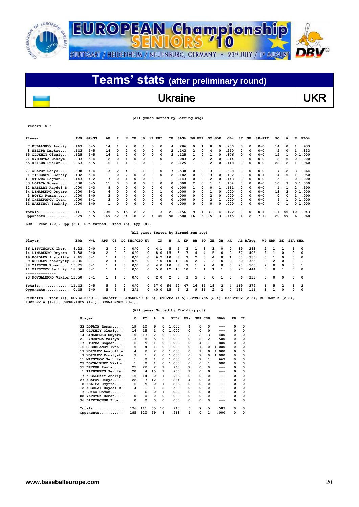![](_page_19_Picture_0.jpeg)

## Ukraine VKR

### **(All games Sorted by Batting avg)**

**record: 0-5**

 $\overline{a}$ 

| Player                       | AVG  | $GP - GS$ | AB  | R            | н            | 2B                          | 3B       | HR. | RBI          | TВ             | SLG <sup>8</sup> | BB | HBP          | SO GDP |   | OB <sub>8</sub> | SF       | SH       | $SB-ATT$ | PO           | А            | Е             | FLD <sup>8</sup> |
|------------------------------|------|-----------|-----|--------------|--------------|-----------------------------|----------|-----|--------------|----------------|------------------|----|--------------|--------|---|-----------------|----------|----------|----------|--------------|--------------|---------------|------------------|
| 7 KUBALSKYY Andriy.          | .143 | $5 - 5$   | 14  |              |              | 0                           |          | 0   | 0            | 4              | .286             | 0  |              | 8      | 0 | .200            | 0        | $\Omega$ | $0 - 0$  | 14           | <sup>0</sup> |               | .933             |
| 8 NELIPA Dmytro              | .143 | $5 - 5$   | 14  | 0            | 2            | $\Omega$                    | 0        | 0   | 0            | 2              | .143             | 2  | 0            | 4      |   | .250            | 0        | $\Omega$ | $0 - 0$  | 5            |              |               | .833             |
| 15 GLUKHIY Olexiy            | .125 | $5 - 5$   | 16  |              | 2            | $\Omega$                    | 0        | 0   | 0            | 2              | .125             |    | <sup>o</sup> |        |   | .176            | 0        | $\Omega$ | $0 - 0$  | 15           |              |               | 01.000           |
| 21 SYMCHYNA Maksym           | .083 | $5 - 4$   | 12  | 0            |              | $\Omega$                    | 0        | 0   | 0            |                | .083             | 2  | 0            | 2      |   | .214            | 0        | 0        | $0 - 0$  | 8            |              |               | 0 1.000          |
| 55 DEYKUN Ruslan             | .063 | $5 - 5$   | 16  |              |              |                             | 0        | 0   |              | $\overline{2}$ | .125             |    | 0            | 2      | O | .118            | 0        | 0        | $0 - 0$  | 22           | 2            |               | .960             |
|                              |      |           |     |              |              |                             |          |     |              |                |                  |    |              |        |   |                 |          |          |          |              |              |               |                  |
| 27 AGAPOV Denys              | .308 | $4 - 4$   | 13  | 2            |              |                             |          | 0   | 0            | 7              | 538              | 0  | 0            | ٩      |   | .308            | 0        | 0        | $0 - 0$  | 7            | 12           | ٦             | .864             |
| 1 TIKHONETS Serhiy.          | .182 | $5 - 4$   | 11  | 0            | 2            | 0                           | 0        | 0   | 0            | 2              | .182             | 0  | 0            | 3      | 0 | .182            | $\Omega$ | $\Omega$ | $0 - 1$  | 4            | 15           |               | .950             |
| 17 STOVBA Bogdan             | .143 | $4 - 2$   |     | <sup>0</sup> |              | $\Omega$                    | 0        | 0   |              |                | . 143            | 0  | 0            | 2      |   | .143            | 0        | $\Omega$ | $0 - 0$  | 5            |              |               | 01.000           |
| 33 LOPATA Roman              | .000 | $5 - 5$   | 11  | <sup>0</sup> | <sup>0</sup> | 0                           | 0        | 0   | 0            | n              | .000             | 2  | O            |        |   | .154            | 0        | 0        | $0 - 0$  | 10           |              |               | 01.000           |
| 12 ARBELAY Raydel B.         | .000 | $4 - 3$   | 8   | n            | O            | $\Omega$                    | 0        | O   | 0            | 0              | .000             |    | O            | O      |   | .111            | 0        | 0        | $0 - 0$  | 1            |              | $\mathcal{P}$ | .500             |
| 14 LIMARENKO Dmytro.         | .000 | $3 - 2$   | 6   | 0            | 0            | 0                           | 0        | 0   |              | 0              | .000             | 0  | 0            |        |   | .000            | 0        | 0        | $0 - 0$  | 13           |              |               | 01.000           |
| 3 BOYKO Roman                | .000 | $3 - 0$   | ٩   | $\Omega$     | $\Omega$     | $\Omega$                    | 0        | 0   | <sup>0</sup> | n              | .000             | O. | <sup>o</sup> | 2      |   | .000            | 0        | $\Omega$ | $0 - 0$  | <sup>o</sup> |              |               | .000             |
| 16 CHEREPANOV Ivan           | .000 | $1 - 1$   | 3   | 0            | 0            | 0                           | 0        | 0   | 0            | 0              | .000             | 0  | 0            | 2      |   | .000            | 0        | 0        | $0 - 0$  | 4            |              |               | 01.000           |
| 11 MAKSYMOV Serhniy.         | .000 | $1 - 0$   |     | 0            | 0            | 0                           | 0        | 0   | 0            | 0              | 000              | 0  | 0            | 0      | O | .000            | 0        | 0        | $0 - 0$  | 0            |              |               | 01.000           |
| $Totals$                     | .111 | $5 - 5$   | 135 | 5            | 15           |                             | 2        | 0   | 3            | 21             | .156             | 9  |              | 31     |   | .172            | 0        | 0        | $0 - 1$  | 111          | 55           | 10            | .943             |
| Opponents                    | .379 | $5 - 5$   | 169 | 52           | 64           | 18                          | 2        | 4   | 45           | 98             | .580             | 16 | 5.           | 15     | 3 | .445            |          | 2        | $7 - 12$ | 120          | 59           | 6             | .968             |
| $\sim$ $\sim$ $\sim$<br>____ |      | $\cdots$  |     |              |              | $\sim$ $\sim$ $\sim$ $\sim$ | $\cdots$ |     |              |                |                  |    |              |        |   |                 |          |          |          |              |              |               |                  |

**LOB - Team (20), Opp (30). DPs turned - Team (5), Opp (4).** 

### **(All games Sorted by Earned run avg)**

| Player                     | ERA  | W-L     | APP            | GS       |            | CG SHO/CBO SV |            | IP.  | н  |       | R ER           | BB            | so             | 2B             | 3B             | HR       |     | AB B/Avq |               | WP HBP        | вĸ                      | <b>SFA SHA</b> |                          |
|----------------------------|------|---------|----------------|----------|------------|---------------|------------|------|----|-------|----------------|---------------|----------------|----------------|----------------|----------|-----|----------|---------------|---------------|-------------------------|----------------|--------------------------|
| 36 LITVINCHUK Ihor         | 6.23 | $0 - 0$ | 3.             | 0        | $\Omega$   | 0/0           | $^{\circ}$ | 4.1  | 5. | 5.    | 3              |               | 3.             |                | 0              | 0        | 19  | .263     | $\mathcal{P}$ |               |                         |                | $\Omega$                 |
| 14 LIMARENKO Dmytro. 7.88  |      | $0 - 0$ | $\overline{2}$ | $\Omega$ | $\Omega$   | 0/0           | $\Omega$   | 8.0  | 15 | 8     | 7              | 4             | 4              | 5              | $\Omega$       | $\Omega$ | 37  | .405     | $\mathcal{P}$ |               | $\Omega$                | $\Omega$       | $^{\circ}$               |
| 19 KOROLEV Anatolliy 9.45  |      | $0 - 1$ |                |          | $\Omega$   | 0/0           | $^{\circ}$ | 6.2  | 10 | 8     |                | $\mathcal{P}$ | 3              | 4              | $\Omega$       |          | 30  | .333     | $\Omega$      |               | $\Omega$                | $\Omega$       | $\overline{\mathbf{0}}$  |
| 9 KOROLEV Konstyaty 12.86  |      | $0 - 1$ | $\sim$         |          | $\Omega$   | 0/0           | $^{\circ}$ | 7.0  | 10 | 10    | 10             | $\mathbf{2}$  | $\overline{2}$ | 3              | $^{\circ}$     | $\Omega$ | 30  | .333     | $\Omega$      | $\mathcal{P}$ | $\Omega$                | $^{\circ}$     | $\overline{\phantom{a}}$ |
| 88 YATSYUK Roman 15.75     |      | $0 - 1$ |                |          | $\Omega$   | 0/0           | $^{\circ}$ | 4.0  | 10 | 8     | 7              |               | $\overline{2}$ | 4              | $^{\circ}$     | $\Omega$ | 20  | .500     | $\mathcal{P}$ | $\Omega$      | $\Omega$                | $\Omega$       | $\overline{\phantom{a}}$ |
| 11 MAKSYMOV Serhniy, 18.00 |      | $0 - 1$ |                |          | 0          | 0/0           | $^{\circ}$ | 5.0  | 12 | 10    | 10             |               |                |                |                | 3        | 27  | .444     | <sup>o</sup>  | $\Omega$      |                         | <sup>o</sup>   | $\overline{\mathbf{0}}$  |
|                            |      |         |                |          |            |               |            |      |    |       |                |               |                |                |                |          |     |          |               |               |                         |                |                          |
| 23 DOVGALENKO Viktor 13.50 |      | $0 - 1$ | $\mathbf{1}$   |          | $\Omega$   | 0/0           | $\Omega$   | 2.0  |    | 2 3 3 |                |               | 5 0            | $\mathbf{o}$   |                | 1 0      |     | 6, 333   | $^{\circ}$    | $\Omega$      | $\overline{0}$          |                | $0\quad 0$               |
| $Totals$ $11.43$           |      | $0 - 5$ | 5.             | 5.       | $^{\circ}$ | 0/0           | $^{\circ}$ | 37.0 | 64 | 52    | 47             | 16            | 15             | 18             | $\overline{2}$ | 4        | 169 | .379     | 6             | 5.            | $\overline{\mathbf{2}}$ |                | 1 2                      |
| Opponents $0.45$           |      | $5 - 0$ | 5.             | 5        | 3          | 2/1           | $^{\circ}$ | 40.0 | 15 | 5.    | $\overline{2}$ | ۹             | 31             | $\overline{2}$ | $\overline{2}$ | $\Omega$ | 135 | .111     |               |               | $\Omega$                | <sup>o</sup>   | $\mathsf{n}$             |

**Pickoffs - Team (1), DOVGALENKO 1. SBA/ATT - LIMARENKO (2-5), STOVBA (4-5), SYMCHYNA (2-4), MAKSYMOV (2-3), KOROLEV K (2-2), KOROLEV A (1-1), CHEREPANOV (1-1), DOVGALENKO (0-1).** 

| Player | с                          | PO           | A                       | Е        | FLD <sup>8</sup> | DPs      | SBA CSB                 |                | SBA <sub>8</sub> | PB       | СI       |
|--------|----------------------------|--------------|-------------------------|----------|------------------|----------|-------------------------|----------------|------------------|----------|----------|
| 33     | 19<br>LOPATA Roman         | 10           | 9                       | 0        | 1.000            | 4        | 0                       | 0              |                  | 0        | $\Omega$ |
|        | 15 GLUKHIY Olexiy<br>16    | 15           | 1                       | 0        | 1.000            | 0        | 0                       | 0              | ---              | 0        | 0        |
|        | 15<br>14 LIMARENKO Dmytro. | 13           | 2                       | 0        | 1.000            | 2        | $\overline{\mathbf{2}}$ | 3              | .400             | 0        | 0        |
| 21     | 13<br>SYMCHYNA Maksym      | 8            | 5                       | $\Omega$ | 1.000            | 0        | $\overline{2}$          | $\overline{2}$ | .500             | 0        | 0        |
| 17     | 6<br>STOVBA Bogdan         | 5            | $\mathbf{1}$            | $\Omega$ | 1.000            | $\Omega$ | 4                       | 1              | .800             | 0        | $\Omega$ |
|        | 5<br>16 CHEREPANOV Ivan    | 4            | 1                       | 0        | 1.000            | 0        | 1                       | 0              | 1.000            | 0        | 0        |
|        | 4<br>19 KOROLEV Anatolliy  | 2            | $\overline{\mathbf{c}}$ | $\Omega$ | 1.000            | $\Omega$ | 1                       | 0              | 1.000            | 0        | 0        |
|        | 3<br>KOROLEV Konstyaty     | $\mathbf{1}$ | $\overline{2}$          | 0        | 1.000            | 0        | 2                       | 0              | 1.000            | 0        | 0        |
|        | 11 MAKSYMOV Serhniy.<br>1  | 0            | $\mathbf{1}$            | $\Omega$ | 1.000            | 0        | $\overline{2}$          | 1              | .667             | 0        | 0        |
|        | 1<br>23 DOVGALENKO Viktor  | 0            | 1                       | 0        | 1.000            | 0        | 0                       | 1              | .000             | 0        | 0        |
|        | 25<br>55 DEYKUN Ruslan     | 22           | 2                       | 1        | .960             | 2        | 0                       | 0              | ---              | 0        | 0        |
|        | 20<br>1 TIKHONETS Serhiy.  | 4            | 15                      | 1        | .950             | 1        | 0                       | 0              | ---              | 0        | 0        |
|        | 15<br>7 KUBALSKYY Andriy.  | 14           | 0                       | 1        | . 933            | 0        | 0                       | 0              | ---              | 0        | 0        |
|        | 22<br>27 AGAPOV Denys      | 7            | 12                      | 3        | .864             | 4        | 0                       | 0              | ---              | $\Omega$ | 0        |
|        | 6<br>8 NELIPA Dmytro       | 5            | 0                       | 1        | .833             | $\Omega$ | 0                       | 0              | ---              | 0        | 0        |
|        | 4<br>12 ARBELAY Raydel B.  | 1            | $\mathbf{1}$            | 2        | .500             | $\Omega$ | 0                       | 0              | ---              | 0        | 0        |
|        | 1<br>3 BOYKO Roman         | 0            | 0                       | 1        | .000             | 0        | 0                       | 0              | ---              | 0        | 0        |
|        | 88 YATSYUK Roman<br>0      | 0            | 0                       | 0        | .000             | 0        | 0                       | 0              | ---              | 0        | 0        |
|        | 36 LITVINCHUK Ihor<br>0    | 0            | 0                       | 0        | .000             | $\Omega$ | 0                       | 0              |                  | 0        | $\Omega$ |
|        | 176<br>$Totals$            | 111          | 55                      | 10       | . 943            | 5        | 7                       | 5              | .583             | 0        | 0        |
|        | 185<br>Opponents           | 120          | 59                      | 6        | .968             | 4        | 0                       | 1              | .000             | 0        | 0        |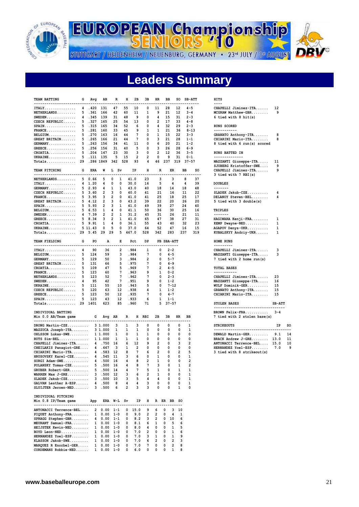![](_page_20_Picture_0.jpeg)

**EUROPEAN Championship** 

STUTTGART / HEIDENHEIM / NEUENBURG, GERMANY · 23<sup>d</sup> JULY / 1<sup>d</sup> AUGUST

# **Leaders Summary**

| <b>TEAM BATTING</b>                                       | G              | Avg                  | AB             | R                          | н               | 2В             | 3в             | HR.                                                                                                       | ВB           | so                  | <b>SB-ATT</b>        |     | HITS                               |          |    |
|-----------------------------------------------------------|----------------|----------------------|----------------|----------------------------|-----------------|----------------|----------------|-----------------------------------------------------------------------------------------------------------|--------------|---------------------|----------------------|-----|------------------------------------|----------|----|
| -------------------                                       |                | 4.420                | 131            | 47                         | 55              | 10             | 0              | 11                                                                                                        | 28           | 12                  | $4 - 5$              |     | ----<br>CHAPELLI Jiminez-ITA       | 12       |    |
| $ITALY$                                                   |                | 5 .361               | 166            | 42                         | 60              | 11             | 1              | 9                                                                                                         | 21           | 12                  | $3 - 4$              |     |                                    | 9        |    |
| NETHERLANDS                                               | 4              | .345                 | 139            | 31                         | 48              | 9              | 0              | 4                                                                                                         | 15           | 31                  | $2 - 3$              |     | MCGRAW Matthew-GBR                 |          |    |
| $SWEDEN$                                                  |                |                      |                |                            |                 |                |                |                                                                                                           |              |                     |                      |     | 6 tied with 8 $hit(s)$             |          |    |
| CZECH REPUBLIC                                            |                | 5.327 165            |                | 25                         | 54              | 13             | 0              | $\overline{2}$                                                                                            | 17           | 33                  | $4 - 8$              |     |                                    |          |    |
| $SPAIN$                                                   |                | 5 .315               | - 165          | 34                         | 52              | 6              | 0              | 4                                                                                                         | 32           | 29                  | $2 - 3$              |     | RUNS SCORED<br>-----------         |          |    |
| $FRANCE$                                                  |                | 5 .281 160<br>5, 270 |                | 33                         | 45              | 9              | 1              | 1                                                                                                         | 21           | 36                  | $8 - 13$             |     |                                    |          |    |
| $BELGIUM.$                                                | 5              |                      | 163            | 16                         | 44              | 7              | 0<br>$\Omega$  | 1<br>3                                                                                                    | 15           | 22                  | $3 - 3$              |     | GRANATO Anthony-ITA                | 8        |    |
| GREAT BRITAIN                                             |                | .265                 | 166            | 21                         | 44              | 7              |                |                                                                                                           | 21           | 28                  | $1 - 1$              |     | CHIARINI Mario-ITA                 | 8        |    |
| $GERMANY$                                                 |                | 5 .263 156           |                | 34                         | 41              | 11             | 0              | 6                                                                                                         | 20           | 21                  | $1 - 2$              |     | 8 tied with 6 run(s) scored        |          |    |
| $GREECE$                                                  | 5 <sub>1</sub> | .256                 | 156            | 31                         | 40              | 5              | 0              | 3                                                                                                         | 26           | 28                  | $6 - 9$              |     |                                    |          |    |
| $CROATIA.$                                                |                | 5 .204 147           |                | 23                         | 30              | 3              | 0              | 2                                                                                                         | 12           | 36                  | $3 - 5$              |     | RUNS BATTED IN                     |          |    |
| $UKRAINE$                                                 | 5              | $.111$ 135           |                | 5                          | 15              | $\overline{2}$ | $\overline{2}$ | 0                                                                                                         | 9            | 31                  | $0 - 1$              |     | --------------                     |          |    |
| $Totals$ 29                                               |                | .286 1849            |                | 342                        | 528             | 93             | 4              | 46                                                                                                        | 237          | 319                 | $37 - 57$            |     | MAZZANTI Giuseppe-ITA              | 11       |    |
|                                                           |                |                      |                |                            |                 |                |                |                                                                                                           |              |                     |                      |     | SJOBERG Kristoffer-SWE             | 9        |    |
| TEAM PITCHING                                             | G              | ERA                  | W              | L Sv                       |                 | ΙP             | н              | R                                                                                                         | ER           |                     | <b>BB</b>            | so  | CHAPELLI Jiminez-ITA               | 9        |    |
| -------------------------                                 |                |                      | $- - -$        |                            |                 |                |                |                                                                                                           |              |                     |                      | .   | 3 tied with 7 RBI(s)               |          |    |
| $NETHERLANDS$                                             |                | 5 0.66               | 5              | 0<br>1                     |                 | 41.0           | 23             | з                                                                                                         | з            |                     | 8                    | 37  |                                    |          |    |
| $ITALY \ldots \ldots \ldots$                              |                | 4 1.20               | 4              | 0<br>0                     |                 | 30.0           | 16             | 5                                                                                                         | 4            |                     | 4                    | 39  | <b>DOUBLES</b>                     |          |    |
| GERMANY                                                   |                | 52.93                | 4              | 1<br>1                     |                 | 43.0           | 40             | 18                                                                                                        | 14           |                     | 18                   | 48  | -------                            |          |    |
| CZECH REPUBLIC                                            |                | 5, 3.60              | $\overline{2}$ | з<br>0                     |                 | 40.0           | 41             | 21                                                                                                        | 16           |                     | 11                   | 22  | SLADEK Jakub-CZE                   | 4        |    |
| $\texttt{FRANCE} \dots \dots \dots \dots \dots$           |                | 5, 3.95              | 3              | $\overline{2}$<br>$\Omega$ |                 | 41.0           | 41             | 25                                                                                                        | 18           |                     | 25                   | 17  | DELANOY Steven-BEL                 | 4        |    |
| GREAT BRITAIN                                             |                | 5, 4.12              | $\overline{2}$ | 3<br>0                     |                 | 43.2           | 39             | 22                                                                                                        | 20           |                     | 26                   | 20  | 5 tied with 3 double(s)            |          |    |
| SPAIN.                                                    |                | 5 5.93               | $\overline{2}$ | 3<br>1                     |                 | 41.0           | 49             | 39                                                                                                        | 27           |                     | 24                   | 40  |                                    |          |    |
| BELGIUM                                                   |                | 56.53                | 1              | 0<br>4                     |                 | 41.1           | 50             | 36                                                                                                        | 30           |                     | 25                   | 16  | TRIPLES                            |          |    |
| $SWEDEN$                                                  |                | 4 7.39               | $\overline{2}$ | $\overline{2}$<br>1        |                 | 31.2           | 45             | 31                                                                                                        | 26           |                     | 21                   | 11  | -------                            |          |    |
| ${\tt GREECE} \ldots \ldots \ldots \ldots \ldots$         |                | 58.34                | 3              | $\overline{2}$<br>1        |                 | 41.0           | 65             | 47                                                                                                        | 38           |                     | 27                   | 31  | HAGIWARA Kenji-FRA                 | 1        |    |
| $CROATIA.$                                                |                | 5, 9.91              | 1              | 4<br>0                     |                 | 36.1           | 55             | 43                                                                                                        | 40           |                     | 32                   | 23  | KEMP Dwayne-NED                    | 1        |    |
| UKRAINE                                                   |                | 5 11.43              | 0              | 5<br>0                     |                 | 37.0           | 64             | 52                                                                                                        | 47           |                     | 16                   | 15  | AGAPOV Denys-UKR                   | 1        |    |
| $Totals$ 29 5.45                                          |                |                      | 29             | 29<br>5                    |                 | 467.0          | 528            | 342                                                                                                       | 283          |                     | 237                  | 319 | KUBALSKYY Andriy-UKR               | 1        |    |
|                                                           |                |                      |                |                            |                 |                |                |                                                                                                           |              |                     |                      |     |                                    |          |    |
| TEAM FIELDING                                             | G              | PO                   | А              | Е                          |                 | Pct            | DP             |                                                                                                           | PB SBA-ATT   |                     |                      |     | HOME RUNS                          |          |    |
| -------------------------                                 |                |                      |                |                            |                 |                | ----           |                                                                                                           | ------       |                     |                      |     | ---------                          |          |    |
| $ITALY$                                                   | 4              | 90                   | 36             | $\overline{2}$             |                 | .984           | 1              | <sup>0</sup>                                                                                              | $2 - 2$      |                     |                      |     | CHAPELLI Jiminez-ITA               | 3        |    |
| $BELGIUM$                                                 | 5              | 124                  | 59             | 3                          |                 | .984           | 7              | 0                                                                                                         | $4 - 5$      |                     |                      |     | MAZZANTI Giuseppe-ITA              | 3        |    |
| GERMANY                                                   | 5              | 129                  | 50             | 3                          |                 | .984           | $\overline{2}$ | 0                                                                                                         | $5 - 7$      |                     |                      |     | 7 tied with 2 home run(s)          |          |    |
| <b>GREAT BRITAIN</b>                                      | 5              | 131                  | 66             | 5                          |                 | .975           | 7              | 0                                                                                                         | $6 - 9$      |                     |                      |     |                                    |          |    |
| CROATIA.                                                  | 5              | 109                  | 47             | 5                          |                 | .969           | 7              | $\overline{2}$                                                                                            | $4 - 5$      |                     |                      |     | TOTAL BASES                        |          |    |
| $\texttt{FRANCE} \ldots \ldots \ldots \ldots$             | 5              | 123                  | 60             | 7                          |                 | .963           | 9              | 1                                                                                                         | $0 - 2$      |                     |                      |     | -----------                        |          |    |
| NETHERLANDS                                               | 5              | 123                  | 52             | 7                          |                 | .962           | 7              | 0                                                                                                         | $2 - 3$      |                     |                      |     | CHAPELLI Jiminez-ITA               | 23       |    |
| $SWEDEN$                                                  | 4              | 95                   | 42             | 7                          |                 | .951           | 9              | 0                                                                                                         | $1 - 2$      |                     |                      |     | MAZZANTI Giuseppe-ITA              | 16       |    |
| UKRAINE                                                   | 5              | 111                  | 55             | 10                         |                 | .943           | 5              | 0                                                                                                         | 7-12         |                     |                      |     | $WULF$ Dominik-GER                 | 15       |    |
| CZECH REPUBLIC                                            | 5              | 120                  | 63             | 12                         |                 | .938           | 4              | 1                                                                                                         | $1 - 2$      |                     |                      |     | GRANATO Anthony-ITA                | 15       |    |
| $GREECE$                                                  | 5              | 123                  | 50             | 12                         |                 | .935           | 7              | 0                                                                                                         | $4 - 7$      |                     |                      |     | CHIARINI Mario-ITA                 | 15       |    |
| $SPAIN$                                                   | 5              | 123                  | 43             | 12                         |                 | . 933          | 6              | 1                                                                                                         | $1 - 1$      |                     |                      |     |                                    |          |    |
| Totals 29 1401                                            |                |                      | 623            | 85                         |                 | .960           | 71             | 5                                                                                                         | $37 - 57$    |                     |                      |     | <b>STOLEN BASES</b>                | $SB-ATT$ |    |
|                                                           |                |                      |                |                            |                 |                |                |                                                                                                           |              |                     |                      |     | ---------------------------------- |          |    |
| INDIVIDUAL BATTING                                        |                |                      |                |                            |                 |                |                |                                                                                                           |              |                     |                      |     | BROWN Felix-FRA                    | $3 - 4$  |    |
| Min 0.0 AB/Team game<br>--------------------------------- |                | G                    | Avg            | AB<br>$- - -$              | R<br>$- - -$    |                | H RBI          | 2В                                                                                                        | зв           | HR                  | <b>BB</b><br>$- - -$ |     | 7 tied with 2 stolen base(s)       |          |    |
| DRONG Martin-CZE                                          |                |                      | 3 1.000        | з                          | 1               | з              | 0              | 0                                                                                                         | 0            | 0                   | 1                    |     | <b>STRIKEOUTS</b>                  | ΙP       | so |
| MAZZUCA Joseph-ITA                                        |                |                      | 3 1.000        | 1                          | 1               | 1              | 0              | 0                                                                                                         | 0            | 0                   | 1                    |     | ---------------------------------  |          |    |
| OHLSSON Lukas-SWE                                         |                |                      | 1 1.000        | 1                          | 0               | 1              | 1              | 0                                                                                                         | 0            | 0                   | 0                    |     | DEWALD Martin-GER                  | 9.1      | 14 |
| RUTS Sim-BEL                                              |                |                      | 1 1.000        | 1                          | 1               | 1              | 0              | 0                                                                                                         | 0            | 0                   | 0                    |     | BRACK Andrew J-GRE                 | 13.0     | 11 |
| CHAPELLI Jiminez-ITA                                      |                |                      | 4.750          | 16                         | 6               | 12             | 9              | $\overline{2}$                                                                                            | $\Omega$     | 3                   | $\overline{2}$       |     |                                    | 15.0     | 10 |
| CHEILAKIS Panagiot-GRE                                    |                |                      |                |                            |                 |                | 0              | 0                                                                                                         | 0            | 0                   | 0                    |     | ANTONACCI Terrence-BEL             |          |    |
|                                                           |                |                      | 4 .667         | з                          | 1<br>8          | 2<br>7         | 6              | $\overline{2}$                                                                                            | 0            | $\overline{2}$      | 5                    |     | HERNANDEZ Yoel-ESP                 | 7.0      | 9  |
| CHIARINI Mario-ITA                                        |                |                      | 4.583          | 12                         |                 |                |                |                                                                                                           |              |                     |                      |     | 3 tied with 8 strikeout(s)         |          |    |
| HRUSOVSKY Karel-CZE                                       |                |                      | 4.545          | 11                         | 3               | 6              | 0              | 1                                                                                                         | 0            | 0                   | 1                    |     |                                    |          |    |
| $SORGI$ $Adam-SWE$                                        |                | $\overline{4}$       | .500           | 16                         | 4               | 8              | $\overline{2}$ | 1                                                                                                         | 0            | 0                   | $\overline{2}$       |     |                                    |          |    |
| POLANSKY Tomas-CZE                                        |                |                      | 5.500          | 16                         | 4               | 8              | 7              | 3                                                                                                         | 0            | 1                   | $\overline{2}$       |     |                                    |          |    |
| GRUBER Robert-GER 5 .500 14                               |                |                      |                |                            | $4\overline{ }$ | 7              | 5              | $\mathbf{1}$                                                                                              | $\mathbf{0}$ | $\mathbf{1}$        | 1                    |     |                                    |          |    |
| WARREN Max J-GRE 3 .500 12                                |                |                      |                |                            | $3^{\circ}$     |                | 6 2 1          |                                                                                                           | $^{\circ}$   | 0                   | 1                    |     |                                    |          |    |
| SLADEK Jakub-CZE 3 .500 10                                |                |                      |                |                            |                 |                |                | $\begin{array}{ccccccccc} 3 & & 5 & & 4 & & 4 & & 0 & & 0 \\ 4 & & 4 & & 3 & & 0 & & 0 & & 0 \end{array}$ |              |                     | 1                    |     |                                    |          |    |
| GALVAN Lesther A-ESP 4 .500 8                             |                |                      |                |                            |                 |                |                |                                                                                                           |              |                     | 1                    |     |                                    |          |    |
| SLUIJTER Jeroen-NED 3 .500 6                              |                |                      |                |                            |                 |                |                | $2 \quad 3 \quad 3 \quad 0$                                                                               |              | $0\quad 1$          | 0                    |     |                                    |          |    |
| INDIVIDUAL PITCHING                                       |                |                      |                |                            |                 |                |                |                                                                                                           |              |                     |                      |     |                                    |          |    |
| Min 0.8 IP/Team game App ERA W-L Sv IP H R ER BB SO       |                |                      |                |                            |                 |                |                |                                                                                                           |              |                     |                      |     |                                    |          |    |
|                                                           |                |                      |                |                            |                 |                |                | $0$ 15.0 9 6 0                                                                                            |              | 3, 10               |                      |     |                                    |          |    |
| ANTONACCI Terrence-BEL 2 0.00 1-1                         |                |                      |                |                            |                 |                |                |                                                                                                           |              |                     |                      |     |                                    |          |    |
| PIQUET Anthony-FRA $1 \t 0.00 \t 1-0$                     |                |                      |                |                            |                 |                |                | $0$ 9.0 2 2 0                                                                                             |              | $\overline{4}$<br>1 |                      |     |                                    |          |    |
| SPRAGG Stephen-GBR 4 0.00 1-1 0 8.2 3 2 0 10              |                |                      |                |                            |                 |                |                |                                                                                                           |              | 6                   |                      |     |                                    |          |    |
| MEURANT Samuel-FRA 1 0.00 1-0 0 8.1 6 1 0 5               |                |                      |                |                            |                 |                |                |                                                                                                           |              | 6                   |                      |     |                                    |          |    |
| HEIJSTEK Kevin-NED 1 0.00 1-0 0 8.0 4 0 0 1 5             |                |                      |                |                            |                 |                |                |                                                                                                           |              |                     |                      |     |                                    |          |    |
| BOYD Leon-NED 1 0.00 1-0                                  |                |                      |                |                            |                 |                |                | $0$ 7.0 2 0 0 1                                                                                           |              | 6                   |                      |     |                                    |          |    |
| HERNANDEZ Yoel-ESP $1 \quad 0.00 \quad 1-0$               |                |                      |                |                            |                 |                |                | $0$ 7.0 3 1 0 1                                                                                           |              | 9                   |                      |     |                                    |          |    |
| KLASSON Jakob-SWE 1 0.00 1-0                              |                |                      |                |                            |                 |                |                |                                                                                                           |              |                     |                      |     |                                    |          |    |
|                                                           |                |                      |                |                            |                 |                |                | 0 7.0 6 2 0 2                                                                                             |              | 3                   |                      |     |                                    |          |    |
| MARQUEZ R Enorbel-GER 1 0.00 1-0                          |                |                      |                |                            |                 |                |                | $0$ 7.0 7 0 0                                                                                             |              | $2^{\circ}$<br>8    |                      |     |                                    |          |    |
| CORDEMANS Robbie-NED 1 0.00 1-0                           |                |                      |                |                            | $\overline{0}$  |                |                | 6.0 0 0 0 1                                                                                               |              | 8                   |                      |     |                                    |          |    |

| CHAPELLI Jiminez-ITA                           | 12                      |
|------------------------------------------------|-------------------------|
| MCGRAW Matthew-GBR                             | - 9                     |
| $6$ tied with $8$ hit(s)                       |                         |
|                                                |                         |
| RUNS SCORED                                    |                         |
| -----------                                    |                         |
| GRANATO Anthony-ITA                            | 8                       |
| CHIARINI Mario-ITA                             | 8                       |
| 8 tied with 6 run(s) scored                    |                         |
|                                                |                         |
| RUNS BATTED IN                                 |                         |
| .<br>$- - - - -$                               |                         |
| MAZZANTI Giuseppe-ITA 11                       |                         |
| SJOBERG Kristoffer-SWE                         | 9                       |
| CHAPELLI Jiminez-ITA                           | 9                       |
| 3 tied with 7 RBI(s)                           |                         |
|                                                |                         |
| <b>DOUBLES</b>                                 |                         |
| -------                                        |                         |
| SLADEK Jakub-CZE                               | 4                       |
| DELANOY Steven-BEL                             | 4                       |
| 5 tied with 3 double(s)                        |                         |
|                                                |                         |
| <b>TRIPLES</b>                                 |                         |
| -------                                        |                         |
| HAGIWARA Kenji-FRA                             | 1                       |
| KEMP Dwayne-NED                                | 1                       |
| AGAPOV Denys-UKR                               | 1                       |
|                                                | 1                       |
| KUBALSKYY Andriy-UKR                           |                         |
| HOME RUNS                                      |                         |
| ---------                                      |                         |
| CHAPELLI Jiminez-ITA                           | 3                       |
| MAZZANTI Giuseppe-ITA                          | $\overline{\mathbf{3}}$ |
| 7 tied with 2 home run(s)                      |                         |
|                                                |                         |
| TOTAL BASES                                    |                         |
| -----------                                    |                         |
| CHAPELLI Jiminez-ITA                           | 23                      |
| MAZZANTI Giuseppe-ITA                          | 16                      |
| WULF Dominik-GER                               | 15                      |
| GRANATO Anthony-ITA                            | 15                      |
| CHIARINI Mario-ITA                             | 15                      |
|                                                |                         |
| <b>STOLEN BASES</b>                            | <b>SB-ATT</b>           |
| ---------------------------                    | .                       |
| BROWN Felix-FRA $3-4$                          |                         |
| 7 tied with 2 stolen base(s)                   |                         |
|                                                |                         |
| <b>STRIKEOUTS</b>                              | IP                      |
| ---------------------------                    | .                       |
| $\texttt{DEWALD Martin-GER} \dots \dots \dots$ | 9.1                     |
| BRACK Andrew J-GRE                             | 13.0                    |
| ANTONACCI Terrence-BEL                         | 15.0                    |
| HERNANDEZ Yoel-ESP                             | 7.0                     |
| 3 tied with 8 strikeout(s)                     |                         |
|                                                |                         |
|                                                |                         |
|                                                |                         |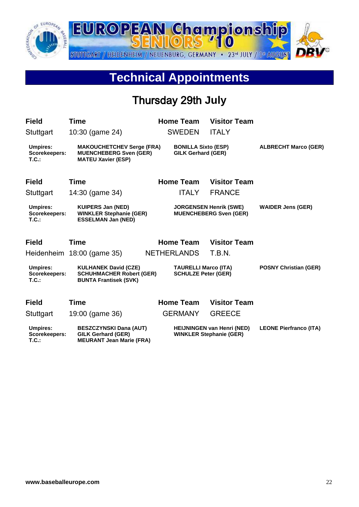![](_page_21_Picture_0.jpeg)

## **Technical Appointments**

## Thursday 29th **July**

| <b>Field</b>                                 | <b>Time</b>                                                                                    | <b>Home Team</b>                                          | <b>Visitor Team</b>                                                 |                               |
|----------------------------------------------|------------------------------------------------------------------------------------------------|-----------------------------------------------------------|---------------------------------------------------------------------|-------------------------------|
| Stuttgart                                    | 10:30 (game 24)                                                                                | <b>SWEDEN</b>                                             | <b>ITALY</b>                                                        |                               |
| <b>Umpires:</b><br>Scorekeepers:<br>T.C.:    | <b>MAKOUCHETCHEV Serge (FRA)</b><br><b>MUENCHEBERG Sven (GER)</b><br><b>MATEU Xavier (ESP)</b> | <b>BONILLA Sixto (ESP)</b><br><b>GILK Gerhard (GER)</b>   |                                                                     | <b>ALBRECHT Marco (GER)</b>   |
| <b>Field</b>                                 | <b>Time</b>                                                                                    | <b>Home Team</b>                                          | <b>Visitor Team</b>                                                 |                               |
| Stuttgart                                    | 14:30 (game 34)                                                                                | <b>ITALY</b>                                              | <b>FRANCE</b>                                                       |                               |
| <b>Umpires:</b><br>Scorekeepers:<br>T.C.:    | <b>KUIPERS Jan (NED)</b><br><b>WINKLER Stephanie (GER)</b><br><b>ESSELMAN Jan (NED)</b>        |                                                           | <b>JORGENSEN Henrik (SWE)</b><br><b>MUENCHEBERG Sven (GER)</b>      | <b>WAIDER Jens (GER)</b>      |
| <b>Field</b>                                 | Time                                                                                           | <b>Home Team</b>                                          | <b>Visitor Team</b>                                                 |                               |
| Heidenheim                                   | 18:00 (game 35)                                                                                | <b>NETHERLANDS</b>                                        | T.B.N.                                                              |                               |
| <b>Umpires:</b><br>Scorekeepers:<br>T.C.:    | <b>KULHANEK David (CZE)</b><br><b>SCHUHMACHER Robert (GER)</b><br><b>BUNTA Frantisek (SVK)</b> | <b>TAURELLI Marco (ITA)</b><br><b>SCHULZE Peter (GER)</b> |                                                                     | <b>POSNY Christian (GER)</b>  |
| <b>Field</b>                                 | Time                                                                                           | <b>Home Team</b>                                          | <b>Visitor Team</b>                                                 |                               |
| Stuttgart                                    | 19:00 (game 36)                                                                                | <b>GERMANY</b>                                            | <b>GREECE</b>                                                       |                               |
| <b>Umpires:</b><br>Scorekeepers:<br>$T.C.$ : | <b>BESZCZYNSKI Dana (AUT)</b><br><b>GILK Gerhard (GER)</b><br><b>MEURANT Jean Marie (FRA)</b>  |                                                           | <b>HEIJNINGEN van Henri (NED)</b><br><b>WINKLER Stephanie (GER)</b> | <b>LEONE Pierfranco (ITA)</b> |